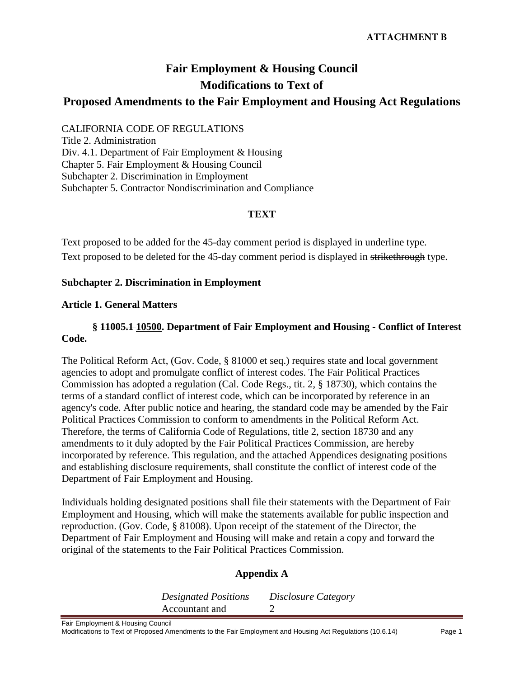# **Fair Employment & Housing Council Modifications to Text of**

## **Proposed Amendments to the Fair Employment and Housing Act Regulations**

CALIFORNIA CODE OF REGULATIONS Title 2. Administration Div. 4.1. Department of Fair Employment & Housing Chapter 5. Fair Employment & Housing Council Subchapter 2. Discrimination in Employment Subchapter 5. Contractor Nondiscrimination and Compliance

#### **TEXT**

Text proposed to be added for the 45-day comment period is displayed in underline type. Text proposed to be deleted for the 45-day comment period is displayed in strikethrough type.

#### **Subchapter 2. Discrimination in Employment**

#### **Article 1. General Matters**

### **§ 11005.1 10500. Department of Fair Employment and Housing - Conflict of Interest Code.**

The Political Reform Act, (Gov. Code, § 81000 et seq.) requires state and local government agencies to adopt and promulgate conflict of interest codes. The Fair Political Practices Commission has adopted a regulation (Cal. Code Regs., tit. 2, § 18730), which contains the terms of a standard conflict of interest code, which can be incorporated by reference in an agency's code. After public notice and hearing, the standard code may be amended by the Fair Political Practices Commission to conform to amendments in the Political Reform Act. Therefore, the terms of California Code of Regulations, title 2, section 18730 and any amendments to it duly adopted by the Fair Political Practices Commission, are hereby incorporated by reference. This regulation, and the attached Appendices designating positions and establishing disclosure requirements, shall constitute the conflict of interest code of the Department of Fair Employment and Housing.

Individuals holding designated positions shall file their statements with the Department of Fair Employment and Housing, which will make the statements available for public inspection and reproduction. (Gov. Code, § 81008). Upon receipt of the statement of the Director, the Department of Fair Employment and Housing will make and retain a copy and forward the original of the statements to the Fair Political Practices Commission.

#### **Appendix A**

*Designated Positions Disclosure Category* Accountant and 2

Fair Employment & Housing Council

Modifications to Text of Proposed Amendments to the Fair Employment and Housing Act Regulations (10.6.14) Page 1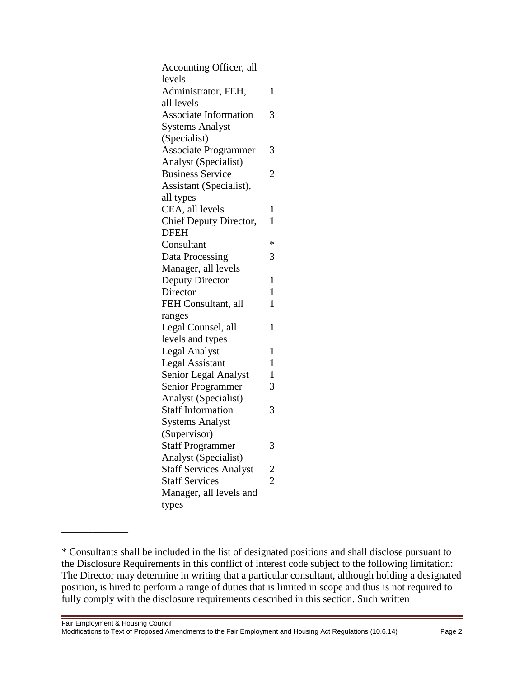Accounting Officer, all levels Administrator, FEH, all levels 1 Associate Information Systems Analyst (Specialist) 3 Associate Programmer Analyst (Specialist) 3 Business Service Assistant (Specialist), all types 2 CEA, all levels 1 Chief Deputy Director, DFEH 1 Consultant \* Data Processing Manager, all levels 3 Deputy Director 1 Director 1 FEH Consultant, all ranges 1 Legal Counsel, all levels and types 1 Legal Analyst 1 Legal Assistant 1 Senior Legal Analyst 1 Senior Programmer Analyst (Specialist) 3 Staff Information Systems Analyst (Supervisor) 3 Staff Programmer Analyst (Specialist) 3 Staff Services Analyst 2 Staff Services Manager, all levels and types 2

Fair Employment & Housing Council

\_\_\_\_\_\_\_\_\_\_\_\_\_

<sup>\*</sup> Consultants shall be included in the list of designated positions and shall disclose pursuant to the Disclosure Requirements in this conflict of interest code subject to the following limitation: The Director may determine in writing that a particular consultant, although holding a designated position, is hired to perform a range of duties that is limited in scope and thus is not required to fully comply with the disclosure requirements described in this section. Such written

Modifications to Text of Proposed Amendments to the Fair Employment and Housing Act Regulations (10.6.14) Page 2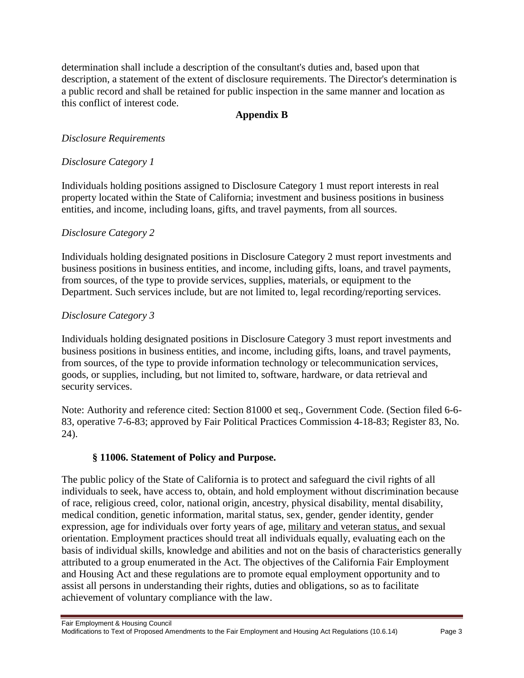determination shall include a description of the consultant's duties and, based upon that description, a statement of the extent of disclosure requirements. The Director's determination is a public record and shall be retained for public inspection in the same manner and location as this conflict of interest code.

#### **Appendix B**

#### *Disclosure Requirements*

#### *Disclosure Category 1*

Individuals holding positions assigned to Disclosure Category 1 must report interests in real property located within the State of California; investment and business positions in business entities, and income, including loans, gifts, and travel payments, from all sources.

#### *Disclosure Category 2*

Individuals holding designated positions in Disclosure Category 2 must report investments and business positions in business entities, and income, including gifts, loans, and travel payments, from sources, of the type to provide services, supplies, materials, or equipment to the Department. Such services include, but are not limited to, legal recording/reporting services.

#### *Disclosure Category 3*

Individuals holding designated positions in Disclosure Category 3 must report investments and business positions in business entities, and income, including gifts, loans, and travel payments, from sources, of the type to provide information technology or telecommunication services, goods, or supplies, including, but not limited to, software, hardware, or data retrieval and security services.

Note: Authority and reference cited: Section 81000 et seq., Government Code. (Section filed 6-6- 83, operative 7-6-83; approved by Fair Political Practices Commission 4-18-83; Register 83, No. 24).

#### **§ 11006. Statement of Policy and Purpose.**

The public policy of the State of California is to protect and safeguard the civil rights of all individuals to seek, have access to, obtain, and hold employment without discrimination because of race, religious creed, color, national origin, ancestry, physical disability, mental disability, medical condition, genetic information, marital status, sex, gender, gender identity, gender expression, age for individuals over forty years of age, military and veteran status, and sexual orientation. Employment practices should treat all individuals equally, evaluating each on the basis of individual skills, knowledge and abilities and not on the basis of characteristics generally attributed to a group enumerated in the Act. The objectives of the California Fair Employment and Housing Act and these regulations are to promote equal employment opportunity and to assist all persons in understanding their rights, duties and obligations, so as to facilitate achievement of voluntary compliance with the law.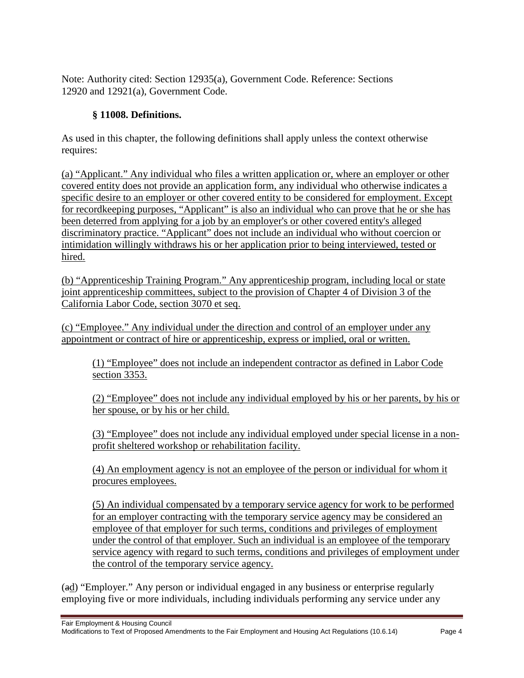Note: Authority cited: Section 12935(a), Government Code. Reference: Sections 12920 and 12921(a), Government Code.

### **§ 11008. Definitions.**

As used in this chapter, the following definitions shall apply unless the context otherwise requires:

(a) "Applicant." Any individual who files a written application or, where an employer or other covered entity does not provide an application form, any individual who otherwise indicates a specific desire to an employer or other covered entity to be considered for employment. Except for recordkeeping purposes, "Applicant" is also an individual who can prove that he or she has been deterred from applying for a job by an employer's or other covered entity's alleged discriminatory practice. "Applicant" does not include an individual who without coercion or intimidation willingly withdraws his or her application prior to being interviewed, tested or hired.

(b) "Apprenticeship Training Program." Any apprenticeship program, including local or state joint apprenticeship committees, subject to the provision of Chapter 4 of Division 3 of the California Labor Code, section 3070 et seq.

(c) "Employee." Any individual under the direction and control of an employer under any appointment or contract of hire or apprenticeship, express or implied, oral or written.

(1) "Employee" does not include an independent contractor as defined in Labor Code section 3353.

(2) "Employee" does not include any individual employed by his or her parents, by his or her spouse, or by his or her child.

(3) "Employee" does not include any individual employed under special license in a nonprofit sheltered workshop or rehabilitation facility.

(4) An employment agency is not an employee of the person or individual for whom it procures employees.

(5) An individual compensated by a temporary service agency for work to be performed for an employer contracting with the temporary service agency may be considered an employee of that employer for such terms, conditions and privileges of employment under the control of that employer. Such an individual is an employee of the temporary service agency with regard to such terms, conditions and privileges of employment under the control of the temporary service agency.

(ad) "Employer." Any person or individual engaged in any business or enterprise regularly employing five or more individuals, including individuals performing any service under any

Fair Employment & Housing Council Modifications to Text of Proposed Amendments to the Fair Employment and Housing Act Regulations (10.6.14) Page 4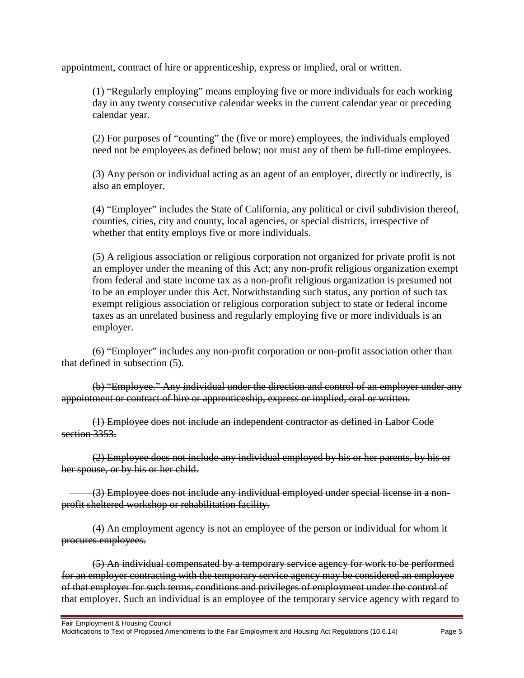appointment, contract of hire or apprenticeship, express or implied, oral or written.

(1) "Regularly employing" means employing five or more individuals for each working day in any twenty consecutive calendar weeks in the current calendar year or preceding calendar year.

(2) For purposes of "counting" the (five or more) employees, the individuals employed need not be employees as defined below; nor must any of them be full-time employees.

(3) Any person or individual acting as an agent of an employer, directly or indirectly, is also an employer.

(4) "Employer" includes the State of California, any political or civil subdivision thereof, counties, cities, city and county, local agencies, or special districts, irrespective of whether that entity employs five or more individuals.

(5) A religious association or religious corporation not organized for private profit is not an employer under the meaning of this Act; any non-profit religious organization exempt from federal and state income tax as a non-profit religious organization is presumed not to be an employer under this Act. Notwithstanding such status, any portion of such tax exempt religious association or religious corporation subject to state or federal income taxes as an unrelated business and regularly employing five or more individuals is an employer.

(6) "Employer" includes any non-profit corporation or non-profit association other than that defined in subsection (5).

(b) "Employee." Any individual under the direction and control of an employer under any appointment or contract of hire or apprenticeship, express or implied, oral or written.

(1) Employee does not include an independent contractor as defined in Labor Code section 3353.

(2) Employee does not include any individual employed by his or her parents, by his or her spouse, or by his or her child.

(3) Employee does not include any individual employed under special license in a nonprofit sheltered workshop or rehabilitation facility.

(4) An employment agency is not an employee of the person or individual for whom it procures employees.

(5) An individual compensated by a temporary service agency for work to be performed for an employer contracting with the temporary service agency may be considered an employee of that employer for such terms, conditions and privileges of employment under the control of that employer. Such an individual is an employee of the temporary service agency with regard to

Fair Employment & Housing Council

Modifications to Text of Proposed Amendments to the Fair Employment and Housing Act Regulations (10.6.14) Page 5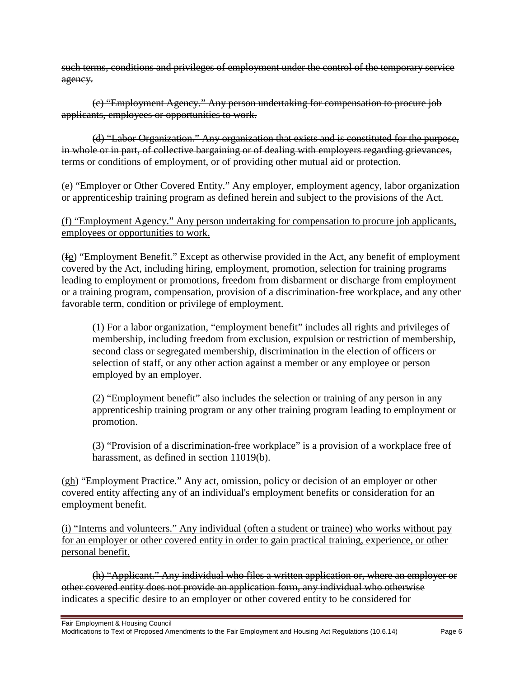such terms, conditions and privileges of employment under the control of the temporary service agency.

(c) "Employment Agency." Any person undertaking for compensation to procure job applicants, employees or opportunities to work.

(d) "Labor Organization." Any organization that exists and is constituted for the purpose, in whole or in part, of collective bargaining or of dealing with employers regarding grievances, terms or conditions of employment, or of providing other mutual aid or protection.

(e) "Employer or Other Covered Entity." Any employer, employment agency, labor organization or apprenticeship training program as defined herein and subject to the provisions of the Act.

(f) "Employment Agency." Any person undertaking for compensation to procure job applicants, employees or opportunities to work.

(fg) "Employment Benefit." Except as otherwise provided in the Act, any benefit of employment covered by the Act, including hiring, employment, promotion, selection for training programs leading to employment or promotions, freedom from disbarment or discharge from employment or a training program, compensation, provision of a discrimination-free workplace, and any other favorable term, condition or privilege of employment.

(1) For a labor organization, "employment benefit" includes all rights and privileges of membership, including freedom from exclusion, expulsion or restriction of membership, second class or segregated membership, discrimination in the election of officers or selection of staff, or any other action against a member or any employee or person employed by an employer.

(2) "Employment benefit" also includes the selection or training of any person in any apprenticeship training program or any other training program leading to employment or promotion.

(3) "Provision of a discrimination-free workplace" is a provision of a workplace free of harassment, as defined in section 11019(b).

(gh) "Employment Practice." Any act, omission, policy or decision of an employer or other covered entity affecting any of an individual's employment benefits or consideration for an employment benefit.

(i) "Interns and volunteers." Any individual (often a student or trainee) who works without pay for an employer or other covered entity in order to gain practical training, experience, or other personal benefit.

(h) "Applicant." Any individual who files a written application or, where an employer or other covered entity does not provide an application form, any individual who otherwise indicates a specific desire to an employer or other covered entity to be considered for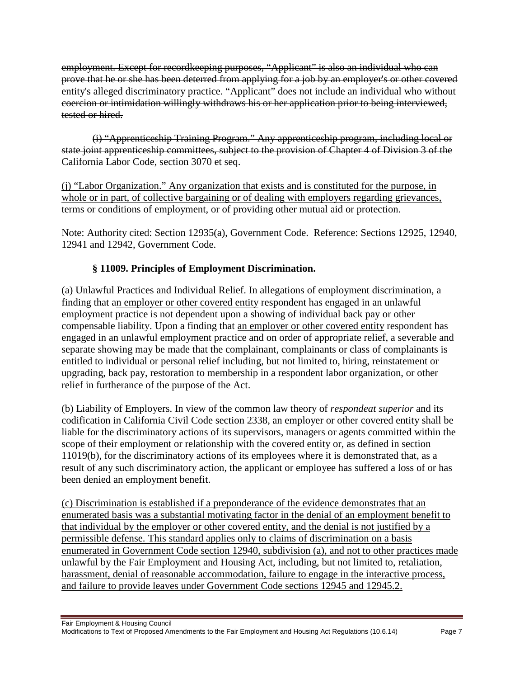employment. Except for recordkeeping purposes, "Applicant" is also an individual who can prove that he or she has been deterred from applying for a job by an employer's or other covered entity's alleged discriminatory practice. "Applicant" does not include an individual who without coercion or intimidation willingly withdraws his or her application prior to being interviewed, tested or hired.

(i) "Apprenticeship Training Program." Any apprenticeship program, including local or state joint apprenticeship committees, subject to the provision of Chapter 4 of Division 3 of the California Labor Code, section 3070 et seq.

(j) "Labor Organization." Any organization that exists and is constituted for the purpose, in whole or in part, of collective bargaining or of dealing with employers regarding grievances, terms or conditions of employment, or of providing other mutual aid or protection.

Note: Authority cited: Section 12935(a), Government Code. Reference: Sections 12925, 12940, 12941 and 12942, Government Code.

### **§ 11009. Principles of Employment Discrimination.**

(a) Unlawful Practices and Individual Relief. In allegations of employment discrimination, a finding that an employer or other covered entity respondent has engaged in an unlawful employment practice is not dependent upon a showing of individual back pay or other compensable liability. Upon a finding that an employer or other covered entity respondent has engaged in an unlawful employment practice and on order of appropriate relief, a severable and separate showing may be made that the complainant, complainants or class of complainants is entitled to individual or personal relief including, but not limited to, hiring, reinstatement or upgrading, back pay, restoration to membership in a respondent labor organization, or other relief in furtherance of the purpose of the Act.

(b) Liability of Employers. In view of the common law theory of *respondeat superior* and its codification in California Civil Code section 2338, an employer or other covered entity shall be liable for the discriminatory actions of its supervisors, managers or agents committed within the scope of their employment or relationship with the covered entity or, as defined in section 11019(b), for the discriminatory actions of its employees where it is demonstrated that, as a result of any such discriminatory action, the applicant or employee has suffered a loss of or has been denied an employment benefit.

(c) Discrimination is established if a preponderance of the evidence demonstrates that an enumerated basis was a substantial motivating factor in the denial of an employment benefit to that individual by the employer or other covered entity, and the denial is not justified by a permissible defense. This standard applies only to claims of discrimination on a basis enumerated in Government Code section 12940, subdivision (a), and not to other practices made unlawful by the Fair Employment and Housing Act, including, but not limited to, retaliation, harassment, denial of reasonable accommodation, failure to engage in the interactive process, and failure to provide leaves under Government Code sections 12945 and 12945.2.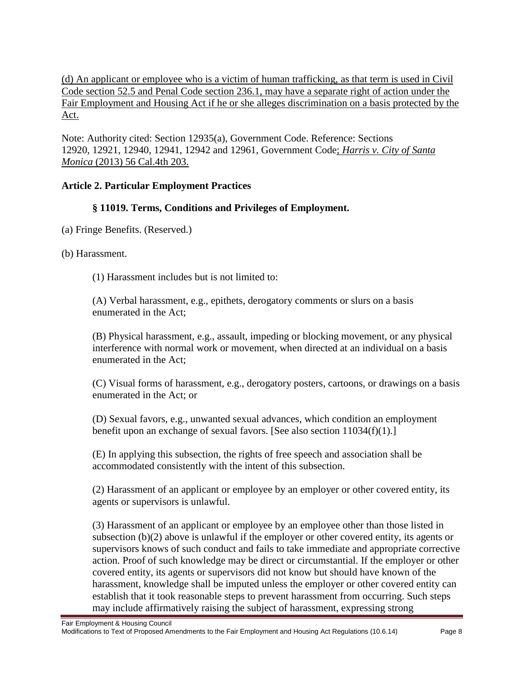(d) An applicant or employee who is a victim of human trafficking, as that term is used in Civil Code section 52.5 and Penal Code section 236.1, may have a separate right of action under the Fair Employment and Housing Act if he or she alleges discrimination on a basis protected by the Act.

Note: Authority cited: Section 12935(a), Government Code. Reference: Sections 12920, 12921, 12940, 12941, 12942 and 12961, Government Code; *Harris v. City of Santa Monica* (2013) 56 Cal.4th 203.

### **Article 2. Particular Employment Practices**

### **§ 11019. Terms, Conditions and Privileges of Employment.**

(a) Fringe Benefits. (Reserved.)

(b) Harassment.

(1) Harassment includes but is not limited to:

(A) Verbal harassment, e.g., epithets, derogatory comments or slurs on a basis enumerated in the Act;

(B) Physical harassment, e.g., assault, impeding or blocking movement, or any physical interference with normal work or movement, when directed at an individual on a basis enumerated in the Act;

(C) Visual forms of harassment, e.g., derogatory posters, cartoons, or drawings on a basis enumerated in the Act; or

(D) Sexual favors, e.g., unwanted sexual advances, which condition an employment benefit upon an exchange of sexual favors. [See also section 11034(f)(1).]

(E) In applying this subsection, the rights of free speech and association shall be accommodated consistently with the intent of this subsection.

(2) Harassment of an applicant or employee by an employer or other covered entity, its agents or supervisors is unlawful.

(3) Harassment of an applicant or employee by an employee other than those listed in subsection (b)(2) above is unlawful if the employer or other covered entity, its agents or supervisors knows of such conduct and fails to take immediate and appropriate corrective action. Proof of such knowledge may be direct or circumstantial. If the employer or other covered entity, its agents or supervisors did not know but should have known of the harassment, knowledge shall be imputed unless the employer or other covered entity can establish that it took reasonable steps to prevent harassment from occurring. Such steps may include affirmatively raising the subject of harassment, expressing strong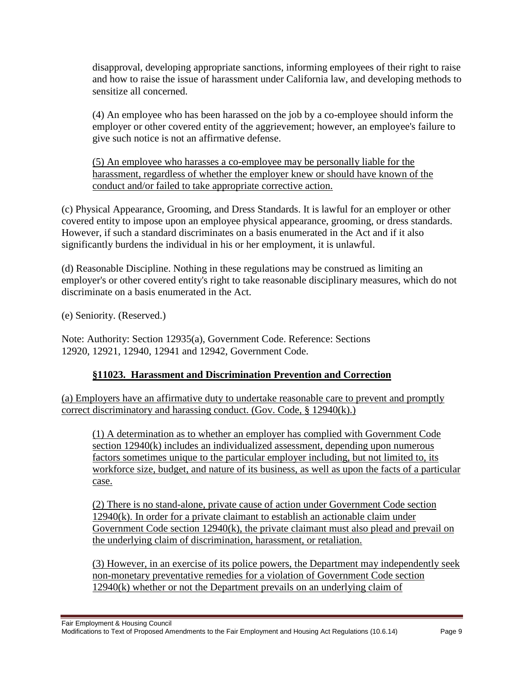disapproval, developing appropriate sanctions, informing employees of their right to raise and how to raise the issue of harassment under California law, and developing methods to sensitize all concerned.

(4) An employee who has been harassed on the job by a co-employee should inform the employer or other covered entity of the aggrievement; however, an employee's failure to give such notice is not an affirmative defense.

(5) An employee who harasses a co-employee may be personally liable for the harassment, regardless of whether the employer knew or should have known of the conduct and/or failed to take appropriate corrective action.

(c) Physical Appearance, Grooming, and Dress Standards. It is lawful for an employer or other covered entity to impose upon an employee physical appearance, grooming, or dress standards. However, if such a standard discriminates on a basis enumerated in the Act and if it also significantly burdens the individual in his or her employment, it is unlawful.

(d) Reasonable Discipline. Nothing in these regulations may be construed as limiting an employer's or other covered entity's right to take reasonable disciplinary measures, which do not discriminate on a basis enumerated in the Act.

(e) Seniority. (Reserved.)

Note: Authority: Section 12935(a), Government Code. Reference: Sections 12920, 12921, 12940, 12941 and 12942, Government Code.

### **§11023. Harassment and Discrimination Prevention and Correction**

(a) Employers have an affirmative duty to undertake reasonable care to prevent and promptly correct discriminatory and harassing conduct. (Gov. Code, § 12940(k).)

(1) A determination as to whether an employer has complied with Government Code section 12940(k) includes an individualized assessment, depending upon numerous factors sometimes unique to the particular employer including, but not limited to, its workforce size, budget, and nature of its business, as well as upon the facts of a particular case.

(2) There is no stand-alone, private cause of action under Government Code section 12940(k). In order for a private claimant to establish an actionable claim under Government Code section 12940(k), the private claimant must also plead and prevail on the underlying claim of discrimination, harassment, or retaliation.

(3) However, in an exercise of its police powers, the Department may independently seek non-monetary preventative remedies for a violation of Government Code section 12940(k) whether or not the Department prevails on an underlying claim of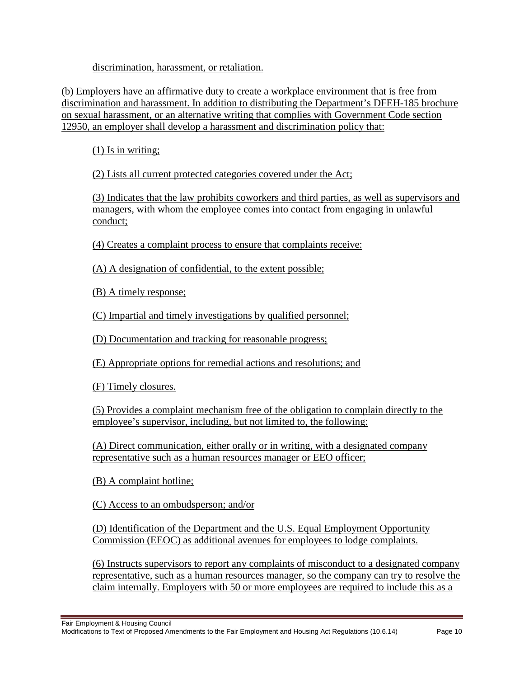discrimination, harassment, or retaliation.

(b) Employers have an affirmative duty to create a workplace environment that is free from discrimination and harassment. In addition to distributing the Department's DFEH-185 brochure on sexual harassment, or an alternative writing that complies with Government Code section 12950, an employer shall develop a harassment and discrimination policy that:

(1) Is in writing;

(2) Lists all current protected categories covered under the Act;

(3) Indicates that the law prohibits coworkers and third parties, as well as supervisors and managers, with whom the employee comes into contact from engaging in unlawful conduct;

(4) Creates a complaint process to ensure that complaints receive:

(A) A designation of confidential, to the extent possible;

(B) A timely response;

(C) Impartial and timely investigations by qualified personnel;

(D) Documentation and tracking for reasonable progress;

(E) Appropriate options for remedial actions and resolutions; and

(F) Timely closures.

(5) Provides a complaint mechanism free of the obligation to complain directly to the employee's supervisor, including, but not limited to, the following:

(A) Direct communication, either orally or in writing, with a designated company representative such as a human resources manager or EEO officer;

(B) A complaint hotline;

(C) Access to an ombudsperson; and/or

(D) Identification of the Department and the U.S. Equal Employment Opportunity Commission (EEOC) as additional avenues for employees to lodge complaints.

(6) Instructs supervisors to report any complaints of misconduct to a designated company representative, such as a human resources manager, so the company can try to resolve the claim internally. Employers with 50 or more employees are required to include this as a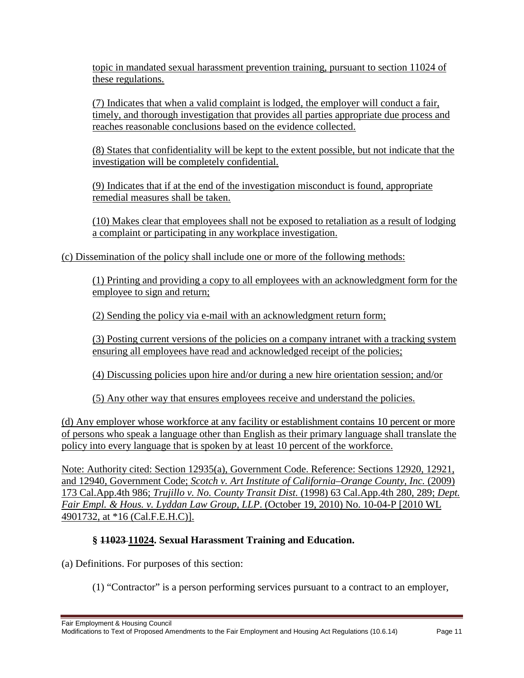topic in mandated sexual harassment prevention training, pursuant to section 11024 of these regulations.

(7) Indicates that when a valid complaint is lodged, the employer will conduct a fair, timely, and thorough investigation that provides all parties appropriate due process and reaches reasonable conclusions based on the evidence collected.

(8) States that confidentiality will be kept to the extent possible, but not indicate that the investigation will be completely confidential.

(9) Indicates that if at the end of the investigation misconduct is found, appropriate remedial measures shall be taken.

(10) Makes clear that employees shall not be exposed to retaliation as a result of lodging a complaint or participating in any workplace investigation.

(c) Dissemination of the policy shall include one or more of the following methods:

(1) Printing and providing a copy to all employees with an acknowledgment form for the employee to sign and return;

(2) Sending the policy via e-mail with an acknowledgment return form;

(3) Posting current versions of the policies on a company intranet with a tracking system ensuring all employees have read and acknowledged receipt of the policies;

(4) Discussing policies upon hire and/or during a new hire orientation session; and/or

(5) Any other way that ensures employees receive and understand the policies.

(d) Any employer whose workforce at any facility or establishment contains 10 percent or more of persons who speak a language other than English as their primary language shall translate the policy into every language that is spoken by at least 10 percent of the workforce.

Note: Authority cited: Section 12935(a), Government Code. Reference: Sections 12920, 12921, and 12940, Government Code; *Scotch v. Art Institute of California–Orange County, Inc.* (2009) 173 Cal.App.4th 986; *Trujillo v. No. County Transit Dist.* (1998) 63 Cal.App.4th 280, 289; *Dept. Fair Empl. & Hous. v. Lyddan Law Group, LLP*. (October 19, 2010) No. 10-04-P [2010 WL 4901732, at \*16 (Cal.F.E.H.C)].

## **§ 11023 11024. Sexual Harassment Training and Education.**

(a) Definitions. For purposes of this section:

(1) "Contractor" is a person performing services pursuant to a contract to an employer,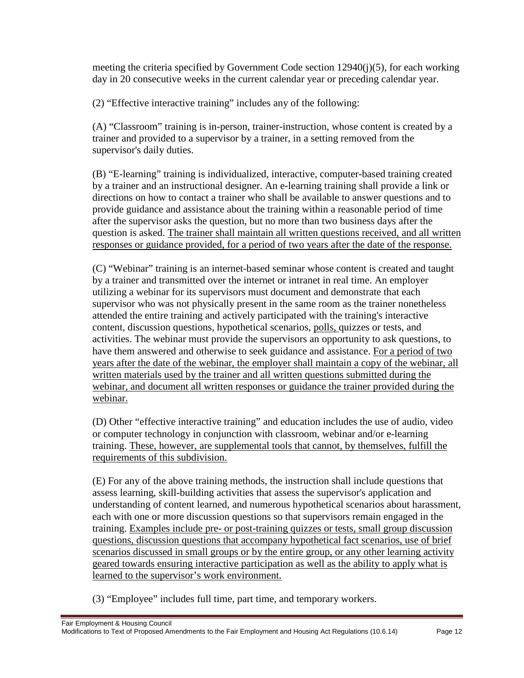meeting the criteria specified by Government Code section  $12940(i)(5)$ , for each working day in 20 consecutive weeks in the current calendar year or preceding calendar year.

(2) "Effective interactive training" includes any of the following:

(A) "Classroom" training is in-person, trainer-instruction, whose content is created by a trainer and provided to a supervisor by a trainer, in a setting removed from the supervisor's daily duties.

(B) "E-learning" training is individualized, interactive, computer-based training created by a trainer and an instructional designer. An e-learning training shall provide a link or directions on how to contact a trainer who shall be available to answer questions and to provide guidance and assistance about the training within a reasonable period of time after the supervisor asks the question, but no more than two business days after the question is asked. The trainer shall maintain all written questions received, and all written responses or guidance provided, for a period of two years after the date of the response.

(C) "Webinar" training is an internet-based seminar whose content is created and taught by a trainer and transmitted over the internet or intranet in real time. An employer utilizing a webinar for its supervisors must document and demonstrate that each supervisor who was not physically present in the same room as the trainer nonetheless attended the entire training and actively participated with the training's interactive content, discussion questions, hypothetical scenarios, polls, quizzes or tests, and activities. The webinar must provide the supervisors an opportunity to ask questions, to have them answered and otherwise to seek guidance and assistance. For a period of two years after the date of the webinar, the employer shall maintain a copy of the webinar, all written materials used by the trainer and all written questions submitted during the webinar, and document all written responses or guidance the trainer provided during the webinar.

(D) Other "effective interactive training" and education includes the use of audio, video or computer technology in conjunction with classroom, webinar and/or e-learning training. These, however, are supplemental tools that cannot, by themselves, fulfill the requirements of this subdivision.

(E) For any of the above training methods, the instruction shall include questions that assess learning, skill-building activities that assess the supervisor's application and understanding of content learned, and numerous hypothetical scenarios about harassment, each with one or more discussion questions so that supervisors remain engaged in the training. Examples include pre- or post-training quizzes or tests, small group discussion questions, discussion questions that accompany hypothetical fact scenarios, use of brief scenarios discussed in small groups or by the entire group, or any other learning activity geared towards ensuring interactive participation as well as the ability to apply what is learned to the supervisor's work environment.

(3) "Employee" includes full time, part time, and temporary workers.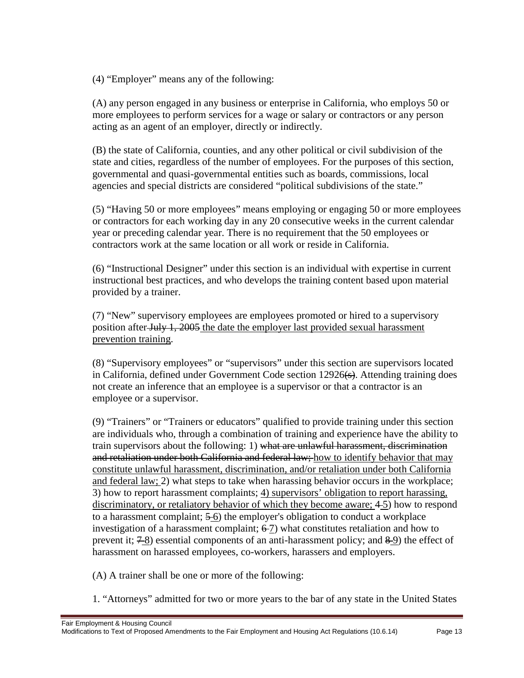(4) "Employer" means any of the following:

(A) any person engaged in any business or enterprise in California, who employs 50 or more employees to perform services for a wage or salary or contractors or any person acting as an agent of an employer, directly or indirectly.

(B) the state of California, counties, and any other political or civil subdivision of the state and cities, regardless of the number of employees. For the purposes of this section, governmental and quasi-governmental entities such as boards, commissions, local agencies and special districts are considered "political subdivisions of the state."

(5) "Having 50 or more employees" means employing or engaging 50 or more employees or contractors for each working day in any 20 consecutive weeks in the current calendar year or preceding calendar year. There is no requirement that the 50 employees or contractors work at the same location or all work or reside in California.

(6) "Instructional Designer" under this section is an individual with expertise in current instructional best practices, and who develops the training content based upon material provided by a trainer.

(7) "New" supervisory employees are employees promoted or hired to a supervisory position after July 1, 2005 the date the employer last provided sexual harassment prevention training.

(8) "Supervisory employees" or "supervisors" under this section are supervisors located in California, defined under Government Code section  $12926 \leftrightarrow$ . Attending training does not create an inference that an employee is a supervisor or that a contractor is an employee or a supervisor.

(9) "Trainers" or "Trainers or educators" qualified to provide training under this section are individuals who, through a combination of training and experience have the ability to train supervisors about the following: 1) what are unlawful harassment, discrimination and retaliation under both California and federal law; how to identify behavior that may constitute unlawful harassment, discrimination, and/or retaliation under both California and federal law; 2) what steps to take when harassing behavior occurs in the workplace; 3) how to report harassment complaints; 4) supervisors' obligation to report harassing, discriminatory, or retaliatory behavior of which they become aware; 4-5) how to respond to a harassment complaint; 5 6) the employer's obligation to conduct a workplace investigation of a harassment complaint;  $6-7$ ) what constitutes retaliation and how to prevent it;  $7-8$ ) essential components of an anti-harassment policy; and  $8-9$ ) the effect of harassment on harassed employees, co-workers, harassers and employers.

(A) A trainer shall be one or more of the following:

1. "Attorneys" admitted for two or more years to the bar of any state in the United States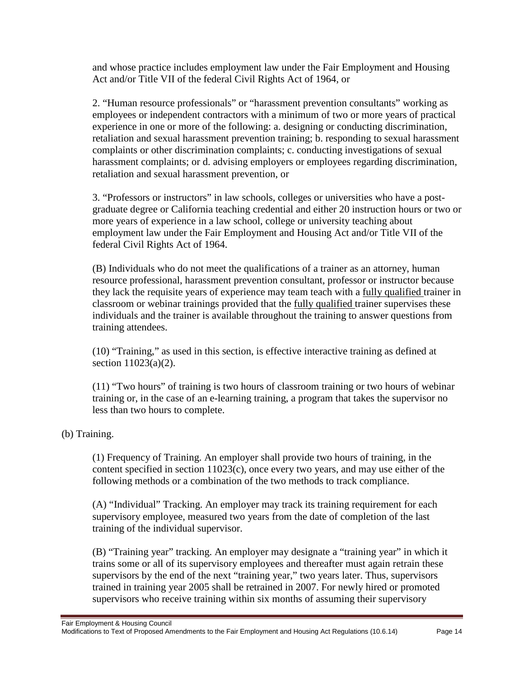and whose practice includes employment law under the Fair Employment and Housing Act and/or Title VII of the federal Civil Rights Act of 1964, or

2. "Human resource professionals" or "harassment prevention consultants" working as employees or independent contractors with a minimum of two or more years of practical experience in one or more of the following: a. designing or conducting discrimination, retaliation and sexual harassment prevention training; b. responding to sexual harassment complaints or other discrimination complaints; c. conducting investigations of sexual harassment complaints; or d. advising employers or employees regarding discrimination, retaliation and sexual harassment prevention, or

3. "Professors or instructors" in law schools, colleges or universities who have a postgraduate degree or California teaching credential and either 20 instruction hours or two or more years of experience in a law school, college or university teaching about employment law under the Fair Employment and Housing Act and/or Title VII of the federal Civil Rights Act of 1964.

(B) Individuals who do not meet the qualifications of a trainer as an attorney, human resource professional, harassment prevention consultant, professor or instructor because they lack the requisite years of experience may team teach with a fully qualified trainer in classroom or webinar trainings provided that the fully qualified trainer supervises these individuals and the trainer is available throughout the training to answer questions from training attendees.

(10) "Training," as used in this section, is effective interactive training as defined at section 11023(a)(2).

(11) "Two hours" of training is two hours of classroom training or two hours of webinar training or, in the case of an e-learning training, a program that takes the supervisor no less than two hours to complete.

#### (b) Training.

(1) Frequency of Training. An employer shall provide two hours of training, in the content specified in section 11023(c), once every two years, and may use either of the following methods or a combination of the two methods to track compliance.

(A) "Individual" Tracking. An employer may track its training requirement for each supervisory employee, measured two years from the date of completion of the last training of the individual supervisor.

(B) "Training year" tracking. An employer may designate a "training year" in which it trains some or all of its supervisory employees and thereafter must again retrain these supervisors by the end of the next "training year," two years later. Thus, supervisors trained in training year 2005 shall be retrained in 2007. For newly hired or promoted supervisors who receive training within six months of assuming their supervisory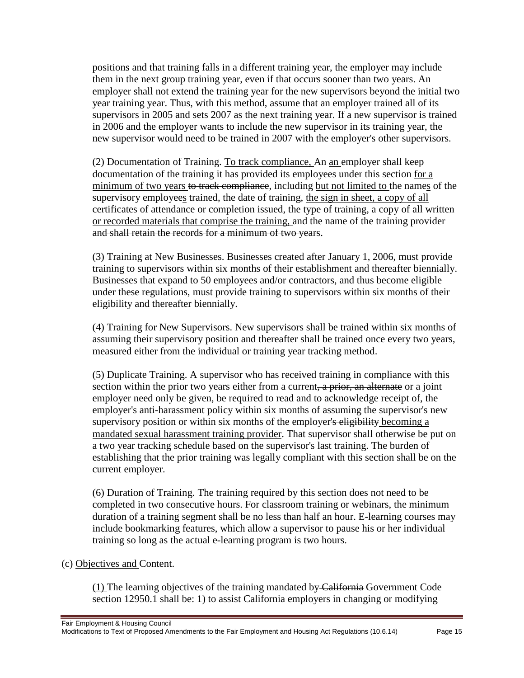positions and that training falls in a different training year, the employer may include them in the next group training year, even if that occurs sooner than two years. An employer shall not extend the training year for the new supervisors beyond the initial two year training year. Thus, with this method, assume that an employer trained all of its supervisors in 2005 and sets 2007 as the next training year. If a new supervisor is trained in 2006 and the employer wants to include the new supervisor in its training year, the new supervisor would need to be trained in 2007 with the employer's other supervisors.

(2) Documentation of Training. To track compliance, An an employer shall keep documentation of the training it has provided its employees under this section for a minimum of two years to track compliance, including but not limited to the names of the supervisory employees trained, the date of training, the sign in sheet, a copy of all certificates of attendance or completion issued, the type of training, a copy of all written or recorded materials that comprise the training, and the name of the training provider and shall retain the records for a minimum of two years.

(3) Training at New Businesses. Businesses created after January 1, 2006, must provide training to supervisors within six months of their establishment and thereafter biennially. Businesses that expand to 50 employees and/or contractors, and thus become eligible under these regulations, must provide training to supervisors within six months of their eligibility and thereafter biennially.

(4) Training for New Supervisors. New supervisors shall be trained within six months of assuming their supervisory position and thereafter shall be trained once every two years, measured either from the individual or training year tracking method.

(5) Duplicate Training. A supervisor who has received training in compliance with this section within the prior two years either from a current, a prior, an alternate or a joint employer need only be given, be required to read and to acknowledge receipt of, the employer's anti-harassment policy within six months of assuming the supervisor's new supervisory position or within six months of the employer's eligibility becoming a mandated sexual harassment training provider. That supervisor shall otherwise be put on a two year tracking schedule based on the supervisor's last training. The burden of establishing that the prior training was legally compliant with this section shall be on the current employer.

(6) Duration of Training. The training required by this section does not need to be completed in two consecutive hours. For classroom training or webinars, the minimum duration of a training segment shall be no less than half an hour. E-learning courses may include bookmarking features, which allow a supervisor to pause his or her individual training so long as the actual e-learning program is two hours.

#### (c) Objectives and Content.

(1) The learning objectives of the training mandated by California Government Code section 12950.1 shall be: 1) to assist California employers in changing or modifying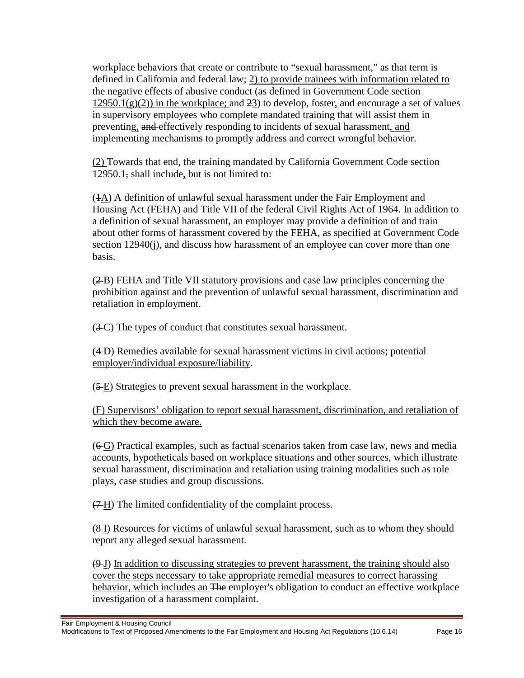workplace behaviors that create or contribute to "sexual harassment," as that term is defined in California and federal law; 2) to provide trainees with information related to the negative effects of abusive conduct (as defined in Government Code section  $12950.1(g)(2)$ ) in the workplace; and  $23$ ) to develop, foster, and encourage a set of values in supervisory employees who complete mandated training that will assist them in preventing, and effectively responding to incidents of sexual harassment, and implementing mechanisms to promptly address and correct wrongful behavior.

(2) Towards that end, the training mandated by California Government Code section 12950.1, shall include, but is not limited to:

 $(1A)$  A definition of unlawful sexual harassment under the Fair Employment and Housing Act (FEHA) and Title VII of the federal Civil Rights Act of 1964. In addition to a definition of sexual harassment, an employer may provide a definition of and train about other forms of harassment covered by the FEHA, as specified at Government Code section 12940(j), and discuss how harassment of an employee can cover more than one basis.

(2 B) FEHA and Title VII statutory provisions and case law principles concerning the prohibition against and the prevention of unlawful sexual harassment, discrimination and retaliation in employment.

(3 C) The types of conduct that constitutes sexual harassment.

 $(4-D)$  Remedies available for sexual harassment victims in civil actions; potential employer/individual exposure/liability.

(5 E) Strategies to prevent sexual harassment in the workplace.

(F) Supervisors' obligation to report sexual harassment, discrimination, and retaliation of which they become aware.

(6 G) Practical examples, such as factual scenarios taken from case law, news and media accounts, hypotheticals based on workplace situations and other sources, which illustrate sexual harassment, discrimination and retaliation using training modalities such as role plays, case studies and group discussions.

(7 H) The limited confidentiality of the complaint process.

(8 I) Resources for victims of unlawful sexual harassment, such as to whom they should report any alleged sexual harassment.

(9 J) In addition to discussing strategies to prevent harassment, the training should also cover the steps necessary to take appropriate remedial measures to correct harassing behavior, which includes an <del>The</del> employer's obligation to conduct an effective workplace investigation of a harassment complaint.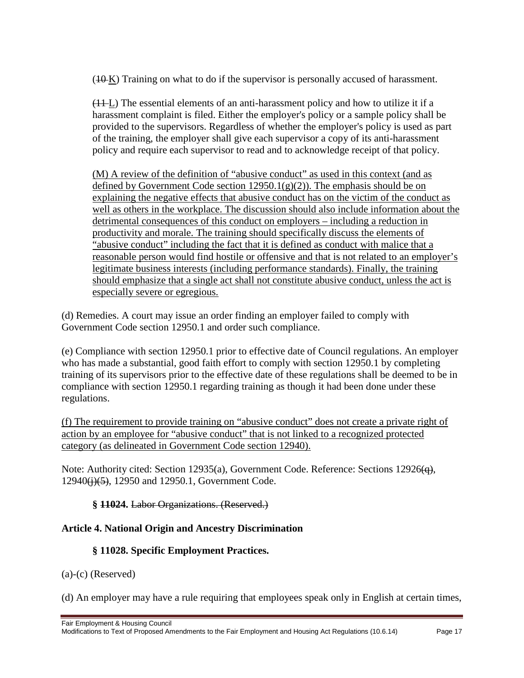$(10 K)$  Training on what to do if the supervisor is personally accused of harassment.

(11 L) The essential elements of an anti-harassment policy and how to utilize it if a harassment complaint is filed. Either the employer's policy or a sample policy shall be provided to the supervisors. Regardless of whether the employer's policy is used as part of the training, the employer shall give each supervisor a copy of its anti-harassment policy and require each supervisor to read and to acknowledge receipt of that policy.

(M) A review of the definition of "abusive conduct" as used in this context (and as defined by Government Code section  $12950.1(g)(2)$ ). The emphasis should be on explaining the negative effects that abusive conduct has on the victim of the conduct as well as others in the workplace. The discussion should also include information about the detrimental consequences of this conduct on employers – including a reduction in productivity and morale. The training should specifically discuss the elements of "abusive conduct" including the fact that it is defined as conduct with malice that a reasonable person would find hostile or offensive and that is not related to an employer's legitimate business interests (including performance standards). Finally, the training should emphasize that a single act shall not constitute abusive conduct, unless the act is especially severe or egregious.

(d) Remedies. A court may issue an order finding an employer failed to comply with Government Code section 12950.1 and order such compliance.

(e) Compliance with section 12950.1 prior to effective date of Council regulations. An employer who has made a substantial, good faith effort to comply with section 12950.1 by completing training of its supervisors prior to the effective date of these regulations shall be deemed to be in compliance with section 12950.1 regarding training as though it had been done under these regulations.

(f) The requirement to provide training on "abusive conduct" does not create a private right of action by an employee for "abusive conduct" that is not linked to a recognized protected category (as delineated in Government Code section 12940).

Note: Authority cited: Section 12935(a), Government Code. Reference: Sections  $12926(\theta)$ , 12940<del>(j)(5)</del>, 12950 and 12950.1, Government Code.

**§ 11024.** Labor Organizations. (Reserved.)

#### **Article 4. National Origin and Ancestry Discrimination**

### **§ 11028. Specific Employment Practices.**

(a)-(c) (Reserved)

(d) An employer may have a rule requiring that employees speak only in English at certain times,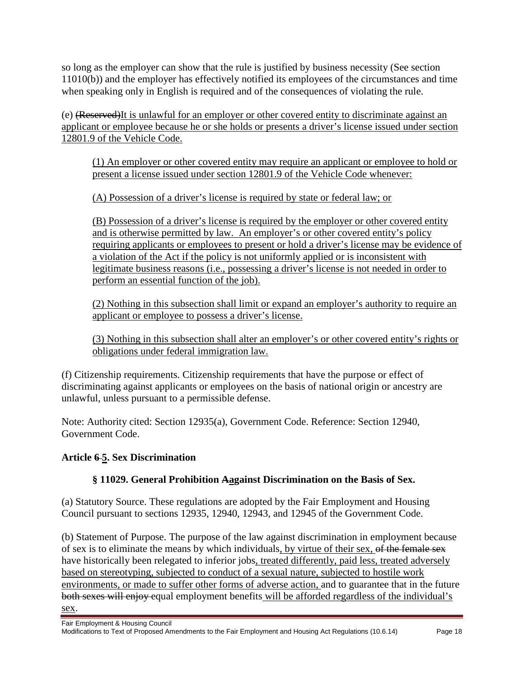so long as the employer can show that the rule is justified by business necessity (See section 11010(b)) and the employer has effectively notified its employees of the circumstances and time when speaking only in English is required and of the consequences of violating the rule.

(e) (Reserved)It is unlawful for an employer or other covered entity to discriminate against an applicant or employee because he or she holds or presents a driver's license issued under section 12801.9 of the Vehicle Code.

(1) An employer or other covered entity may require an applicant or employee to hold or present a license issued under section 12801.9 of the Vehicle Code whenever:

(A) Possession of a driver's license is required by state or federal law; or

(B) Possession of a driver's license is required by the employer or other covered entity and is otherwise permitted by law. An employer's or other covered entity's policy requiring applicants or employees to present or hold a driver's license may be evidence of a violation of the Act if the policy is not uniformly applied or is inconsistent with legitimate business reasons (i.e., possessing a driver's license is not needed in order to perform an essential function of the job).

(2) Nothing in this subsection shall limit or expand an employer's authority to require an applicant or employee to possess a driver's license.

(3) Nothing in this subsection shall alter an employer's or other covered entity's rights or obligations under federal immigration law.

(f) Citizenship requirements. Citizenship requirements that have the purpose or effect of discriminating against applicants or employees on the basis of national origin or ancestry are unlawful, unless pursuant to a permissible defense.

Note: Authority cited: Section 12935(a), Government Code. Reference: Section 12940, Government Code.

## **Article 6 5. Sex Discrimination**

## **§ 11029. General Prohibition Aagainst Discrimination on the Basis of Sex.**

(a) Statutory Source. These regulations are adopted by the Fair Employment and Housing Council pursuant to sections 12935, 12940, 12943, and 12945 of the Government Code.

(b) Statement of Purpose. The purpose of the law against discrimination in employment because of sex is to eliminate the means by which individuals, by virtue of their sex, of the female sex have historically been relegated to inferior jobs, treated differently, paid less, treated adversely based on stereotyping, subjected to conduct of a sexual nature, subjected to hostile work environments, or made to suffer other forms of adverse action, and to guarantee that in the future both sexes will enjoy equal employment benefits will be afforded regardless of the individual's sex.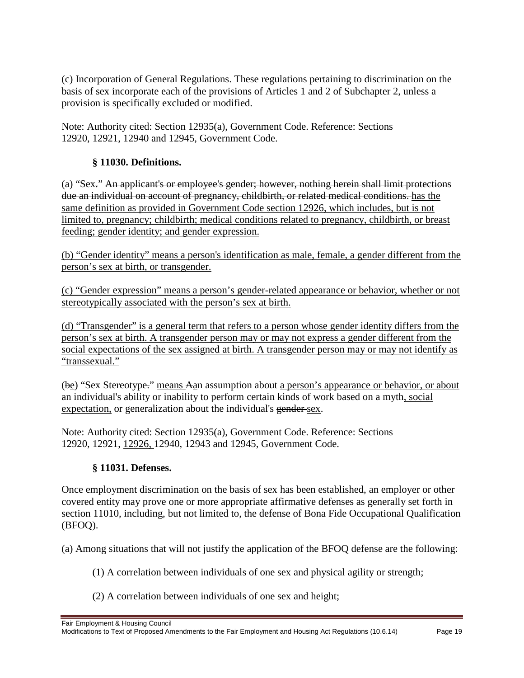(c) Incorporation of General Regulations. These regulations pertaining to discrimination on the basis of sex incorporate each of the provisions of Articles 1 and 2 of Subchapter 2, unless a provision is specifically excluded or modified.

Note: Authority cited: Section 12935(a), Government Code. Reference: Sections 12920, 12921, 12940 and 12945, Government Code.

## **§ 11030. Definitions.**

(a) "Sex." An applicant's or employee's gender; however, nothing herein shall limit protections due an individual on account of pregnancy, childbirth, or related medical conditions. has the same definition as provided in Government Code section 12926, which includes, but is not limited to, pregnancy; childbirth; medical conditions related to pregnancy, childbirth, or breast feeding; gender identity; and gender expression.

(b) "Gender identity" means a person's identification as male, female, a gender different from the person's sex at birth, or transgender.

(c) "Gender expression" means a person's gender-related appearance or behavior, whether or not stereotypically associated with the person's sex at birth.

(d) "Transgender" is a general term that refers to a person whose gender identity differs from the person's sex at birth. A transgender person may or may not express a gender different from the social expectations of the sex assigned at birth. A transgender person may or may not identify as "transsexual."

(be) "Sex Stereotype." means Aan assumption about a person's appearance or behavior, or about an individual's ability or inability to perform certain kinds of work based on a myth, social expectation, or generalization about the individual's gender sex.

Note: Authority cited: Section 12935(a), Government Code. Reference: Sections 12920, 12921, 12926, 12940, 12943 and 12945, Government Code.

## **§ 11031. Defenses.**

Once employment discrimination on the basis of sex has been established, an employer or other covered entity may prove one or more appropriate affirmative defenses as generally set forth in section 11010, including, but not limited to, the defense of Bona Fide Occupational Qualification (BFOQ).

(a) Among situations that will not justify the application of the BFOQ defense are the following:

- (1) A correlation between individuals of one sex and physical agility or strength;
- (2) A correlation between individuals of one sex and height;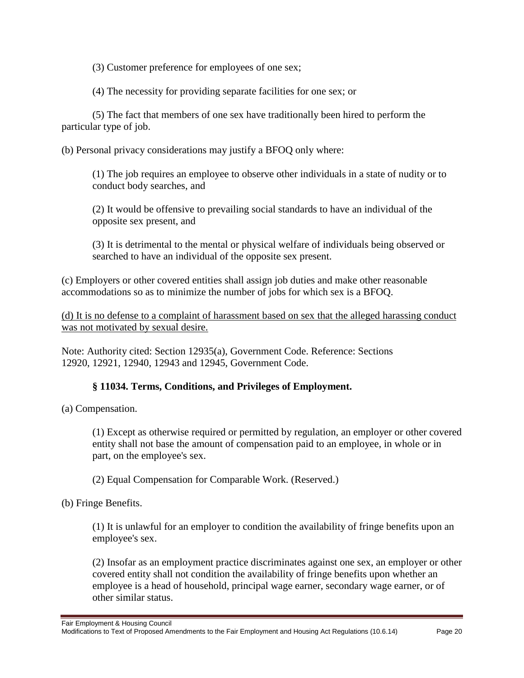(3) Customer preference for employees of one sex;

(4) The necessity for providing separate facilities for one sex; or

(5) The fact that members of one sex have traditionally been hired to perform the particular type of job.

(b) Personal privacy considerations may justify a BFOQ only where:

(1) The job requires an employee to observe other individuals in a state of nudity or to conduct body searches, and

(2) It would be offensive to prevailing social standards to have an individual of the opposite sex present, and

(3) It is detrimental to the mental or physical welfare of individuals being observed or searched to have an individual of the opposite sex present.

(c) Employers or other covered entities shall assign job duties and make other reasonable accommodations so as to minimize the number of jobs for which sex is a BFOQ.

(d) It is no defense to a complaint of harassment based on sex that the alleged harassing conduct was not motivated by sexual desire.

Note: Authority cited: Section 12935(a), Government Code. Reference: Sections 12920, 12921, 12940, 12943 and 12945, Government Code.

#### **§ 11034. Terms, Conditions, and Privileges of Employment.**

(a) Compensation.

(1) Except as otherwise required or permitted by regulation, an employer or other covered entity shall not base the amount of compensation paid to an employee, in whole or in part, on the employee's sex.

(2) Equal Compensation for Comparable Work. (Reserved.)

(b) Fringe Benefits.

(1) It is unlawful for an employer to condition the availability of fringe benefits upon an employee's sex.

(2) Insofar as an employment practice discriminates against one sex, an employer or other covered entity shall not condition the availability of fringe benefits upon whether an employee is a head of household, principal wage earner, secondary wage earner, or of other similar status.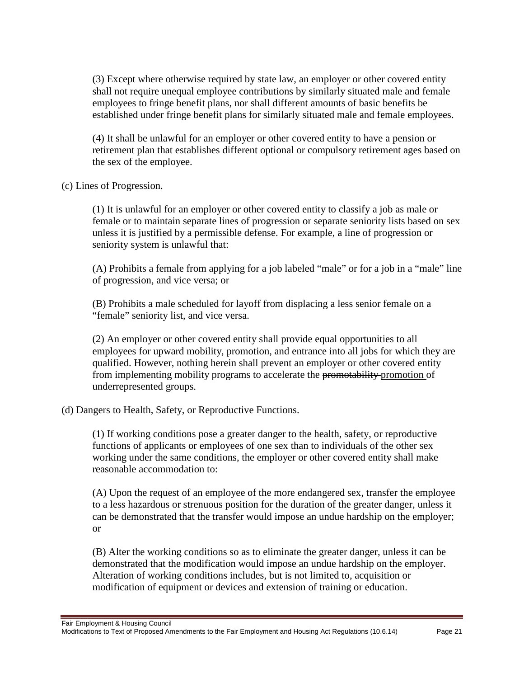(3) Except where otherwise required by state law, an employer or other covered entity shall not require unequal employee contributions by similarly situated male and female employees to fringe benefit plans, nor shall different amounts of basic benefits be established under fringe benefit plans for similarly situated male and female employees.

(4) It shall be unlawful for an employer or other covered entity to have a pension or retirement plan that establishes different optional or compulsory retirement ages based on the sex of the employee.

(c) Lines of Progression.

(1) It is unlawful for an employer or other covered entity to classify a job as male or female or to maintain separate lines of progression or separate seniority lists based on sex unless it is justified by a permissible defense. For example, a line of progression or seniority system is unlawful that:

(A) Prohibits a female from applying for a job labeled "male" or for a job in a "male" line of progression, and vice versa; or

(B) Prohibits a male scheduled for layoff from displacing a less senior female on a "female" seniority list, and vice versa.

(2) An employer or other covered entity shall provide equal opportunities to all employees for upward mobility, promotion, and entrance into all jobs for which they are qualified. However, nothing herein shall prevent an employer or other covered entity from implementing mobility programs to accelerate the promotability-promotion of underrepresented groups.

(d) Dangers to Health, Safety, or Reproductive Functions.

(1) If working conditions pose a greater danger to the health, safety, or reproductive functions of applicants or employees of one sex than to individuals of the other sex working under the same conditions, the employer or other covered entity shall make reasonable accommodation to:

(A) Upon the request of an employee of the more endangered sex, transfer the employee to a less hazardous or strenuous position for the duration of the greater danger, unless it can be demonstrated that the transfer would impose an undue hardship on the employer; or

(B) Alter the working conditions so as to eliminate the greater danger, unless it can be demonstrated that the modification would impose an undue hardship on the employer. Alteration of working conditions includes, but is not limited to, acquisition or modification of equipment or devices and extension of training or education.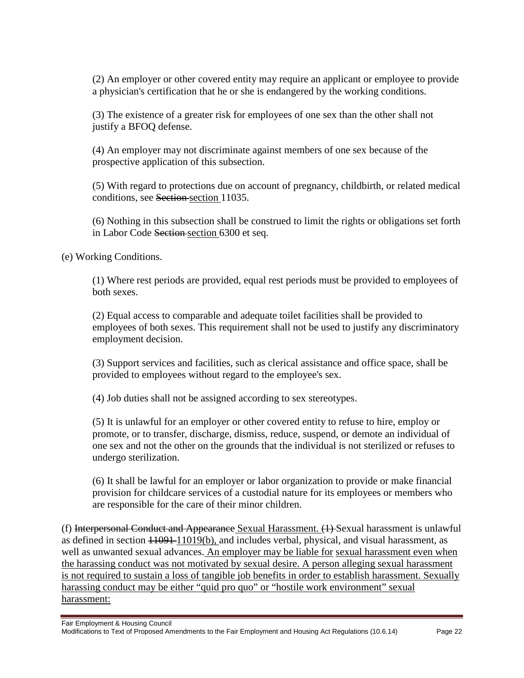(2) An employer or other covered entity may require an applicant or employee to provide a physician's certification that he or she is endangered by the working conditions.

(3) The existence of a greater risk for employees of one sex than the other shall not justify a BFOQ defense.

(4) An employer may not discriminate against members of one sex because of the prospective application of this subsection.

(5) With regard to protections due on account of pregnancy, childbirth, or related medical conditions, see Section section 11035.

(6) Nothing in this subsection shall be construed to limit the rights or obligations set forth in Labor Code Section section 6300 et seq.

(e) Working Conditions.

(1) Where rest periods are provided, equal rest periods must be provided to employees of both sexes.

(2) Equal access to comparable and adequate toilet facilities shall be provided to employees of both sexes. This requirement shall not be used to justify any discriminatory employment decision.

(3) Support services and facilities, such as clerical assistance and office space, shall be provided to employees without regard to the employee's sex.

(4) Job duties shall not be assigned according to sex stereotypes.

(5) It is unlawful for an employer or other covered entity to refuse to hire, employ or promote, or to transfer, discharge, dismiss, reduce, suspend, or demote an individual of one sex and not the other on the grounds that the individual is not sterilized or refuses to undergo sterilization.

(6) It shall be lawful for an employer or labor organization to provide or make financial provision for childcare services of a custodial nature for its employees or members who are responsible for the care of their minor children.

(f) Interpersonal Conduct and Appearance Sexual Harassment. (1) Sexual harassment is unlawful as defined in section  $\frac{11091}{11019(b)}$ , and includes verbal, physical, and visual harassment, as well as unwanted sexual advances. An employer may be liable for sexual harassment even when the harassing conduct was not motivated by sexual desire. A person alleging sexual harassment is not required to sustain a loss of tangible job benefits in order to establish harassment. Sexually harassing conduct may be either "quid pro quo" or "hostile work environment" sexual harassment:

Fair Employment & Housing Council Modifications to Text of Proposed Amendments to the Fair Employment and Housing Act Regulations (10.6.14) Page 22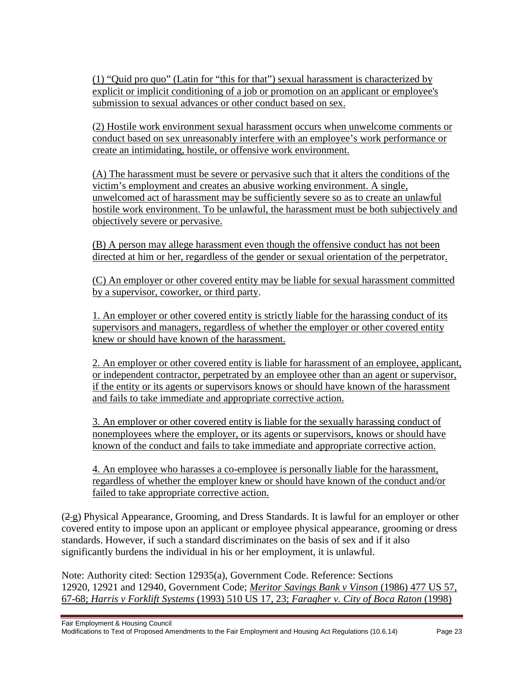(1) "Quid pro quo" (Latin for "this for that") sexual harassment is characterized by explicit or implicit conditioning of a job or promotion on an applicant or employee's submission to sexual advances or other conduct based on sex.

(2) Hostile work environment sexual harassment occurs when unwelcome comments or conduct based on sex unreasonably interfere with an employee's work performance or create an intimidating, hostile, or offensive work environment.

(A) The harassment must be severe or pervasive such that it alters the conditions of the victim's employment and creates an abusive working environment. A single, unwelcomed act of harassment may be sufficiently severe so as to create an unlawful hostile work environment. To be unlawful, the harassment must be both subjectively and objectively severe or pervasive.

(B) A person may allege harassment even though the offensive conduct has not been directed at him or her, regardless of the gender or sexual orientation of the perpetrator.

(C) An employer or other covered entity may be liable for sexual harassment committed by a supervisor, coworker, or third party.

1. An employer or other covered entity is strictly liable for the harassing conduct of its supervisors and managers, regardless of whether the employer or other covered entity knew or should have known of the harassment.

2. An employer or other covered entity is liable for harassment of an employee, applicant, or independent contractor, perpetrated by an employee other than an agent or supervisor, if the entity or its agents or supervisors knows or should have known of the harassment and fails to take immediate and appropriate corrective action.

3. An employer or other covered entity is liable for the sexually harassing conduct of nonemployees where the employer, or its agents or supervisors, knows or should have known of the conduct and fails to take immediate and appropriate corrective action.

4. An employee who harasses a co-employee is personally liable for the harassment, regardless of whether the employer knew or should have known of the conduct and/or failed to take appropriate corrective action.

(2 g) Physical Appearance, Grooming, and Dress Standards. It is lawful for an employer or other covered entity to impose upon an applicant or employee physical appearance, grooming or dress standards. However, if such a standard discriminates on the basis of sex and if it also significantly burdens the individual in his or her employment, it is unlawful.

Note: Authority cited: Section 12935(a), Government Code. Reference: Sections 12920, 12921 and 12940, Government Code; *Meritor Savings Bank v Vinson* (1986) 477 US 57, 67-68; *Harris v Forklift Systems* (1993) 510 US 17, 23; *Faragher v. City of Boca Raton* (1998)

Fair Employment & Housing Council

Modifications to Text of Proposed Amendments to the Fair Employment and Housing Act Regulations (10.6.14) Page 23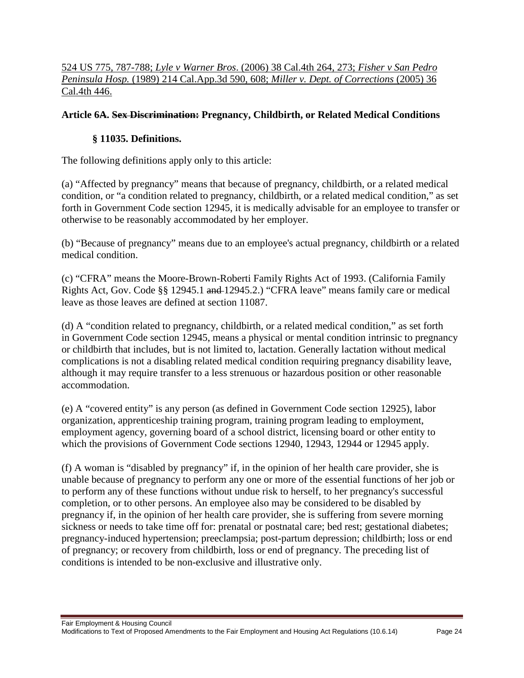524 US 775, 787-788; *Lyle v Warner Bros*. (2006) 38 Cal.4th 264, 273; *Fisher v San Pedro Peninsula Hosp.* (1989) 214 Cal.App.3d 590, 608; *Miller v. Dept. of Corrections* (2005) 36 Cal.4th 446.

### **Article 6A. Sex Discrimination: Pregnancy, Childbirth, or Related Medical Conditions**

### **§ 11035. Definitions.**

The following definitions apply only to this article:

(a) "Affected by pregnancy" means that because of pregnancy, childbirth, or a related medical condition, or "a condition related to pregnancy, childbirth, or a related medical condition," as set forth in Government Code section 12945, it is medically advisable for an employee to transfer or otherwise to be reasonably accommodated by her employer.

(b) "Because of pregnancy" means due to an employee's actual pregnancy, childbirth or a related medical condition.

(c) "CFRA" means the Moore-Brown-Roberti Family Rights Act of 1993. (California Family Rights Act, Gov. Code §§ 12945.1 and 12945.2.) "CFRA leave" means family care or medical leave as those leaves are defined at section 11087.

(d) A "condition related to pregnancy, childbirth, or a related medical condition," as set forth in Government Code section 12945, means a physical or mental condition intrinsic to pregnancy or childbirth that includes, but is not limited to, lactation. Generally lactation without medical complications is not a disabling related medical condition requiring pregnancy disability leave, although it may require transfer to a less strenuous or hazardous position or other reasonable accommodation.

(e) A "covered entity" is any person (as defined in Government Code section 12925), labor organization, apprenticeship training program, training program leading to employment, employment agency, governing board of a school district, licensing board or other entity to which the provisions of Government Code sections 12940, 12943, 12944 or 12945 apply.

(f) A woman is "disabled by pregnancy" if, in the opinion of her health care provider, she is unable because of pregnancy to perform any one or more of the essential functions of her job or to perform any of these functions without undue risk to herself, to her pregnancy's successful completion, or to other persons. An employee also may be considered to be disabled by pregnancy if, in the opinion of her health care provider, she is suffering from severe morning sickness or needs to take time off for: prenatal or postnatal care; bed rest; gestational diabetes; pregnancy-induced hypertension; preeclampsia; post-partum depression; childbirth; loss or end of pregnancy; or recovery from childbirth, loss or end of pregnancy. The preceding list of conditions is intended to be non-exclusive and illustrative only.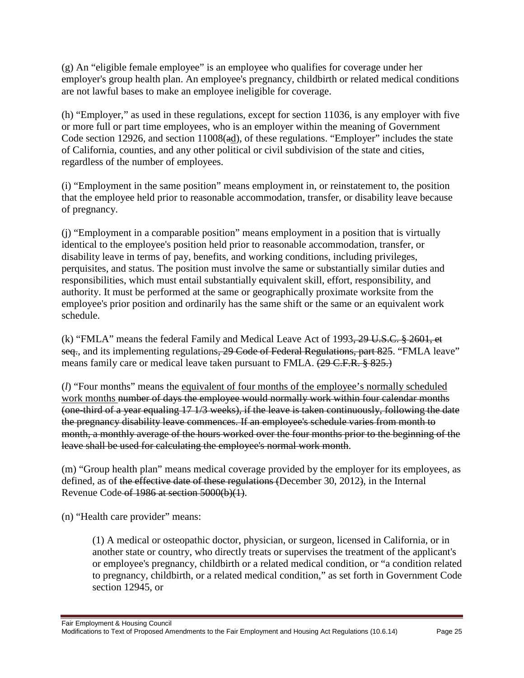(g) An "eligible female employee" is an employee who qualifies for coverage under her employer's group health plan. An employee's pregnancy, childbirth or related medical conditions are not lawful bases to make an employee ineligible for coverage.

(h) "Employer," as used in these regulations, except for section 11036, is any employer with five or more full or part time employees, who is an employer within the meaning of Government Code section 12926, and section 11008(ad), of these regulations. "Employer" includes the state of California, counties, and any other political or civil subdivision of the state and cities, regardless of the number of employees.

(i) "Employment in the same position" means employment in, or reinstatement to, the position that the employee held prior to reasonable accommodation, transfer, or disability leave because of pregnancy.

(j) "Employment in a comparable position" means employment in a position that is virtually identical to the employee's position held prior to reasonable accommodation, transfer, or disability leave in terms of pay, benefits, and working conditions, including privileges, perquisites, and status. The position must involve the same or substantially similar duties and responsibilities, which must entail substantially equivalent skill, effort, responsibility, and authority. It must be performed at the same or geographically proximate worksite from the employee's prior position and ordinarily has the same shift or the same or an equivalent work schedule.

(k) "FMLA" means the federal Family and Medical Leave Act of 1993,  $\frac{29 \text{ U.S.C. } }{32601}$ , et seq., and its implementing regulations, 29 Code of Federal Regulations, part 825. "FMLA leave" means family care or medical leave taken pursuant to FMLA. (29 C.F.R. § 825.)

(*l*) "Four months" means the equivalent of four months of the employee's normally scheduled work months number of days the employee would normally work within four calendar months (one-third of a year equaling 17 1/3 weeks), if the leave is taken continuously, following the date the pregnancy disability leave commences. If an employee's schedule varies from month to month, a monthly average of the hours worked over the four months prior to the beginning of the leave shall be used for calculating the employee's normal work month.

(m) "Group health plan" means medical coverage provided by the employer for its employees, as defined, as of the effective date of these regulations (December 30, 2012), in the Internal Revenue Code of 1986 at section 5000(b)(1).

(n) "Health care provider" means:

(1) A medical or osteopathic doctor, physician, or surgeon, licensed in California, or in another state or country, who directly treats or supervises the treatment of the applicant's or employee's pregnancy, childbirth or a related medical condition, or "a condition related to pregnancy, childbirth, or a related medical condition," as set forth in Government Code section 12945, or

Fair Employment & Housing Council Modifications to Text of Proposed Amendments to the Fair Employment and Housing Act Regulations (10.6.14) Page 25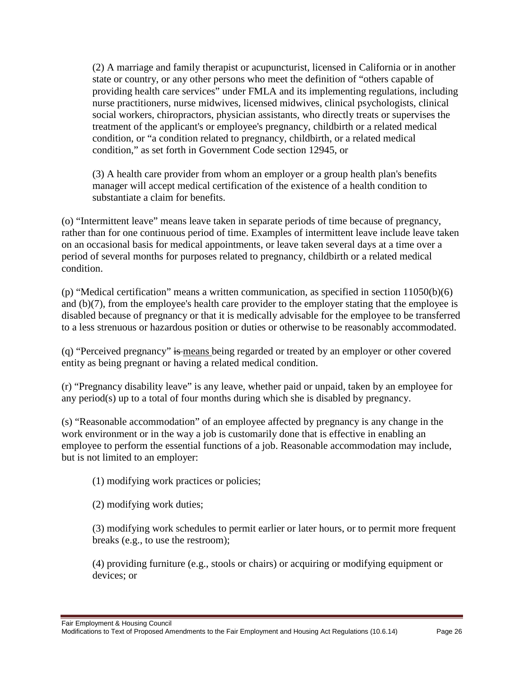(2) A marriage and family therapist or acupuncturist, licensed in California or in another state or country, or any other persons who meet the definition of "others capable of providing health care services" under FMLA and its implementing regulations, including nurse practitioners, nurse midwives, licensed midwives, clinical psychologists, clinical social workers, chiropractors, physician assistants, who directly treats or supervises the treatment of the applicant's or employee's pregnancy, childbirth or a related medical condition, or "a condition related to pregnancy, childbirth, or a related medical condition," as set forth in Government Code section 12945, or

(3) A health care provider from whom an employer or a group health plan's benefits manager will accept medical certification of the existence of a health condition to substantiate a claim for benefits.

(o) "Intermittent leave" means leave taken in separate periods of time because of pregnancy, rather than for one continuous period of time. Examples of intermittent leave include leave taken on an occasional basis for medical appointments, or leave taken several days at a time over a period of several months for purposes related to pregnancy, childbirth or a related medical condition.

(p) "Medical certification" means a written communication, as specified in section 11050(b)(6) and (b)(7), from the employee's health care provider to the employer stating that the employee is disabled because of pregnancy or that it is medically advisable for the employee to be transferred to a less strenuous or hazardous position or duties or otherwise to be reasonably accommodated.

(q) "Perceived pregnancy" is means being regarded or treated by an employer or other covered entity as being pregnant or having a related medical condition.

(r) "Pregnancy disability leave" is any leave, whether paid or unpaid, taken by an employee for any period(s) up to a total of four months during which she is disabled by pregnancy.

(s) "Reasonable accommodation" of an employee affected by pregnancy is any change in the work environment or in the way a job is customarily done that is effective in enabling an employee to perform the essential functions of a job. Reasonable accommodation may include, but is not limited to an employer:

(1) modifying work practices or policies;

(2) modifying work duties;

(3) modifying work schedules to permit earlier or later hours, or to permit more frequent breaks (e.g., to use the restroom);

(4) providing furniture (e.g., stools or chairs) or acquiring or modifying equipment or devices; or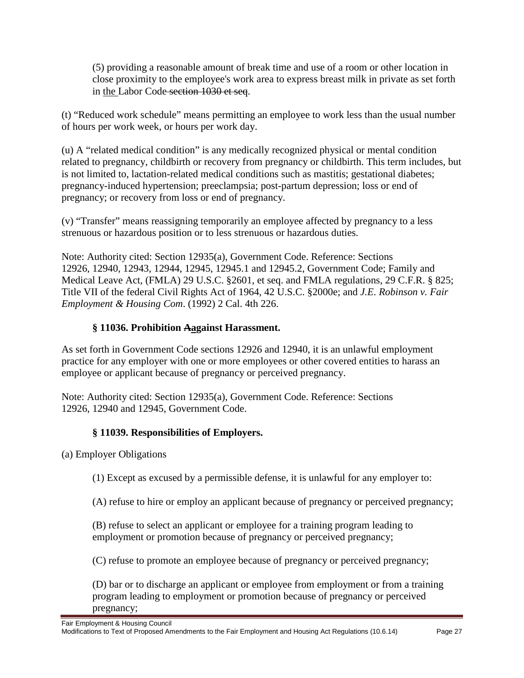(5) providing a reasonable amount of break time and use of a room or other location in close proximity to the employee's work area to express breast milk in private as set forth in the Labor Code section 1030 et seq.

(t) "Reduced work schedule" means permitting an employee to work less than the usual number of hours per work week, or hours per work day.

(u) A "related medical condition" is any medically recognized physical or mental condition related to pregnancy, childbirth or recovery from pregnancy or childbirth. This term includes, but is not limited to, lactation-related medical conditions such as mastitis; gestational diabetes; pregnancy-induced hypertension; preeclampsia; post-partum depression; loss or end of pregnancy; or recovery from loss or end of pregnancy.

(v) "Transfer" means reassigning temporarily an employee affected by pregnancy to a less strenuous or hazardous position or to less strenuous or hazardous duties.

Note: Authority cited: Section 12935(a), Government Code. Reference: Sections 12926, 12940, 12943, 12944, 12945, 12945.1 and 12945.2, Government Code; Family and Medical Leave Act, (FMLA) 29 U.S.C. §2601, et seq. and FMLA regulations, 29 C.F.R. § 825; Title VII of the federal Civil Rights Act of 1964, 42 U.S.C. §2000e; and *J.E. Robinson v. Fair Employment & Housing Com*. (1992) 2 Cal. 4th 226.

## **§ 11036. Prohibition Aagainst Harassment.**

As set forth in Government Code sections 12926 and 12940, it is an unlawful employment practice for any employer with one or more employees or other covered entities to harass an employee or applicant because of pregnancy or perceived pregnancy.

Note: Authority cited: Section 12935(a), Government Code. Reference: Sections 12926, 12940 and 12945, Government Code.

## **§ 11039. Responsibilities of Employers.**

(a) Employer Obligations

(1) Except as excused by a permissible defense, it is unlawful for any employer to:

(A) refuse to hire or employ an applicant because of pregnancy or perceived pregnancy;

(B) refuse to select an applicant or employee for a training program leading to employment or promotion because of pregnancy or perceived pregnancy;

(C) refuse to promote an employee because of pregnancy or perceived pregnancy;

(D) bar or to discharge an applicant or employee from employment or from a training program leading to employment or promotion because of pregnancy or perceived pregnancy;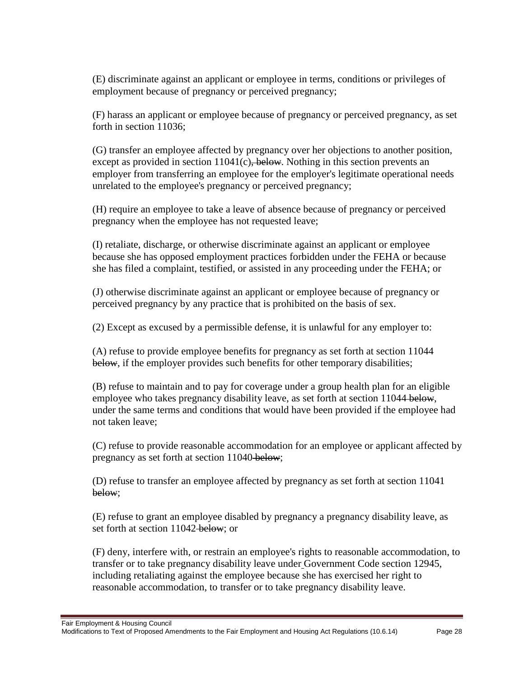(E) discriminate against an applicant or employee in terms, conditions or privileges of employment because of pregnancy or perceived pregnancy;

(F) harass an applicant or employee because of pregnancy or perceived pregnancy, as set forth in section 11036;

(G) transfer an employee affected by pregnancy over her objections to another position, except as provided in section  $11041(c)$ , below. Nothing in this section prevents an employer from transferring an employee for the employer's legitimate operational needs unrelated to the employee's pregnancy or perceived pregnancy;

(H) require an employee to take a leave of absence because of pregnancy or perceived pregnancy when the employee has not requested leave;

(I) retaliate, discharge, or otherwise discriminate against an applicant or employee because she has opposed employment practices forbidden under the FEHA or because she has filed a complaint, testified, or assisted in any proceeding under the FEHA; or

(J) otherwise discriminate against an applicant or employee because of pregnancy or perceived pregnancy by any practice that is prohibited on the basis of sex.

(2) Except as excused by a permissible defense, it is unlawful for any employer to:

(A) refuse to provide employee benefits for pregnancy as set forth at section 11044 below, if the employer provides such benefits for other temporary disabilities;

(B) refuse to maintain and to pay for coverage under a group health plan for an eligible employee who takes pregnancy disability leave, as set forth at section 11044 below, under the same terms and conditions that would have been provided if the employee had not taken leave;

(C) refuse to provide reasonable accommodation for an employee or applicant affected by pregnancy as set forth at section 11040-below;

(D) refuse to transfer an employee affected by pregnancy as set forth at section 11041 below;

(E) refuse to grant an employee disabled by pregnancy a pregnancy disability leave, as set forth at section 11042-below; or

(F) deny, interfere with, or restrain an employee's rights to reasonable accommodation, to transfer or to take pregnancy disability leave under Government Code section 12945, including retaliating against the employee because she has exercised her right to reasonable accommodation, to transfer or to take pregnancy disability leave.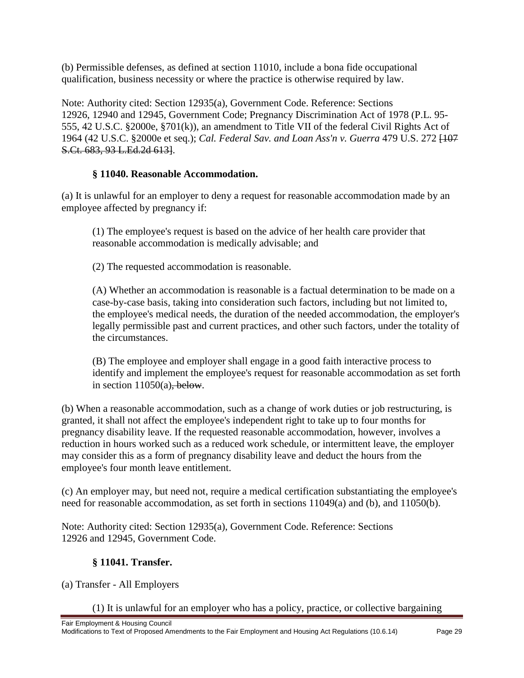(b) Permissible defenses, as defined at section 11010, include a bona fide occupational qualification, business necessity or where the practice is otherwise required by law.

Note: Authority cited: Section 12935(a), Government Code. Reference: Sections 12926, 12940 and 12945, Government Code; Pregnancy Discrimination Act of 1978 (P.L. 95- 555, 42 U.S.C. §2000e, §701(k)), an amendment to Title VII of the federal Civil Rights Act of 1964 (42 U.S.C. §2000e et seq.); *Cal. Federal Sav. and Loan Ass'n v. Guerra* 479 U.S. 272 <del>[107</del>] S.Ct. 683, 93 L.Ed.2d 613].

## **§ 11040. Reasonable Accommodation.**

(a) It is unlawful for an employer to deny a request for reasonable accommodation made by an employee affected by pregnancy if:

(1) The employee's request is based on the advice of her health care provider that reasonable accommodation is medically advisable; and

(2) The requested accommodation is reasonable.

(A) Whether an accommodation is reasonable is a factual determination to be made on a case-by-case basis, taking into consideration such factors, including but not limited to, the employee's medical needs, the duration of the needed accommodation, the employer's legally permissible past and current practices, and other such factors, under the totality of the circumstances.

(B) The employee and employer shall engage in a good faith interactive process to identify and implement the employee's request for reasonable accommodation as set forth in section  $11050(a)$ , below.

(b) When a reasonable accommodation, such as a change of work duties or job restructuring, is granted, it shall not affect the employee's independent right to take up to four months for pregnancy disability leave. If the requested reasonable accommodation, however, involves a reduction in hours worked such as a reduced work schedule, or intermittent leave, the employer may consider this as a form of pregnancy disability leave and deduct the hours from the employee's four month leave entitlement.

(c) An employer may, but need not, require a medical certification substantiating the employee's need for reasonable accommodation, as set forth in sections 11049(a) and (b), and 11050(b).

Note: Authority cited: Section 12935(a), Government Code. Reference: Sections 12926 and 12945, Government Code.

## **§ 11041. Transfer.**

(a) Transfer - All Employers

(1) It is unlawful for an employer who has a policy, practice, or collective bargaining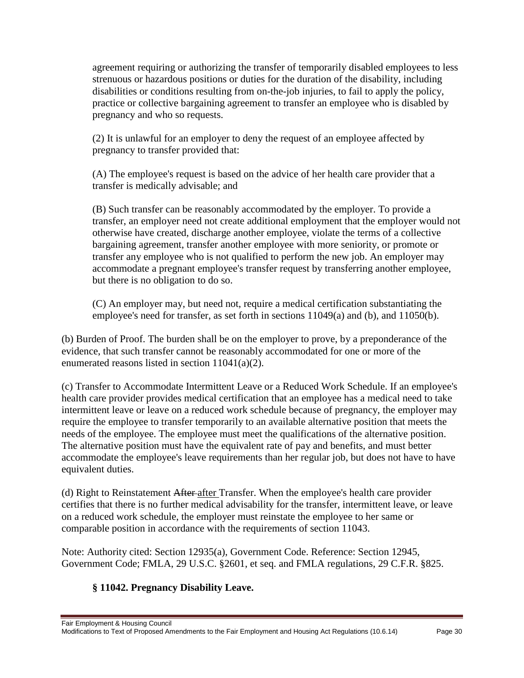agreement requiring or authorizing the transfer of temporarily disabled employees to less strenuous or hazardous positions or duties for the duration of the disability, including disabilities or conditions resulting from on-the-job injuries, to fail to apply the policy, practice or collective bargaining agreement to transfer an employee who is disabled by pregnancy and who so requests.

(2) It is unlawful for an employer to deny the request of an employee affected by pregnancy to transfer provided that:

(A) The employee's request is based on the advice of her health care provider that a transfer is medically advisable; and

(B) Such transfer can be reasonably accommodated by the employer. To provide a transfer, an employer need not create additional employment that the employer would not otherwise have created, discharge another employee, violate the terms of a collective bargaining agreement, transfer another employee with more seniority, or promote or transfer any employee who is not qualified to perform the new job. An employer may accommodate a pregnant employee's transfer request by transferring another employee, but there is no obligation to do so.

(C) An employer may, but need not, require a medical certification substantiating the employee's need for transfer, as set forth in sections 11049(a) and (b), and 11050(b).

(b) Burden of Proof. The burden shall be on the employer to prove, by a preponderance of the evidence, that such transfer cannot be reasonably accommodated for one or more of the enumerated reasons listed in section 11041(a)(2).

(c) Transfer to Accommodate Intermittent Leave or a Reduced Work Schedule. If an employee's health care provider provides medical certification that an employee has a medical need to take intermittent leave or leave on a reduced work schedule because of pregnancy, the employer may require the employee to transfer temporarily to an available alternative position that meets the needs of the employee. The employee must meet the qualifications of the alternative position. The alternative position must have the equivalent rate of pay and benefits, and must better accommodate the employee's leave requirements than her regular job, but does not have to have equivalent duties.

(d) Right to Reinstatement After after Transfer. When the employee's health care provider certifies that there is no further medical advisability for the transfer, intermittent leave, or leave on a reduced work schedule, the employer must reinstate the employee to her same or comparable position in accordance with the requirements of section 11043.

Note: Authority cited: Section 12935(a), Government Code. Reference: Section 12945, Government Code; FMLA, 29 U.S.C. §2601, et seq. and FMLA regulations, 29 C.F.R. §825.

### **§ 11042. Pregnancy Disability Leave.**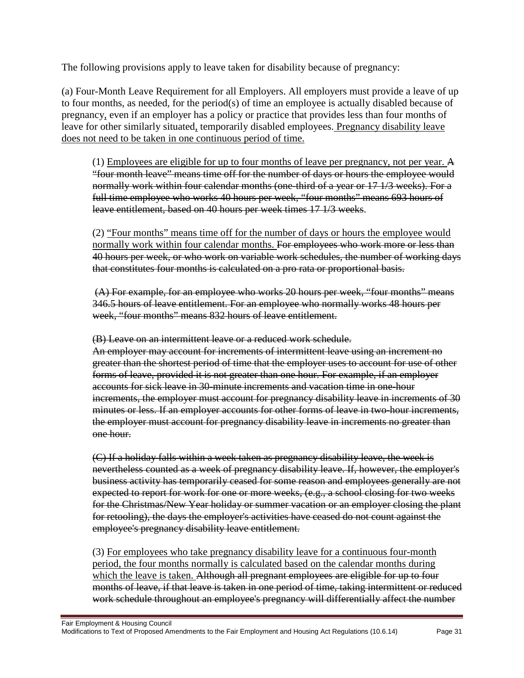The following provisions apply to leave taken for disability because of pregnancy:

(a) Four-Month Leave Requirement for all Employers. All employers must provide a leave of up to four months, as needed, for the period(s) of time an employee is actually disabled because of pregnancy, even if an employer has a policy or practice that provides less than four months of leave for other similarly situated, temporarily disabled employees. Pregnancy disability leave does not need to be taken in one continuous period of time.

(1) Employees are eligible for up to four months of leave per pregnancy, not per year. A "four month leave" means time off for the number of days or hours the employee would normally work within four calendar months (one-third of a year or 17 1/3 weeks). For a full time employee who works 40 hours per week, "four months" means 693 hours of leave entitlement, based on 40 hours per week times 17 1/3 weeks.

(2) "Four months" means time off for the number of days or hours the employee would normally work within four calendar months. For employees who work more or less than 40 hours per week, or who work on variable work schedules, the number of working days that constitutes four months is calculated on a pro rata or proportional basis.

(A) For example, for an employee who works 20 hours per week, "four months" means 346.5 hours of leave entitlement. For an employee who normally works 48 hours per week, "four months" means 832 hours of leave entitlement.

(B) Leave on an intermittent leave or a reduced work schedule.

An employer may account for increments of intermittent leave using an increment no greater than the shortest period of time that the employer uses to account for use of other forms of leave, provided it is not greater than one hour. For example, if an employer accounts for sick leave in 30-minute increments and vacation time in one-hour increments, the employer must account for pregnancy disability leave in increments of 30 minutes or less. If an employer accounts for other forms of leave in two-hour increments, the employer must account for pregnancy disability leave in increments no greater than one hour.

(C) If a holiday falls within a week taken as pregnancy disability leave, the week is nevertheless counted as a week of pregnancy disability leave. If, however, the employer's business activity has temporarily ceased for some reason and employees generally are not expected to report for work for one or more weeks, (e.g., a school closing for two weeks for the Christmas/New Year holiday or summer vacation or an employer closing the plant for retooling), the days the employer's activities have ceased do not count against the employee's pregnancy disability leave entitlement.

(3) For employees who take pregnancy disability leave for a continuous four-month period, the four months normally is calculated based on the calendar months during which the leave is taken. Although all pregnant employees are eligible for up to four months of leave, if that leave is taken in one period of time, taking intermittent or reduced work schedule throughout an employee's pregnancy will differentially affect the number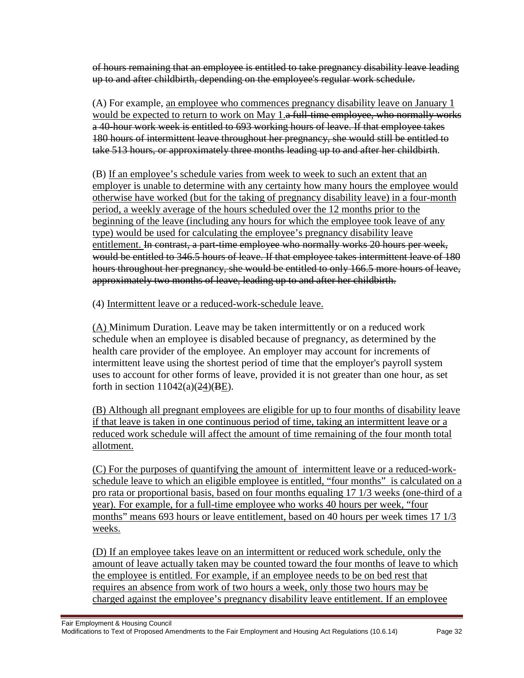of hours remaining that an employee is entitled to take pregnancy disability leave leading up to and after childbirth, depending on the employee's regular work schedule.

(A) For example, an employee who commences pregnancy disability leave on January 1 would be expected to return to work on May 1.a full-time employee, who normally works a 40-hour work week is entitled to 693 working hours of leave. If that employee takes 180 hours of intermittent leave throughout her pregnancy, she would still be entitled to take 513 hours, or approximately three months leading up to and after her childbirth.

(B) If an employee's schedule varies from week to week to such an extent that an employer is unable to determine with any certainty how many hours the employee would otherwise have worked (but for the taking of pregnancy disability leave) in a four-month period, a weekly average of the hours scheduled over the 12 months prior to the beginning of the leave (including any hours for which the employee took leave of any type) would be used for calculating the employee's pregnancy disability leave entitlement. In contrast, a part-time employee who normally works 20 hours per week, would be entitled to 346.5 hours of leave. If that employee takes intermittent leave of 180 hours throughout her pregnancy, she would be entitled to only 166.5 more hours of leave, approximately two months of leave, leading up to and after her childbirth.

(4) Intermittent leave or a reduced-work-schedule leave.

(A) Minimum Duration. Leave may be taken intermittently or on a reduced work schedule when an employee is disabled because of pregnancy, as determined by the health care provider of the employee. An employer may account for increments of intermittent leave using the shortest period of time that the employer's payroll system uses to account for other forms of leave, provided it is not greater than one hour, as set forth in section  $11042(a)(24)(BE)$ .

(B) Although all pregnant employees are eligible for up to four months of disability leave if that leave is taken in one continuous period of time, taking an intermittent leave or a reduced work schedule will affect the amount of time remaining of the four month total allotment.

(C) For the purposes of quantifying the amount of intermittent leave or a reduced-workschedule leave to which an eligible employee is entitled, "four months" is calculated on a pro rata or proportional basis, based on four months equaling 17 1/3 weeks (one-third of a year). For example, for a full-time employee who works 40 hours per week, "four months" means 693 hours or leave entitlement, based on 40 hours per week times 17 1/3 weeks.

(D) If an employee takes leave on an intermittent or reduced work schedule, only the amount of leave actually taken may be counted toward the four months of leave to which the employee is entitled. For example, if an employee needs to be on bed rest that requires an absence from work of two hours a week, only those two hours may be charged against the employee's pregnancy disability leave entitlement. If an employee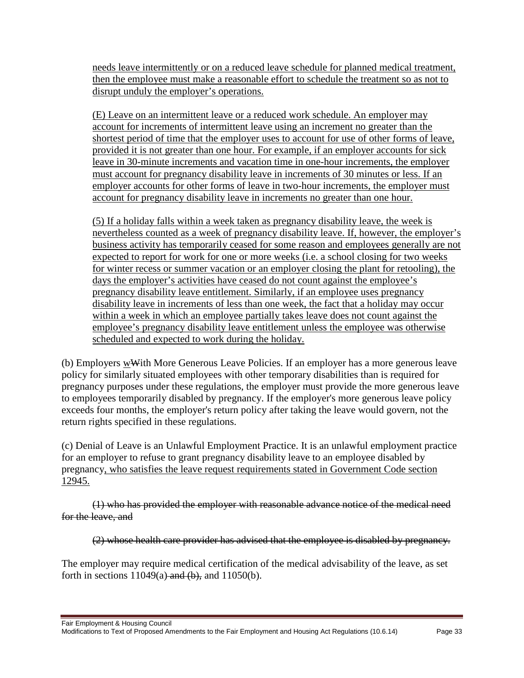needs leave intermittently or on a reduced leave schedule for planned medical treatment, then the employee must make a reasonable effort to schedule the treatment so as not to disrupt unduly the employer's operations.

(E) Leave on an intermittent leave or a reduced work schedule. An employer may account for increments of intermittent leave using an increment no greater than the shortest period of time that the employer uses to account for use of other forms of leave, provided it is not greater than one hour. For example, if an employer accounts for sick leave in 30-minute increments and vacation time in one-hour increments, the employer must account for pregnancy disability leave in increments of 30 minutes or less. If an employer accounts for other forms of leave in two-hour increments, the employer must account for pregnancy disability leave in increments no greater than one hour.

(5) If a holiday falls within a week taken as pregnancy disability leave, the week is nevertheless counted as a week of pregnancy disability leave. If, however, the employer's business activity has temporarily ceased for some reason and employees generally are not expected to report for work for one or more weeks (i.e. a school closing for two weeks for winter recess or summer vacation or an employer closing the plant for retooling), the days the employer's activities have ceased do not count against the employee's pregnancy disability leave entitlement. Similarly, if an employee uses pregnancy disability leave in increments of less than one week, the fact that a holiday may occur within a week in which an employee partially takes leave does not count against the employee's pregnancy disability leave entitlement unless the employee was otherwise scheduled and expected to work during the holiday.

(b) Employers wWith More Generous Leave Policies. If an employer has a more generous leave policy for similarly situated employees with other temporary disabilities than is required for pregnancy purposes under these regulations, the employer must provide the more generous leave to employees temporarily disabled by pregnancy. If the employer's more generous leave policy exceeds four months, the employer's return policy after taking the leave would govern, not the return rights specified in these regulations.

(c) Denial of Leave is an Unlawful Employment Practice. It is an unlawful employment practice for an employer to refuse to grant pregnancy disability leave to an employee disabled by pregnancy, who satisfies the leave request requirements stated in Government Code section 12945.

(1) who has provided the employer with reasonable advance notice of the medical need for the leave, and

(2) whose health care provider has advised that the employee is disabled by pregnancy.

The employer may require medical certification of the medical advisability of the leave, as set forth in sections  $11049(a)$  and  $(b)$ , and  $11050(b)$ .

Fair Employment & Housing Council

Modifications to Text of Proposed Amendments to the Fair Employment and Housing Act Regulations (10.6.14) Page 33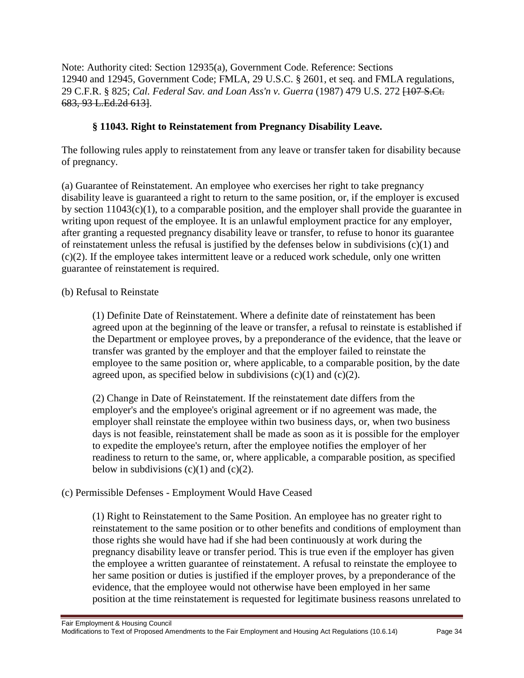Note: Authority cited: Section 12935(a), Government Code. Reference: Sections 12940 and 12945, Government Code; FMLA, 29 U.S.C. § 2601, et seq. and FMLA regulations, 29 C.F.R. § 825; *Cal. Federal Sav. and Loan Ass'n v. Guerra* (1987) 479 U.S. 272 [107 S.Ct. 683, 93 L.Ed.2d 613].

### **§ 11043. Right to Reinstatement from Pregnancy Disability Leave.**

The following rules apply to reinstatement from any leave or transfer taken for disability because of pregnancy.

(a) Guarantee of Reinstatement. An employee who exercises her right to take pregnancy disability leave is guaranteed a right to return to the same position, or, if the employer is excused by section  $11043(c)(1)$ , to a comparable position, and the employer shall provide the guarantee in writing upon request of the employee. It is an unlawful employment practice for any employer, after granting a requested pregnancy disability leave or transfer, to refuse to honor its guarantee of reinstatement unless the refusal is justified by the defenses below in subdivisions (c)(1) and (c)(2). If the employee takes intermittent leave or a reduced work schedule, only one written guarantee of reinstatement is required.

#### (b) Refusal to Reinstate

(1) Definite Date of Reinstatement. Where a definite date of reinstatement has been agreed upon at the beginning of the leave or transfer, a refusal to reinstate is established if the Department or employee proves, by a preponderance of the evidence, that the leave or transfer was granted by the employer and that the employer failed to reinstate the employee to the same position or, where applicable, to a comparable position, by the date agreed upon, as specified below in subdivisions  $(c)(1)$  and  $(c)(2)$ .

(2) Change in Date of Reinstatement. If the reinstatement date differs from the employer's and the employee's original agreement or if no agreement was made, the employer shall reinstate the employee within two business days, or, when two business days is not feasible, reinstatement shall be made as soon as it is possible for the employer to expedite the employee's return, after the employee notifies the employer of her readiness to return to the same, or, where applicable, a comparable position, as specified below in subdivisions  $(c)(1)$  and  $(c)(2)$ .

#### (c) Permissible Defenses - Employment Would Have Ceased

(1) Right to Reinstatement to the Same Position. An employee has no greater right to reinstatement to the same position or to other benefits and conditions of employment than those rights she would have had if she had been continuously at work during the pregnancy disability leave or transfer period. This is true even if the employer has given the employee a written guarantee of reinstatement. A refusal to reinstate the employee to her same position or duties is justified if the employer proves, by a preponderance of the evidence, that the employee would not otherwise have been employed in her same position at the time reinstatement is requested for legitimate business reasons unrelated to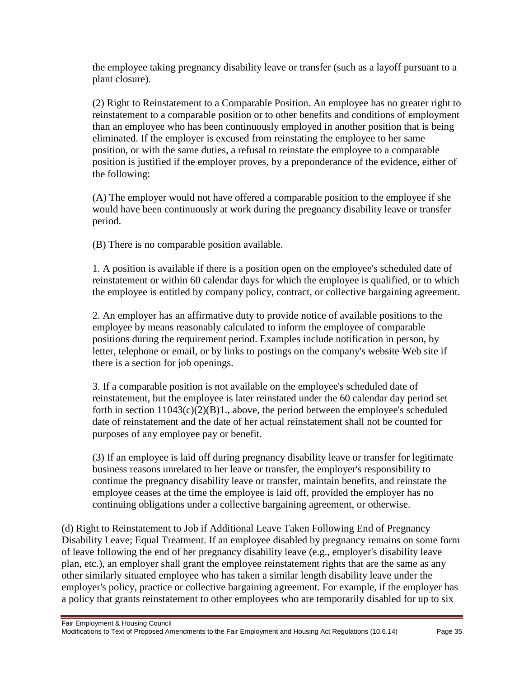the employee taking pregnancy disability leave or transfer (such as a layoff pursuant to a plant closure).

(2) Right to Reinstatement to a Comparable Position. An employee has no greater right to reinstatement to a comparable position or to other benefits and conditions of employment than an employee who has been continuously employed in another position that is being eliminated. If the employer is excused from reinstating the employee to her same position, or with the same duties, a refusal to reinstate the employee to a comparable position is justified if the employer proves, by a preponderance of the evidence, either of the following:

(A) The employer would not have offered a comparable position to the employee if she would have been continuously at work during the pregnancy disability leave or transfer period.

(B) There is no comparable position available.

1. A position is available if there is a position open on the employee's scheduled date of reinstatement or within 60 calendar days for which the employee is qualified, or to which the employee is entitled by company policy, contract, or collective bargaining agreement.

2. An employer has an affirmative duty to provide notice of available positions to the employee by means reasonably calculated to inform the employee of comparable positions during the requirement period. Examples include notification in person, by letter, telephone or email, or by links to postings on the company's website Web site if there is a section for job openings.

3. If a comparable position is not available on the employee's scheduled date of reinstatement, but the employee is later reinstated under the 60 calendar day period set forth in section  $11043(c)(2)(B)1$ , above, the period between the employee's scheduled date of reinstatement and the date of her actual reinstatement shall not be counted for purposes of any employee pay or benefit.

(3) If an employee is laid off during pregnancy disability leave or transfer for legitimate business reasons unrelated to her leave or transfer, the employer's responsibility to continue the pregnancy disability leave or transfer, maintain benefits, and reinstate the employee ceases at the time the employee is laid off, provided the employer has no continuing obligations under a collective bargaining agreement, or otherwise.

(d) Right to Reinstatement to Job if Additional Leave Taken Following End of Pregnancy Disability Leave; Equal Treatment. If an employee disabled by pregnancy remains on some form of leave following the end of her pregnancy disability leave (e.g., employer's disability leave plan, etc.), an employer shall grant the employee reinstatement rights that are the same as any other similarly situated employee who has taken a similar length disability leave under the employer's policy, practice or collective bargaining agreement. For example, if the employer has a policy that grants reinstatement to other employees who are temporarily disabled for up to six

Fair Employment & Housing Council

Modifications to Text of Proposed Amendments to the Fair Employment and Housing Act Regulations (10.6.14) Page 35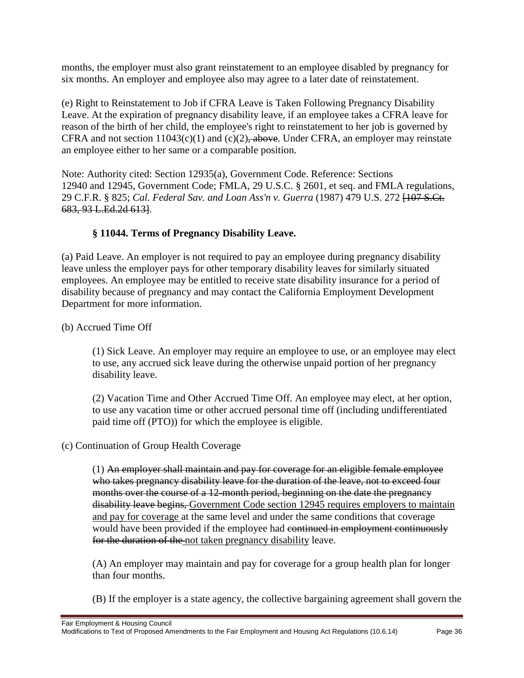months, the employer must also grant reinstatement to an employee disabled by pregnancy for six months. An employer and employee also may agree to a later date of reinstatement.

(e) Right to Reinstatement to Job if CFRA Leave is Taken Following Pregnancy Disability Leave. At the expiration of pregnancy disability leave, if an employee takes a CFRA leave for reason of the birth of her child, the employee's right to reinstatement to her job is governed by CFRA and not section  $11043(c)(1)$  and  $(c)(2)$ , above. Under CFRA, an employer may reinstate an employee either to her same or a comparable position.

Note: Authority cited: Section 12935(a), Government Code. Reference: Sections 12940 and 12945, Government Code; FMLA, 29 U.S.C. § 2601, et seq. and FMLA regulations, 29 C.F.R. § 825; *Cal. Federal Sav. and Loan Ass'n v. Guerra* (1987) 479 U.S. 272 <del>[107 S.Ct.</del> 683, 93 L.Ed.2d 613].

## **§ 11044. Terms of Pregnancy Disability Leave.**

(a) Paid Leave. An employer is not required to pay an employee during pregnancy disability leave unless the employer pays for other temporary disability leaves for similarly situated employees. An employee may be entitled to receive state disability insurance for a period of disability because of pregnancy and may contact the California Employment Development Department for more information.

(b) Accrued Time Off

(1) Sick Leave. An employer may require an employee to use, or an employee may elect to use, any accrued sick leave during the otherwise unpaid portion of her pregnancy disability leave.

(2) Vacation Time and Other Accrued Time Off. An employee may elect, at her option, to use any vacation time or other accrued personal time off (including undifferentiated paid time off (PTO)) for which the employee is eligible.

(c) Continuation of Group Health Coverage

(1) An employer shall maintain and pay for coverage for an eligible female employee who takes pregnancy disability leave for the duration of the leave, not to exceed four months over the course of a 12-month period, beginning on the date the pregnancy disability leave begins, Government Code section 12945 requires employers to maintain and pay for coverage at the same level and under the same conditions that coverage would have been provided if the employee had continued in employment continuously for the duration of the not taken pregnancy disability leave.

(A) An employer may maintain and pay for coverage for a group health plan for longer than four months.

(B) If the employer is a state agency, the collective bargaining agreement shall govern the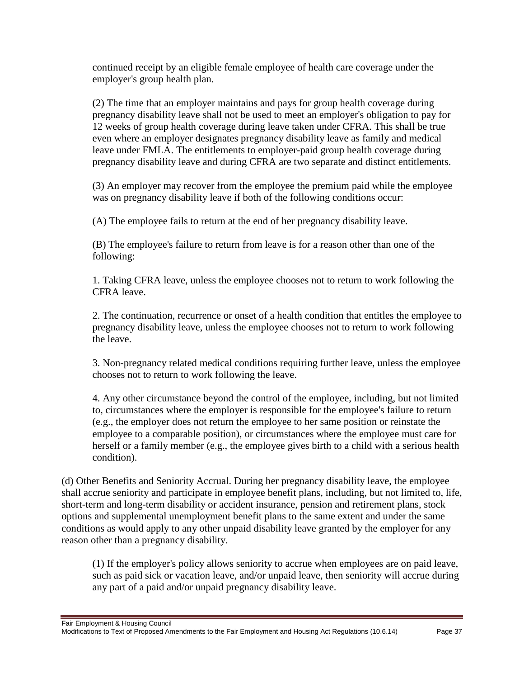continued receipt by an eligible female employee of health care coverage under the employer's group health plan.

(2) The time that an employer maintains and pays for group health coverage during pregnancy disability leave shall not be used to meet an employer's obligation to pay for 12 weeks of group health coverage during leave taken under CFRA. This shall be true even where an employer designates pregnancy disability leave as family and medical leave under FMLA. The entitlements to employer-paid group health coverage during pregnancy disability leave and during CFRA are two separate and distinct entitlements.

(3) An employer may recover from the employee the premium paid while the employee was on pregnancy disability leave if both of the following conditions occur:

(A) The employee fails to return at the end of her pregnancy disability leave.

(B) The employee's failure to return from leave is for a reason other than one of the following:

1. Taking CFRA leave, unless the employee chooses not to return to work following the CFRA leave.

2. The continuation, recurrence or onset of a health condition that entitles the employee to pregnancy disability leave, unless the employee chooses not to return to work following the leave.

3. Non-pregnancy related medical conditions requiring further leave, unless the employee chooses not to return to work following the leave.

4. Any other circumstance beyond the control of the employee, including, but not limited to, circumstances where the employer is responsible for the employee's failure to return (e.g., the employer does not return the employee to her same position or reinstate the employee to a comparable position), or circumstances where the employee must care for herself or a family member (e.g., the employee gives birth to a child with a serious health condition).

(d) Other Benefits and Seniority Accrual. During her pregnancy disability leave, the employee shall accrue seniority and participate in employee benefit plans, including, but not limited to, life, short-term and long-term disability or accident insurance, pension and retirement plans, stock options and supplemental unemployment benefit plans to the same extent and under the same conditions as would apply to any other unpaid disability leave granted by the employer for any reason other than a pregnancy disability.

(1) If the employer's policy allows seniority to accrue when employees are on paid leave, such as paid sick or vacation leave, and/or unpaid leave, then seniority will accrue during any part of a paid and/or unpaid pregnancy disability leave.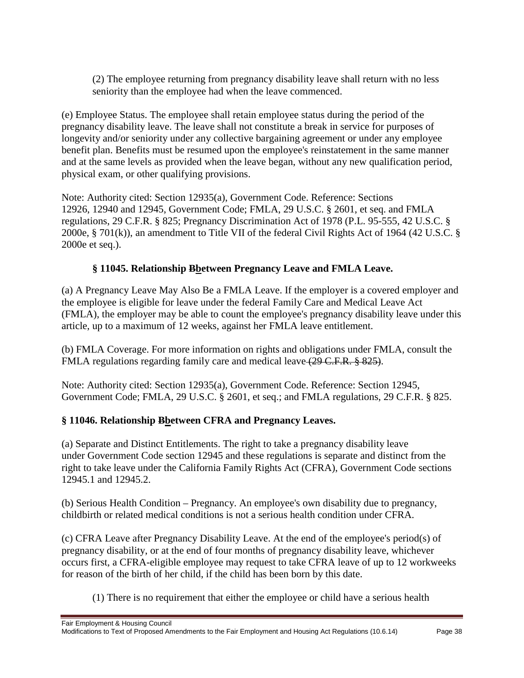(2) The employee returning from pregnancy disability leave shall return with no less seniority than the employee had when the leave commenced.

(e) Employee Status. The employee shall retain employee status during the period of the pregnancy disability leave. The leave shall not constitute a break in service for purposes of longevity and/or seniority under any collective bargaining agreement or under any employee benefit plan. Benefits must be resumed upon the employee's reinstatement in the same manner and at the same levels as provided when the leave began, without any new qualification period, physical exam, or other qualifying provisions.

Note: Authority cited: Section 12935(a), Government Code. Reference: Sections 12926, 12940 and 12945, Government Code; FMLA, 29 U.S.C. § 2601, et seq. and FMLA regulations, 29 C.F.R. § 825; Pregnancy Discrimination Act of 1978 (P.L. 95-555, 42 U.S.C. § 2000e, § 701(k)), an amendment to Title VII of the federal Civil Rights Act of 1964 (42 U.S.C. § 2000e et seq.).

# **§ 11045. Relationship Bbetween Pregnancy Leave and FMLA Leave.**

(a) A Pregnancy Leave May Also Be a FMLA Leave. If the employer is a covered employer and the employee is eligible for leave under the federal Family Care and Medical Leave Act (FMLA), the employer may be able to count the employee's pregnancy disability leave under this article, up to a maximum of 12 weeks, against her FMLA leave entitlement.

(b) FMLA Coverage. For more information on rights and obligations under FMLA, consult the FMLA regulations regarding family care and medical leave (29 C.F.R. § 825).

Note: Authority cited: Section 12935(a), Government Code. Reference: Section 12945, Government Code; FMLA, 29 U.S.C. § 2601, et seq.; and FMLA regulations, 29 C.F.R. § 825.

# **§ 11046. Relationship Bbetween CFRA and Pregnancy Leaves.**

(a) Separate and Distinct Entitlements. The right to take a pregnancy disability leave under Government Code section 12945 and these regulations is separate and distinct from the right to take leave under the California Family Rights Act (CFRA), Government Code sections 12945.1 and 12945.2.

(b) Serious Health Condition – Pregnancy. An employee's own disability due to pregnancy, childbirth or related medical conditions is not a serious health condition under CFRA.

(c) CFRA Leave after Pregnancy Disability Leave. At the end of the employee's period(s) of pregnancy disability, or at the end of four months of pregnancy disability leave, whichever occurs first, a CFRA-eligible employee may request to take CFRA leave of up to 12 workweeks for reason of the birth of her child, if the child has been born by this date.

(1) There is no requirement that either the employee or child have a serious health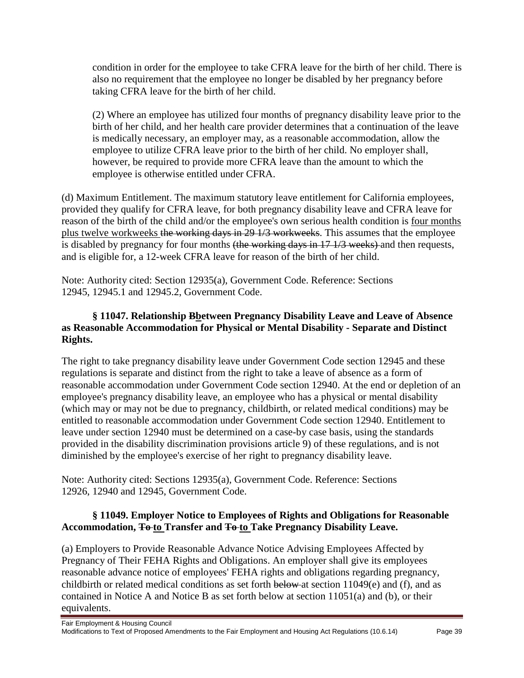condition in order for the employee to take CFRA leave for the birth of her child. There is also no requirement that the employee no longer be disabled by her pregnancy before taking CFRA leave for the birth of her child.

(2) Where an employee has utilized four months of pregnancy disability leave prior to the birth of her child, and her health care provider determines that a continuation of the leave is medically necessary, an employer may, as a reasonable accommodation, allow the employee to utilize CFRA leave prior to the birth of her child. No employer shall, however, be required to provide more CFRA leave than the amount to which the employee is otherwise entitled under CFRA.

(d) Maximum Entitlement. The maximum statutory leave entitlement for California employees, provided they qualify for CFRA leave, for both pregnancy disability leave and CFRA leave for reason of the birth of the child and/or the employee's own serious health condition is four months plus twelve workweeks the working days in 29 1/3 workweeks. This assumes that the employee is disabled by pregnancy for four months (the working days in 17 1/3 weeks) and then requests, and is eligible for, a 12-week CFRA leave for reason of the birth of her child.

Note: Authority cited: Section 12935(a), Government Code. Reference: Sections 12945, 12945.1 and 12945.2, Government Code.

#### **§ 11047. Relationship Bbetween Pregnancy Disability Leave and Leave of Absence as Reasonable Accommodation for Physical or Mental Disability - Separate and Distinct Rights.**

The right to take pregnancy disability leave under Government Code section 12945 and these regulations is separate and distinct from the right to take a leave of absence as a form of reasonable accommodation under Government Code section 12940. At the end or depletion of an employee's pregnancy disability leave, an employee who has a physical or mental disability (which may or may not be due to pregnancy, childbirth, or related medical conditions) may be entitled to reasonable accommodation under Government Code section 12940. Entitlement to leave under section 12940 must be determined on a case-by case basis, using the standards provided in the disability discrimination provisions article 9) of these regulations, and is not diminished by the employee's exercise of her right to pregnancy disability leave.

Note: Authority cited: Sections 12935(a), Government Code. Reference: Sections 12926, 12940 and 12945, Government Code.

#### **§ 11049. Employer Notice to Employees of Rights and Obligations for Reasonable Accommodation, To to Transfer and To to Take Pregnancy Disability Leave.**

(a) Employers to Provide Reasonable Advance Notice Advising Employees Affected by Pregnancy of Their FEHA Rights and Obligations. An employer shall give its employees reasonable advance notice of employees' FEHA rights and obligations regarding pregnancy, childbirth or related medical conditions as set forth below at section 11049(e) and (f), and as contained in Notice A and Notice B as set forth below at section 11051(a) and (b), or their equivalents.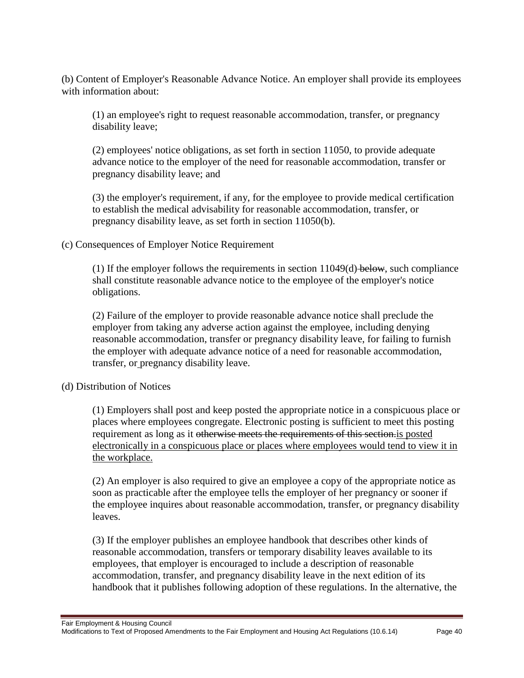(b) Content of Employer's Reasonable Advance Notice. An employer shall provide its employees with information about:

(1) an employee's right to request reasonable accommodation, transfer, or pregnancy disability leave;

(2) employees' notice obligations, as set forth in section 11050, to provide adequate advance notice to the employer of the need for reasonable accommodation, transfer or pregnancy disability leave; and

(3) the employer's requirement, if any, for the employee to provide medical certification to establish the medical advisability for reasonable accommodation, transfer, or pregnancy disability leave, as set forth in section 11050(b).

(c) Consequences of Employer Notice Requirement

(1) If the employer follows the requirements in section  $11049(d)$ -below, such compliance shall constitute reasonable advance notice to the employee of the employer's notice obligations.

(2) Failure of the employer to provide reasonable advance notice shall preclude the employer from taking any adverse action against the employee, including denying reasonable accommodation, transfer or pregnancy disability leave, for failing to furnish the employer with adequate advance notice of a need for reasonable accommodation, transfer, or pregnancy disability leave.

#### (d) Distribution of Notices

(1) Employers shall post and keep posted the appropriate notice in a conspicuous place or places where employees congregate. Electronic posting is sufficient to meet this posting requirement as long as it otherwise meets the requirements of this section.is posted electronically in a conspicuous place or places where employees would tend to view it in the workplace.

(2) An employer is also required to give an employee a copy of the appropriate notice as soon as practicable after the employee tells the employer of her pregnancy or sooner if the employee inquires about reasonable accommodation, transfer, or pregnancy disability leaves.

(3) If the employer publishes an employee handbook that describes other kinds of reasonable accommodation, transfers or temporary disability leaves available to its employees, that employer is encouraged to include a description of reasonable accommodation, transfer, and pregnancy disability leave in the next edition of its handbook that it publishes following adoption of these regulations. In the alternative, the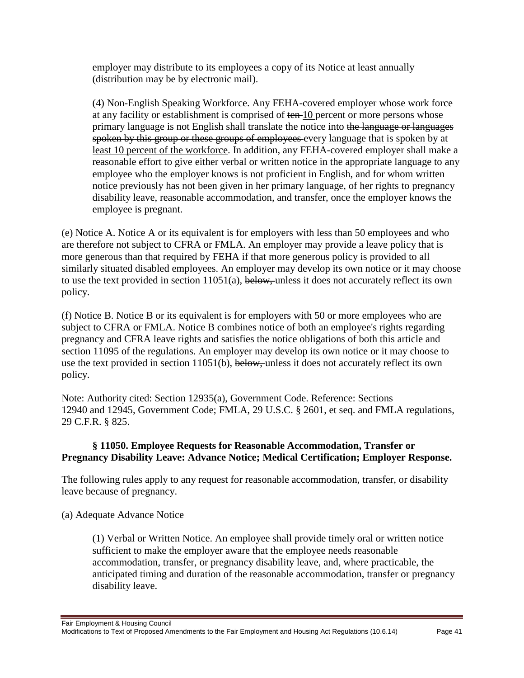employer may distribute to its employees a copy of its Notice at least annually (distribution may be by electronic mail).

(4) Non-English Speaking Workforce. Any FEHA-covered employer whose work force at any facility or establishment is comprised of ten 10 percent or more persons whose primary language is not English shall translate the notice into the language or languages spoken by this group or these groups of employees every language that is spoken by at least 10 percent of the workforce. In addition, any FEHA-covered employer shall make a reasonable effort to give either verbal or written notice in the appropriate language to any employee who the employer knows is not proficient in English, and for whom written notice previously has not been given in her primary language, of her rights to pregnancy disability leave, reasonable accommodation, and transfer, once the employer knows the employee is pregnant.

(e) Notice A. Notice A or its equivalent is for employers with less than 50 employees and who are therefore not subject to CFRA or FMLA. An employer may provide a leave policy that is more generous than that required by FEHA if that more generous policy is provided to all similarly situated disabled employees. An employer may develop its own notice or it may choose to use the text provided in section 11051(a), below, unless it does not accurately reflect its own policy.

(f) Notice B. Notice B or its equivalent is for employers with 50 or more employees who are subject to CFRA or FMLA. Notice B combines notice of both an employee's rights regarding pregnancy and CFRA leave rights and satisfies the notice obligations of both this article and section 11095 of the regulations. An employer may develop its own notice or it may choose to use the text provided in section 11051(b), below, unless it does not accurately reflect its own policy.

Note: Authority cited: Section 12935(a), Government Code. Reference: Sections 12940 and 12945, Government Code; FMLA, 29 U.S.C. § 2601, et seq. and FMLA regulations, 29 C.F.R. § 825.

#### **§ 11050. Employee Requests for Reasonable Accommodation, Transfer or Pregnancy Disability Leave: Advance Notice; Medical Certification; Employer Response.**

The following rules apply to any request for reasonable accommodation, transfer, or disability leave because of pregnancy.

#### (a) Adequate Advance Notice

(1) Verbal or Written Notice. An employee shall provide timely oral or written notice sufficient to make the employer aware that the employee needs reasonable accommodation, transfer, or pregnancy disability leave, and, where practicable, the anticipated timing and duration of the reasonable accommodation, transfer or pregnancy disability leave.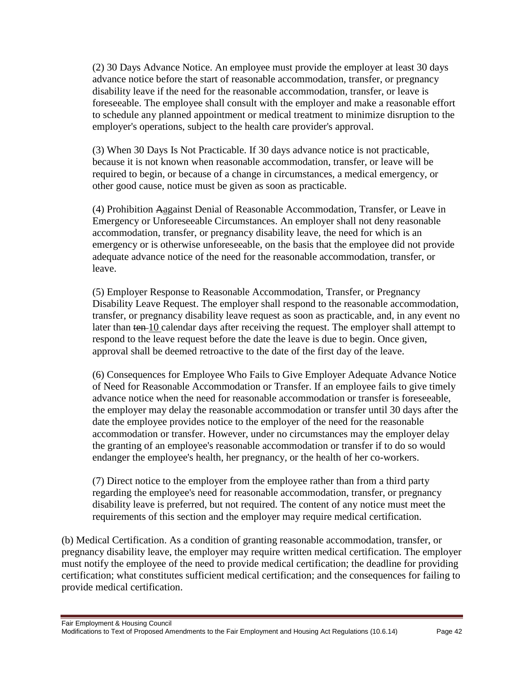(2) 30 Days Advance Notice. An employee must provide the employer at least 30 days advance notice before the start of reasonable accommodation, transfer, or pregnancy disability leave if the need for the reasonable accommodation, transfer, or leave is foreseeable. The employee shall consult with the employer and make a reasonable effort to schedule any planned appointment or medical treatment to minimize disruption to the employer's operations, subject to the health care provider's approval.

(3) When 30 Days Is Not Practicable. If 30 days advance notice is not practicable, because it is not known when reasonable accommodation, transfer, or leave will be required to begin, or because of a change in circumstances, a medical emergency, or other good cause, notice must be given as soon as practicable.

(4) Prohibition Aagainst Denial of Reasonable Accommodation, Transfer, or Leave in Emergency or Unforeseeable Circumstances. An employer shall not deny reasonable accommodation, transfer, or pregnancy disability leave, the need for which is an emergency or is otherwise unforeseeable, on the basis that the employee did not provide adequate advance notice of the need for the reasonable accommodation, transfer, or leave.

(5) Employer Response to Reasonable Accommodation, Transfer, or Pregnancy Disability Leave Request. The employer shall respond to the reasonable accommodation, transfer, or pregnancy disability leave request as soon as practicable, and, in any event no later than ten 10 calendar days after receiving the request. The employer shall attempt to respond to the leave request before the date the leave is due to begin. Once given, approval shall be deemed retroactive to the date of the first day of the leave.

(6) Consequences for Employee Who Fails to Give Employer Adequate Advance Notice of Need for Reasonable Accommodation or Transfer. If an employee fails to give timely advance notice when the need for reasonable accommodation or transfer is foreseeable, the employer may delay the reasonable accommodation or transfer until 30 days after the date the employee provides notice to the employer of the need for the reasonable accommodation or transfer. However, under no circumstances may the employer delay the granting of an employee's reasonable accommodation or transfer if to do so would endanger the employee's health, her pregnancy, or the health of her co-workers.

(7) Direct notice to the employer from the employee rather than from a third party regarding the employee's need for reasonable accommodation, transfer, or pregnancy disability leave is preferred, but not required. The content of any notice must meet the requirements of this section and the employer may require medical certification.

(b) Medical Certification. As a condition of granting reasonable accommodation, transfer, or pregnancy disability leave, the employer may require written medical certification. The employer must notify the employee of the need to provide medical certification; the deadline for providing certification; what constitutes sufficient medical certification; and the consequences for failing to provide medical certification.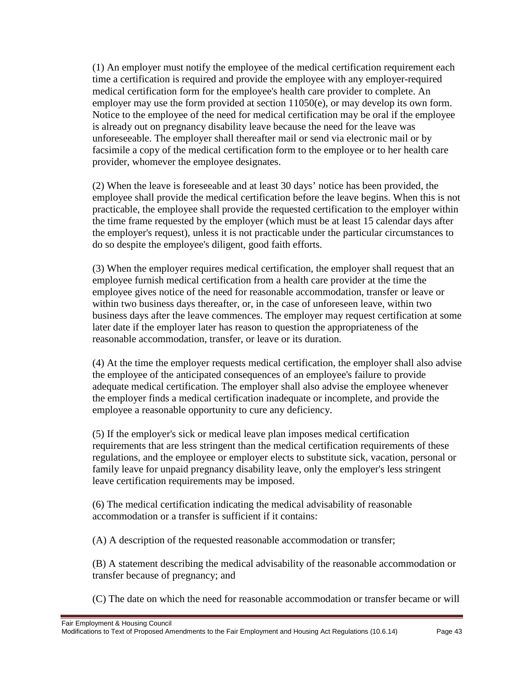(1) An employer must notify the employee of the medical certification requirement each time a certification is required and provide the employee with any employer-required medical certification form for the employee's health care provider to complete. An employer may use the form provided at section  $11050(e)$ , or may develop its own form. Notice to the employee of the need for medical certification may be oral if the employee is already out on pregnancy disability leave because the need for the leave was unforeseeable. The employer shall thereafter mail or send via electronic mail or by facsimile a copy of the medical certification form to the employee or to her health care provider, whomever the employee designates.

(2) When the leave is foreseeable and at least 30 days' notice has been provided, the employee shall provide the medical certification before the leave begins. When this is not practicable, the employee shall provide the requested certification to the employer within the time frame requested by the employer (which must be at least 15 calendar days after the employer's request), unless it is not practicable under the particular circumstances to do so despite the employee's diligent, good faith efforts.

(3) When the employer requires medical certification, the employer shall request that an employee furnish medical certification from a health care provider at the time the employee gives notice of the need for reasonable accommodation, transfer or leave or within two business days thereafter, or, in the case of unforeseen leave, within two business days after the leave commences. The employer may request certification at some later date if the employer later has reason to question the appropriateness of the reasonable accommodation, transfer, or leave or its duration.

(4) At the time the employer requests medical certification, the employer shall also advise the employee of the anticipated consequences of an employee's failure to provide adequate medical certification. The employer shall also advise the employee whenever the employer finds a medical certification inadequate or incomplete, and provide the employee a reasonable opportunity to cure any deficiency.

(5) If the employer's sick or medical leave plan imposes medical certification requirements that are less stringent than the medical certification requirements of these regulations, and the employee or employer elects to substitute sick, vacation, personal or family leave for unpaid pregnancy disability leave, only the employer's less stringent leave certification requirements may be imposed.

(6) The medical certification indicating the medical advisability of reasonable accommodation or a transfer is sufficient if it contains:

(A) A description of the requested reasonable accommodation or transfer;

(B) A statement describing the medical advisability of the reasonable accommodation or transfer because of pregnancy; and

(C) The date on which the need for reasonable accommodation or transfer became or will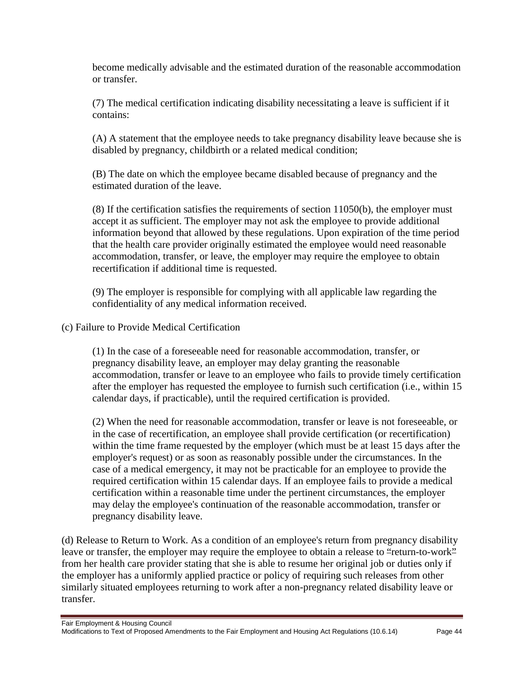become medically advisable and the estimated duration of the reasonable accommodation or transfer.

(7) The medical certification indicating disability necessitating a leave is sufficient if it contains:

(A) A statement that the employee needs to take pregnancy disability leave because she is disabled by pregnancy, childbirth or a related medical condition;

(B) The date on which the employee became disabled because of pregnancy and the estimated duration of the leave.

(8) If the certification satisfies the requirements of section 11050(b), the employer must accept it as sufficient. The employer may not ask the employee to provide additional information beyond that allowed by these regulations. Upon expiration of the time period that the health care provider originally estimated the employee would need reasonable accommodation, transfer, or leave, the employer may require the employee to obtain recertification if additional time is requested.

(9) The employer is responsible for complying with all applicable law regarding the confidentiality of any medical information received.

(c) Failure to Provide Medical Certification

(1) In the case of a foreseeable need for reasonable accommodation, transfer, or pregnancy disability leave, an employer may delay granting the reasonable accommodation, transfer or leave to an employee who fails to provide timely certification after the employer has requested the employee to furnish such certification (i.e., within 15 calendar days, if practicable), until the required certification is provided.

(2) When the need for reasonable accommodation, transfer or leave is not foreseeable, or in the case of recertification, an employee shall provide certification (or recertification) within the time frame requested by the employer (which must be at least 15 days after the employer's request) or as soon as reasonably possible under the circumstances. In the case of a medical emergency, it may not be practicable for an employee to provide the required certification within 15 calendar days. If an employee fails to provide a medical certification within a reasonable time under the pertinent circumstances, the employer may delay the employee's continuation of the reasonable accommodation, transfer or pregnancy disability leave.

(d) Release to Return to Work. As a condition of an employee's return from pregnancy disability leave or transfer, the employer may require the employee to obtain a release to "return-to-work" from her health care provider stating that she is able to resume her original job or duties only if the employer has a uniformly applied practice or policy of requiring such releases from other similarly situated employees returning to work after a non-pregnancy related disability leave or transfer.

Fair Employment & Housing Council Modifications to Text of Proposed Amendments to the Fair Employment and Housing Act Regulations (10.6.14) Page 44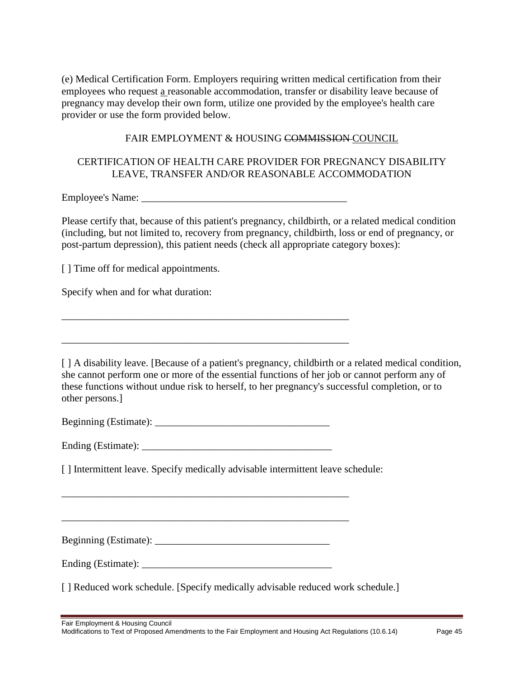(e) Medical Certification Form. Employers requiring written medical certification from their employees who request a reasonable accommodation, transfer or disability leave because of pregnancy may develop their own form, utilize one provided by the employee's health care provider or use the form provided below.

#### FAIR EMPLOYMENT & HOUSING COMMISSION COUNCIL

#### CERTIFICATION OF HEALTH CARE PROVIDER FOR PREGNANCY DISABILITY LEAVE, TRANSFER AND/OR REASONABLE ACCOMMODATION

Employee's Name: \_\_\_\_\_\_\_\_\_\_\_\_\_\_\_\_\_\_\_\_\_\_\_\_\_\_\_\_\_\_\_\_\_\_\_\_\_\_\_\_

\_\_\_\_\_\_\_\_\_\_\_\_\_\_\_\_\_\_\_\_\_\_\_\_\_\_\_\_\_\_\_\_\_\_\_\_\_\_\_\_\_\_\_\_\_\_\_\_\_\_\_\_\_\_\_\_

\_\_\_\_\_\_\_\_\_\_\_\_\_\_\_\_\_\_\_\_\_\_\_\_\_\_\_\_\_\_\_\_\_\_\_\_\_\_\_\_\_\_\_\_\_\_\_\_\_\_\_\_\_\_\_\_

Please certify that, because of this patient's pregnancy, childbirth, or a related medical condition (including, but not limited to, recovery from pregnancy, childbirth, loss or end of pregnancy, or post-partum depression), this patient needs (check all appropriate category boxes):

[] Time off for medical appointments.

Specify when and for what duration:

[ ] A disability leave. [Because of a patient's pregnancy, childbirth or a related medical condition, she cannot perform one or more of the essential functions of her job or cannot perform any of these functions without undue risk to herself, to her pregnancy's successful completion, or to other persons.]

 $Beginning$  (Estimate):

| Ending (Estimate): |  |
|--------------------|--|
|                    |  |

\_\_\_\_\_\_\_\_\_\_\_\_\_\_\_\_\_\_\_\_\_\_\_\_\_\_\_\_\_\_\_\_\_\_\_\_\_\_\_\_\_\_\_\_\_\_\_\_\_\_\_\_\_\_\_\_

\_\_\_\_\_\_\_\_\_\_\_\_\_\_\_\_\_\_\_\_\_\_\_\_\_\_\_\_\_\_\_\_\_\_\_\_\_\_\_\_\_\_\_\_\_\_\_\_\_\_\_\_\_\_\_\_

[ ] Intermittent leave. Specify medically advisable intermittent leave schedule:

Beginning (Estimate): \_\_\_\_\_\_\_\_\_\_\_\_\_\_\_\_\_\_\_\_\_\_\_\_\_\_\_\_\_\_\_\_\_\_

Ending (Estimate): \_\_\_\_\_\_\_\_\_\_\_\_\_\_\_\_\_\_\_\_\_\_\_\_\_\_\_\_\_\_\_\_\_\_\_\_\_

[ ] Reduced work schedule. [Specify medically advisable reduced work schedule.]

Fair Employment & Housing Council

Modifications to Text of Proposed Amendments to the Fair Employment and Housing Act Regulations (10.6.14) Page 45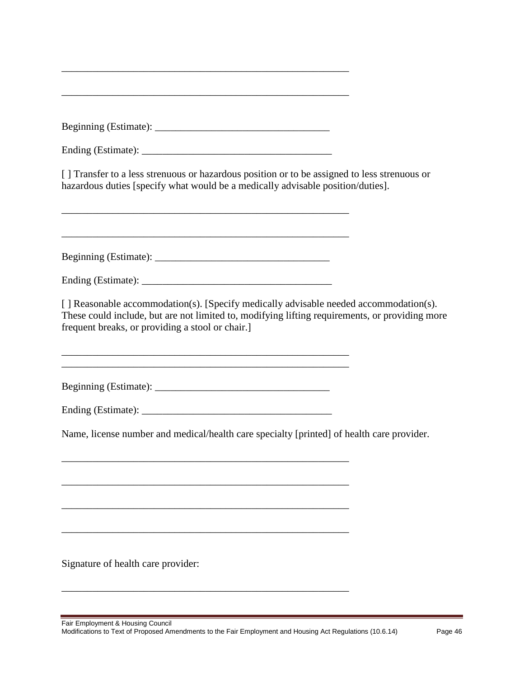Beginning (Estimate): \_\_\_\_\_\_\_\_\_\_\_\_\_\_\_\_\_\_\_\_\_\_\_\_\_\_\_\_\_\_\_\_\_\_

\_\_\_\_\_\_\_\_\_\_\_\_\_\_\_\_\_\_\_\_\_\_\_\_\_\_\_\_\_\_\_\_\_\_\_\_\_\_\_\_\_\_\_\_\_\_\_\_\_\_\_\_\_\_\_\_

\_\_\_\_\_\_\_\_\_\_\_\_\_\_\_\_\_\_\_\_\_\_\_\_\_\_\_\_\_\_\_\_\_\_\_\_\_\_\_\_\_\_\_\_\_\_\_\_\_\_\_\_\_\_\_\_

Ending (Estimate): \_\_\_\_\_\_\_\_\_\_\_\_\_\_\_\_\_\_\_\_\_\_\_\_\_\_\_\_\_\_\_\_\_\_\_\_\_

\_\_\_\_\_\_\_\_\_\_\_\_\_\_\_\_\_\_\_\_\_\_\_\_\_\_\_\_\_\_\_\_\_\_\_\_\_\_\_\_\_\_\_\_\_\_\_\_\_\_\_\_\_\_\_\_

\_\_\_\_\_\_\_\_\_\_\_\_\_\_\_\_\_\_\_\_\_\_\_\_\_\_\_\_\_\_\_\_\_\_\_\_\_\_\_\_\_\_\_\_\_\_\_\_\_\_\_\_\_\_\_\_

[] Transfer to a less strenuous or hazardous position or to be assigned to less strenuous or hazardous duties [specify what would be a medically advisable position/duties].

Beginning (Estimate): \_\_\_\_\_\_\_\_\_\_\_\_\_\_\_\_\_\_\_\_\_\_\_\_\_\_\_\_\_\_\_\_\_\_

| Ending (Estimate): |
|--------------------|
|--------------------|

[ ] Reasonable accommodation(s). [Specify medically advisable needed accommodation(s). These could include, but are not limited to, modifying lifting requirements, or providing more frequent breaks, or providing a stool or chair.]

 $Beginning$  (Estimate):

\_\_\_\_\_\_\_\_\_\_\_\_\_\_\_\_\_\_\_\_\_\_\_\_\_\_\_\_\_\_\_\_\_\_\_\_\_\_\_\_\_\_\_\_\_\_\_\_\_\_\_\_\_\_\_\_ \_\_\_\_\_\_\_\_\_\_\_\_\_\_\_\_\_\_\_\_\_\_\_\_\_\_\_\_\_\_\_\_\_\_\_\_\_\_\_\_\_\_\_\_\_\_\_\_\_\_\_\_\_\_\_\_

Ending (Estimate):

\_\_\_\_\_\_\_\_\_\_\_\_\_\_\_\_\_\_\_\_\_\_\_\_\_\_\_\_\_\_\_\_\_\_\_\_\_\_\_\_\_\_\_\_\_\_\_\_\_\_\_\_\_\_\_\_

\_\_\_\_\_\_\_\_\_\_\_\_\_\_\_\_\_\_\_\_\_\_\_\_\_\_\_\_\_\_\_\_\_\_\_\_\_\_\_\_\_\_\_\_\_\_\_\_\_\_\_\_\_\_\_\_

\_\_\_\_\_\_\_\_\_\_\_\_\_\_\_\_\_\_\_\_\_\_\_\_\_\_\_\_\_\_\_\_\_\_\_\_\_\_\_\_\_\_\_\_\_\_\_\_\_\_\_\_\_\_\_\_

\_\_\_\_\_\_\_\_\_\_\_\_\_\_\_\_\_\_\_\_\_\_\_\_\_\_\_\_\_\_\_\_\_\_\_\_\_\_\_\_\_\_\_\_\_\_\_\_\_\_\_\_\_\_\_\_

\_\_\_\_\_\_\_\_\_\_\_\_\_\_\_\_\_\_\_\_\_\_\_\_\_\_\_\_\_\_\_\_\_\_\_\_\_\_\_\_\_\_\_\_\_\_\_\_\_\_\_\_\_\_\_\_

Name, license number and medical/health care specialty [printed] of health care provider.

Signature of health care provider:

Fair Employment & Housing Council Modifications to Text of Proposed Amendments to the Fair Employment and Housing Act Regulations (10.6.14) Page 46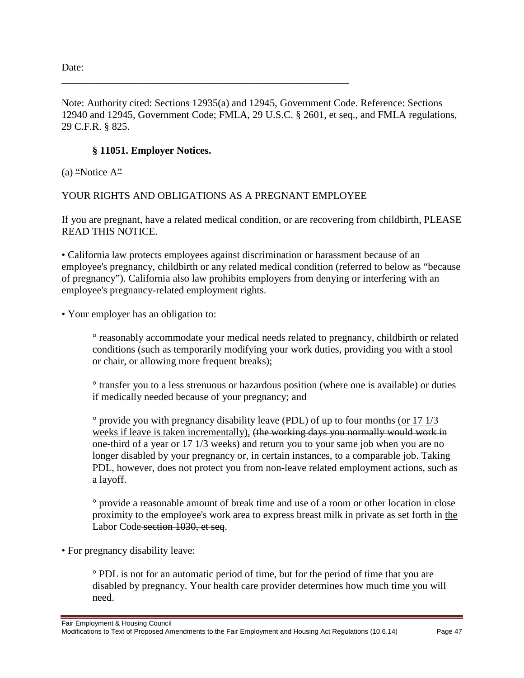Date:

Note: Authority cited: Sections 12935(a) and 12945, Government Code. Reference: Sections 12940 and 12945, Government Code; FMLA, 29 U.S.C. § 2601, et seq., and FMLA regulations, 29 C.F.R. § 825.

#### **§ 11051. Employer Notices.**

(a) "Notice  $A$ "

YOUR RIGHTS AND OBLIGATIONS AS A PREGNANT EMPLOYEE

\_\_\_\_\_\_\_\_\_\_\_\_\_\_\_\_\_\_\_\_\_\_\_\_\_\_\_\_\_\_\_\_\_\_\_\_\_\_\_\_\_\_\_\_\_\_\_\_\_\_\_\_\_\_\_\_

If you are pregnant, have a related medical condition, or are recovering from childbirth, PLEASE READ THIS NOTICE.

• California law protects employees against discrimination or harassment because of an employee's pregnancy, childbirth or any related medical condition (referred to below as "because of pregnancy"). California also law prohibits employers from denying or interfering with an employee's pregnancy-related employment rights.

• Your employer has an obligation to:

° reasonably accommodate your medical needs related to pregnancy, childbirth or related conditions (such as temporarily modifying your work duties, providing you with a stool or chair, or allowing more frequent breaks);

° transfer you to a less strenuous or hazardous position (where one is available) or duties if medically needed because of your pregnancy; and

° provide you with pregnancy disability leave (PDL) of up to four months (or 17 1/3 weeks if leave is taken incrementally), (the working days you normally would work in one-third of a year or 17 1/3 weeks) and return you to your same job when you are no longer disabled by your pregnancy or, in certain instances, to a comparable job. Taking PDL, however, does not protect you from non-leave related employment actions, such as a layoff.

° provide a reasonable amount of break time and use of a room or other location in close proximity to the employee's work area to express breast milk in private as set forth in the Labor Code section 1030, et seq.

• For pregnancy disability leave:

° PDL is not for an automatic period of time, but for the period of time that you are disabled by pregnancy. Your health care provider determines how much time you will need.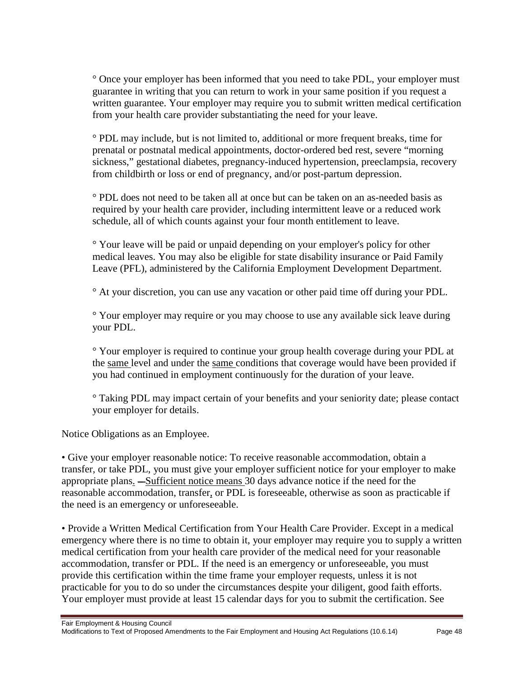° Once your employer has been informed that you need to take PDL, your employer must guarantee in writing that you can return to work in your same position if you request a written guarantee. Your employer may require you to submit written medical certification from your health care provider substantiating the need for your leave.

° PDL may include, but is not limited to, additional or more frequent breaks, time for prenatal or postnatal medical appointments, doctor-ordered bed rest, severe "morning sickness," gestational diabetes, pregnancy-induced hypertension, preeclampsia, recovery from childbirth or loss or end of pregnancy, and/or post-partum depression.

° PDL does not need to be taken all at once but can be taken on an as-needed basis as required by your health care provider, including intermittent leave or a reduced work schedule, all of which counts against your four month entitlement to leave.

° Your leave will be paid or unpaid depending on your employer's policy for other medical leaves. You may also be eligible for state disability insurance or Paid Family Leave (PFL), administered by the California Employment Development Department.

° At your discretion, you can use any vacation or other paid time off during your PDL.

° Your employer may require or you may choose to use any available sick leave during your PDL.

° Your employer is required to continue your group health coverage during your PDL at the same level and under the same conditions that coverage would have been provided if you had continued in employment continuously for the duration of your leave.

° Taking PDL may impact certain of your benefits and your seniority date; please contact your employer for details.

Notice Obligations as an Employee.

• Give your employer reasonable notice: To receive reasonable accommodation, obtain a transfer, or take PDL, you must give your employer sufficient notice for your employer to make appropriate plans. – Sufficient notice means 30 days advance notice if the need for the reasonable accommodation, transfer, or PDL is foreseeable, otherwise as soon as practicable if the need is an emergency or unforeseeable.

• Provide a Written Medical Certification from Your Health Care Provider. Except in a medical emergency where there is no time to obtain it, your employer may require you to supply a written medical certification from your health care provider of the medical need for your reasonable accommodation, transfer or PDL. If the need is an emergency or unforeseeable, you must provide this certification within the time frame your employer requests, unless it is not practicable for you to do so under the circumstances despite your diligent, good faith efforts. Your employer must provide at least 15 calendar days for you to submit the certification. See

Fair Employment & Housing Council

Modifications to Text of Proposed Amendments to the Fair Employment and Housing Act Regulations (10.6.14) Page 48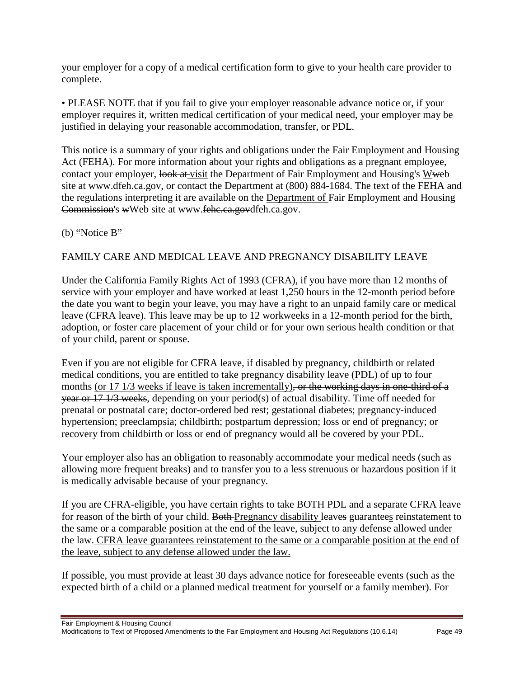your employer for a copy of a medical certification form to give to your health care provider to complete.

• PLEASE NOTE that if you fail to give your employer reasonable advance notice or, if your employer requires it, written medical certification of your medical need, your employer may be justified in delaying your reasonable accommodation, transfer, or PDL.

This notice is a summary of your rights and obligations under the Fair Employment and Housing Act (FEHA). For more information about your rights and obligations as a pregnant employee, contact your employer, look at visit the Department of Fair Employment and Housing's Wweb site at www.dfeh.ca.gov, or contact the Department at (800) 884-1684. The text of the FEHA and the regulations interpreting it are available on the Department of Fair Employment and Housing Commission's wWeb site at www.fehc.ca.govdfeh.ca.gov.

(b) "Notice  $B$ "

#### FAMILY CARE AND MEDICAL LEAVE AND PREGNANCY DISABILITY LEAVE

Under the California Family Rights Act of 1993 (CFRA), if you have more than 12 months of service with your employer and have worked at least 1,250 hours in the 12-month period before the date you want to begin your leave, you may have a right to an unpaid family care or medical leave (CFRA leave). This leave may be up to 12 workweeks in a 12-month period for the birth, adoption, or foster care placement of your child or for your own serious health condition or that of your child, parent or spouse.

Even if you are not eligible for CFRA leave, if disabled by pregnancy, childbirth or related medical conditions, you are entitled to take pregnancy disability leave (PDL) of up to four months (or 17 1/3 weeks if leave is taken incrementally), or the working days in one-third of a year or 17 1/3 weeks, depending on your period(s) of actual disability. Time off needed for prenatal or postnatal care; doctor-ordered bed rest; gestational diabetes; pregnancy-induced hypertension; preeclampsia; childbirth; postpartum depression; loss or end of pregnancy; or recovery from childbirth or loss or end of pregnancy would all be covered by your PDL.

Your employer also has an obligation to reasonably accommodate your medical needs (such as allowing more frequent breaks) and to transfer you to a less strenuous or hazardous position if it is medically advisable because of your pregnancy.

If you are CFRA-eligible, you have certain rights to take BOTH PDL and a separate CFRA leave for reason of the birth of your child. Both-Pregnancy disability leaves guarantees reinstatement to the same or a comparable position at the end of the leave, subject to any defense allowed under the law. CFRA leave guarantees reinstatement to the same or a comparable position at the end of the leave, subject to any defense allowed under the law.

If possible, you must provide at least 30 days advance notice for foreseeable events (such as the expected birth of a child or a planned medical treatment for yourself or a family member). For

Fair Employment & Housing Council

Modifications to Text of Proposed Amendments to the Fair Employment and Housing Act Regulations (10.6.14) Page 49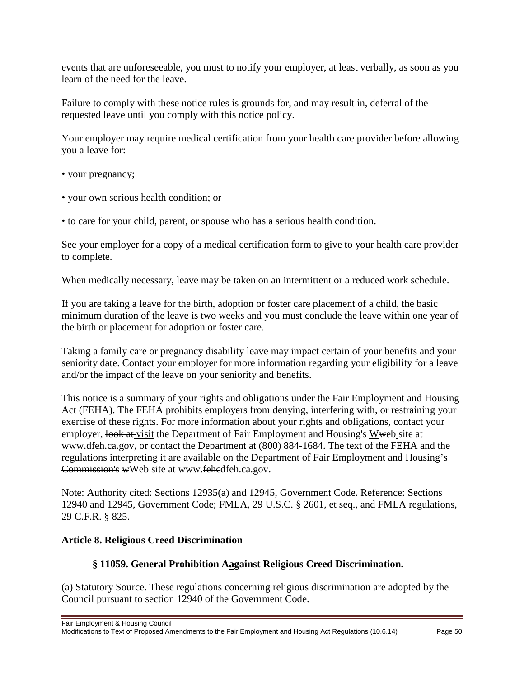events that are unforeseeable, you must to notify your employer, at least verbally, as soon as you learn of the need for the leave.

Failure to comply with these notice rules is grounds for, and may result in, deferral of the requested leave until you comply with this notice policy.

Your employer may require medical certification from your health care provider before allowing you a leave for:

- your pregnancy;
- your own serious health condition; or
- to care for your child, parent, or spouse who has a serious health condition.

See your employer for a copy of a medical certification form to give to your health care provider to complete.

When medically necessary, leave may be taken on an intermittent or a reduced work schedule.

If you are taking a leave for the birth, adoption or foster care placement of a child, the basic minimum duration of the leave is two weeks and you must conclude the leave within one year of the birth or placement for adoption or foster care.

Taking a family care or pregnancy disability leave may impact certain of your benefits and your seniority date. Contact your employer for more information regarding your eligibility for a leave and/or the impact of the leave on your seniority and benefits.

This notice is a summary of your rights and obligations under the Fair Employment and Housing Act (FEHA). The FEHA prohibits employers from denying, interfering with, or restraining your exercise of these rights. For more information about your rights and obligations, contact your employer, look at visit the Department of Fair Employment and Housing's Wweb site at www.dfeh.ca.gov, or contact the Department at (800) 884-1684. The text of the FEHA and the regulations interpreting it are available on the Department of Fair Employment and Housing's Commission's wWeb site at www.fehedfeh.ca.gov.

Note: Authority cited: Sections 12935(a) and 12945, Government Code. Reference: Sections 12940 and 12945, Government Code; FMLA, 29 U.S.C. § 2601, et seq., and FMLA regulations, 29 C.F.R. § 825.

## **Article 8. Religious Creed Discrimination**

## **§ 11059. General Prohibition Aagainst Religious Creed Discrimination.**

(a) Statutory Source. These regulations concerning religious discrimination are adopted by the Council pursuant to section 12940 of the Government Code.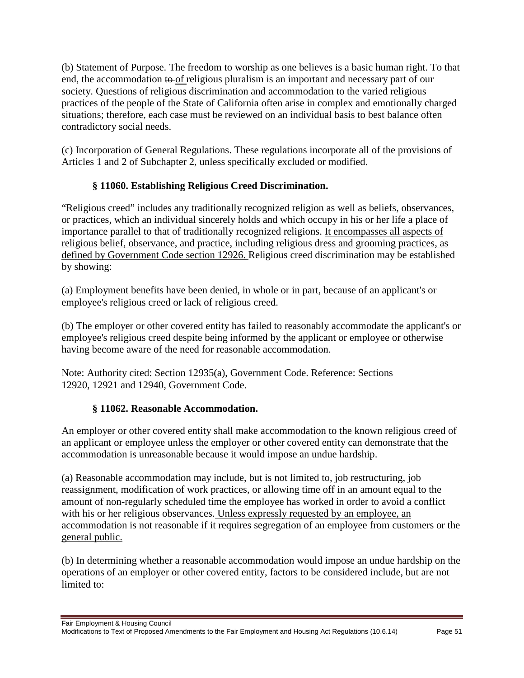(b) Statement of Purpose. The freedom to worship as one believes is a basic human right. To that end, the accommodation to of religious pluralism is an important and necessary part of our society. Questions of religious discrimination and accommodation to the varied religious practices of the people of the State of California often arise in complex and emotionally charged situations; therefore, each case must be reviewed on an individual basis to best balance often contradictory social needs.

(c) Incorporation of General Regulations. These regulations incorporate all of the provisions of Articles 1 and 2 of Subchapter 2, unless specifically excluded or modified.

# **§ 11060. Establishing Religious Creed Discrimination.**

"Religious creed" includes any traditionally recognized religion as well as beliefs, observances, or practices, which an individual sincerely holds and which occupy in his or her life a place of importance parallel to that of traditionally recognized religions. It encompasses all aspects of religious belief, observance, and practice, including religious dress and grooming practices, as defined by Government Code section 12926. Religious creed discrimination may be established by showing:

(a) Employment benefits have been denied, in whole or in part, because of an applicant's or employee's religious creed or lack of religious creed.

(b) The employer or other covered entity has failed to reasonably accommodate the applicant's or employee's religious creed despite being informed by the applicant or employee or otherwise having become aware of the need for reasonable accommodation.

Note: Authority cited: Section 12935(a), Government Code. Reference: Sections 12920, 12921 and 12940, Government Code.

# **§ 11062. Reasonable Accommodation.**

An employer or other covered entity shall make accommodation to the known religious creed of an applicant or employee unless the employer or other covered entity can demonstrate that the accommodation is unreasonable because it would impose an undue hardship.

(a) Reasonable accommodation may include, but is not limited to, job restructuring, job reassignment, modification of work practices, or allowing time off in an amount equal to the amount of non-regularly scheduled time the employee has worked in order to avoid a conflict with his or her religious observances. Unless expressly requested by an employee, an accommodation is not reasonable if it requires segregation of an employee from customers or the general public.

(b) In determining whether a reasonable accommodation would impose an undue hardship on the operations of an employer or other covered entity, factors to be considered include, but are not limited to: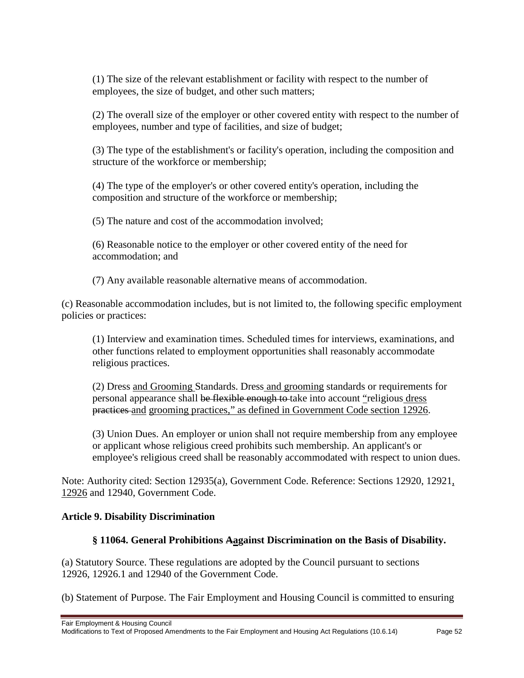(1) The size of the relevant establishment or facility with respect to the number of employees, the size of budget, and other such matters;

(2) The overall size of the employer or other covered entity with respect to the number of employees, number and type of facilities, and size of budget;

(3) The type of the establishment's or facility's operation, including the composition and structure of the workforce or membership;

(4) The type of the employer's or other covered entity's operation, including the composition and structure of the workforce or membership;

(5) The nature and cost of the accommodation involved;

(6) Reasonable notice to the employer or other covered entity of the need for accommodation; and

(7) Any available reasonable alternative means of accommodation.

(c) Reasonable accommodation includes, but is not limited to, the following specific employment policies or practices:

(1) Interview and examination times. Scheduled times for interviews, examinations, and other functions related to employment opportunities shall reasonably accommodate religious practices.

(2) Dress and Grooming Standards. Dress and grooming standards or requirements for personal appearance shall be flexible enough to take into account "religious dress practices and grooming practices," as defined in Government Code section 12926.

(3) Union Dues. An employer or union shall not require membership from any employee or applicant whose religious creed prohibits such membership. An applicant's or employee's religious creed shall be reasonably accommodated with respect to union dues.

Note: Authority cited: Section 12935(a), Government Code. Reference: Sections 12920, 12921, 12926 and 12940, Government Code.

## **Article 9. Disability Discrimination**

## **§ 11064. General Prohibitions Aagainst Discrimination on the Basis of Disability.**

(a) Statutory Source. These regulations are adopted by the Council pursuant to sections 12926, 12926.1 and 12940 of the Government Code.

(b) Statement of Purpose. The Fair Employment and Housing Council is committed to ensuring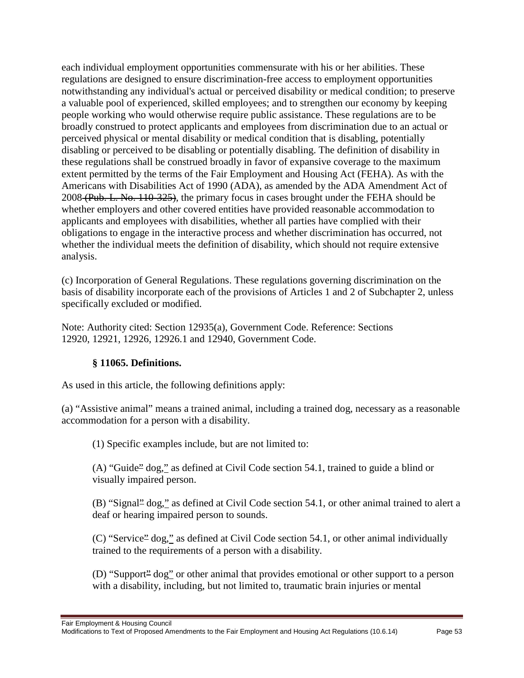each individual employment opportunities commensurate with his or her abilities. These regulations are designed to ensure discrimination-free access to employment opportunities notwithstanding any individual's actual or perceived disability or medical condition; to preserve a valuable pool of experienced, skilled employees; and to strengthen our economy by keeping people working who would otherwise require public assistance. These regulations are to be broadly construed to protect applicants and employees from discrimination due to an actual or perceived physical or mental disability or medical condition that is disabling, potentially disabling or perceived to be disabling or potentially disabling. The definition of disability in these regulations shall be construed broadly in favor of expansive coverage to the maximum extent permitted by the terms of the Fair Employment and Housing Act (FEHA). As with the Americans with Disabilities Act of 1990 (ADA), as amended by the ADA Amendment Act of 2008 (Pub. L. No. 110-325), the primary focus in cases brought under the FEHA should be whether employers and other covered entities have provided reasonable accommodation to applicants and employees with disabilities, whether all parties have complied with their obligations to engage in the interactive process and whether discrimination has occurred, not whether the individual meets the definition of disability, which should not require extensive analysis.

(c) Incorporation of General Regulations. These regulations governing discrimination on the basis of disability incorporate each of the provisions of Articles 1 and 2 of Subchapter 2, unless specifically excluded or modified.

Note: Authority cited: Section 12935(a), Government Code. Reference: Sections 12920, 12921, 12926, 12926.1 and 12940, Government Code.

## **§ 11065. Definitions.**

As used in this article, the following definitions apply:

(a) "Assistive animal" means a trained animal, including a trained dog, necessary as a reasonable accommodation for a person with a disability.

(1) Specific examples include, but are not limited to:

(A) "Guide" dog," as defined at Civil Code section 54.1, trained to guide a blind or visually impaired person.

(B) "Signal" dog," as defined at Civil Code section 54.1, or other animal trained to alert a deaf or hearing impaired person to sounds.

(C) "Service" dog," as defined at Civil Code section 54.1, or other animal individually trained to the requirements of a person with a disability.

(D) "Support" dog" or other animal that provides emotional or other support to a person with a disability, including, but not limited to, traumatic brain injuries or mental

Fair Employment & Housing Council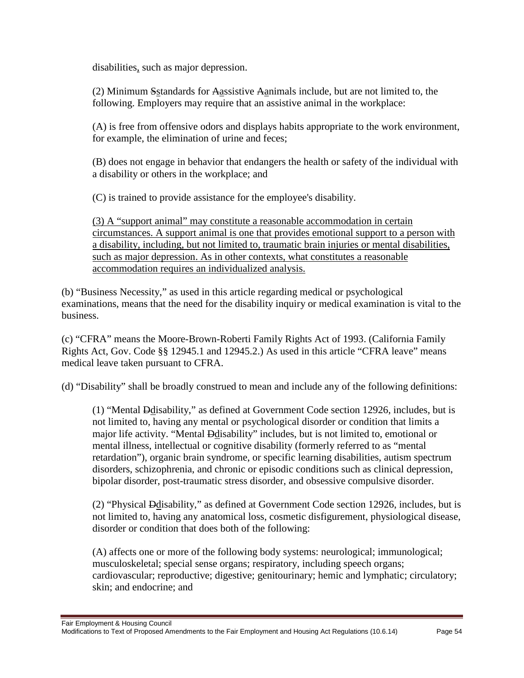disabilities, such as major depression.

(2) Minimum Sstandards for Aassistive Aanimals include, but are not limited to, the following. Employers may require that an assistive animal in the workplace:

(A) is free from offensive odors and displays habits appropriate to the work environment, for example, the elimination of urine and feces;

(B) does not engage in behavior that endangers the health or safety of the individual with a disability or others in the workplace; and

(C) is trained to provide assistance for the employee's disability.

(3) A "support animal" may constitute a reasonable accommodation in certain circumstances. A support animal is one that provides emotional support to a person with a disability, including, but not limited to, traumatic brain injuries or mental disabilities, such as major depression. As in other contexts, what constitutes a reasonable accommodation requires an individualized analysis.

(b) "Business Necessity," as used in this article regarding medical or psychological examinations, means that the need for the disability inquiry or medical examination is vital to the business.

(c) "CFRA" means the Moore-Brown-Roberti Family Rights Act of 1993. (California Family Rights Act, Gov. Code §§ 12945.1 and 12945.2.) As used in this article "CFRA leave" means medical leave taken pursuant to CFRA.

(d) "Disability" shall be broadly construed to mean and include any of the following definitions:

(1) "Mental Ddisability," as defined at Government Code section 12926, includes, but is not limited to, having any mental or psychological disorder or condition that limits a major life activity. "Mental Ddisability" includes, but is not limited to, emotional or mental illness, intellectual or cognitive disability (formerly referred to as "mental retardation"), organic brain syndrome, or specific learning disabilities, autism spectrum disorders, schizophrenia, and chronic or episodic conditions such as clinical depression, bipolar disorder, post-traumatic stress disorder, and obsessive compulsive disorder.

(2) "Physical Ddisability," as defined at Government Code section 12926, includes, but is not limited to, having any anatomical loss, cosmetic disfigurement, physiological disease, disorder or condition that does both of the following:

(A) affects one or more of the following body systems: neurological; immunological; musculoskeletal; special sense organs; respiratory, including speech organs; cardiovascular; reproductive; digestive; genitourinary; hemic and lymphatic; circulatory; skin; and endocrine; and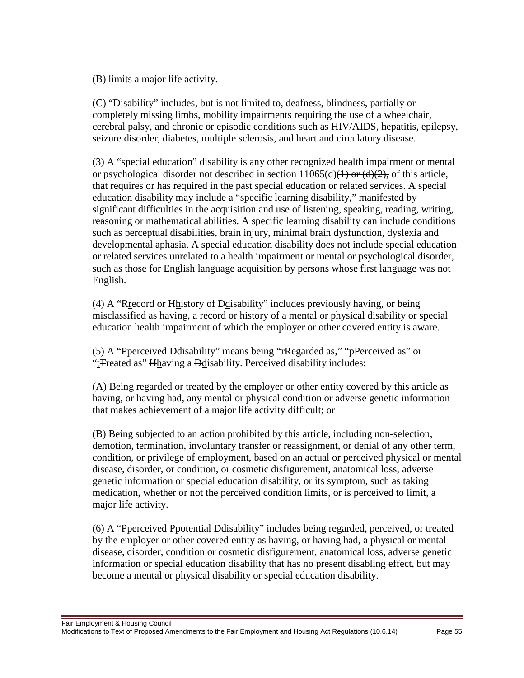(B) limits a major life activity.

(C) "Disability" includes, but is not limited to, deafness, blindness, partially or completely missing limbs, mobility impairments requiring the use of a wheelchair, cerebral palsy, and chronic or episodic conditions such as HIV/AIDS, hepatitis, epilepsy, seizure disorder, diabetes, multiple sclerosis, and heart and circulatory disease.

(3) A "special education" disability is any other recognized health impairment or mental or psychological disorder not described in section  $11065(d)$ ( $\rightarrow$ ) or (d)( $\rightarrow$ ), of this article, that requires or has required in the past special education or related services. A special education disability may include a "specific learning disability," manifested by significant difficulties in the acquisition and use of listening, speaking, reading, writing, reasoning or mathematical abilities. A specific learning disability can include conditions such as perceptual disabilities, brain injury, minimal brain dysfunction, dyslexia and developmental aphasia. A special education disability does not include special education or related services unrelated to a health impairment or mental or psychological disorder, such as those for English language acquisition by persons whose first language was not English.

(4) A "Rrecord or Hhistory of Ddisability" includes previously having, or being misclassified as having, a record or history of a mental or physical disability or special education health impairment of which the employer or other covered entity is aware.

(5) A "Pperceived Ddisability" means being "rRegarded as," "pPerceived as" or "t<sub>Treated as</sub>" Hhaving a Ddisability. Perceived disability includes:

(A) Being regarded or treated by the employer or other entity covered by this article as having, or having had, any mental or physical condition or adverse genetic information that makes achievement of a major life activity difficult; or

(B) Being subjected to an action prohibited by this article, including non-selection, demotion, termination, involuntary transfer or reassignment, or denial of any other term, condition, or privilege of employment, based on an actual or perceived physical or mental disease, disorder, or condition, or cosmetic disfigurement, anatomical loss, adverse genetic information or special education disability, or its symptom, such as taking medication, whether or not the perceived condition limits, or is perceived to limit, a major life activity.

(6) A "Pperceived Ppotential Ddisability" includes being regarded, perceived, or treated by the employer or other covered entity as having, or having had, a physical or mental disease, disorder, condition or cosmetic disfigurement, anatomical loss, adverse genetic information or special education disability that has no present disabling effect, but may become a mental or physical disability or special education disability.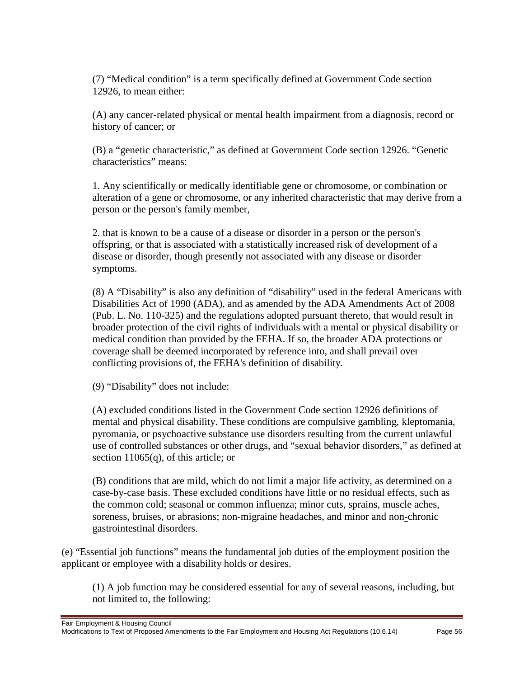(7) "Medical condition" is a term specifically defined at Government Code section 12926, to mean either:

(A) any cancer-related physical or mental health impairment from a diagnosis, record or history of cancer; or

(B) a "genetic characteristic," as defined at Government Code section 12926. "Genetic characteristics" means:

1. Any scientifically or medically identifiable gene or chromosome, or combination or alteration of a gene or chromosome, or any inherited characteristic that may derive from a person or the person's family member,

2. that is known to be a cause of a disease or disorder in a person or the person's offspring, or that is associated with a statistically increased risk of development of a disease or disorder, though presently not associated with any disease or disorder symptoms.

(8) A "Disability" is also any definition of "disability" used in the federal Americans with Disabilities Act of 1990 (ADA), and as amended by the ADA Amendments Act of 2008 (Pub. L. No. 110-325) and the regulations adopted pursuant thereto, that would result in broader protection of the civil rights of individuals with a mental or physical disability or medical condition than provided by the FEHA. If so, the broader ADA protections or coverage shall be deemed incorporated by reference into, and shall prevail over conflicting provisions of, the FEHA's definition of disability.

(9) "Disability" does not include:

(A) excluded conditions listed in the Government Code section 12926 definitions of mental and physical disability. These conditions are compulsive gambling, kleptomania, pyromania, or psychoactive substance use disorders resulting from the current unlawful use of controlled substances or other drugs, and "sexual behavior disorders," as defined at section  $11065(q)$ , of this article; or

(B) conditions that are mild, which do not limit a major life activity, as determined on a case-by-case basis. These excluded conditions have little or no residual effects, such as the common cold; seasonal or common influenza; minor cuts, sprains, muscle aches, soreness, bruises, or abrasions; non-migraine headaches, and minor and non-chronic gastrointestinal disorders.

(e) "Essential job functions" means the fundamental job duties of the employment position the applicant or employee with a disability holds or desires.

(1) A job function may be considered essential for any of several reasons, including, but not limited to, the following: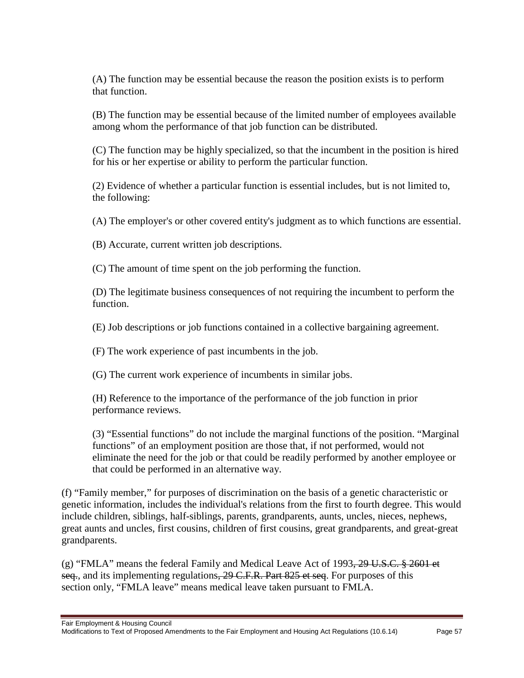(A) The function may be essential because the reason the position exists is to perform that function.

(B) The function may be essential because of the limited number of employees available among whom the performance of that job function can be distributed.

(C) The function may be highly specialized, so that the incumbent in the position is hired for his or her expertise or ability to perform the particular function.

(2) Evidence of whether a particular function is essential includes, but is not limited to, the following:

(A) The employer's or other covered entity's judgment as to which functions are essential.

(B) Accurate, current written job descriptions.

(C) The amount of time spent on the job performing the function.

(D) The legitimate business consequences of not requiring the incumbent to perform the function.

(E) Job descriptions or job functions contained in a collective bargaining agreement.

(F) The work experience of past incumbents in the job.

(G) The current work experience of incumbents in similar jobs.

(H) Reference to the importance of the performance of the job function in prior performance reviews.

(3) "Essential functions" do not include the marginal functions of the position. "Marginal functions" of an employment position are those that, if not performed, would not eliminate the need for the job or that could be readily performed by another employee or that could be performed in an alternative way.

(f) "Family member," for purposes of discrimination on the basis of a genetic characteristic or genetic information, includes the individual's relations from the first to fourth degree. This would include children, siblings, half-siblings, parents, grandparents, aunts, uncles, nieces, nephews, great aunts and uncles, first cousins, children of first cousins, great grandparents, and great-great grandparents.

(g) "FMLA" means the federal Family and Medical Leave Act of 1993, 29 U.S.C.  $\S$  2601 et seq., and its implementing regulations, 29 C.F.R. Part 825 et seq. For purposes of this section only, "FMLA leave" means medical leave taken pursuant to FMLA.

Fair Employment & Housing Council Modifications to Text of Proposed Amendments to the Fair Employment and Housing Act Regulations (10.6.14) Page 57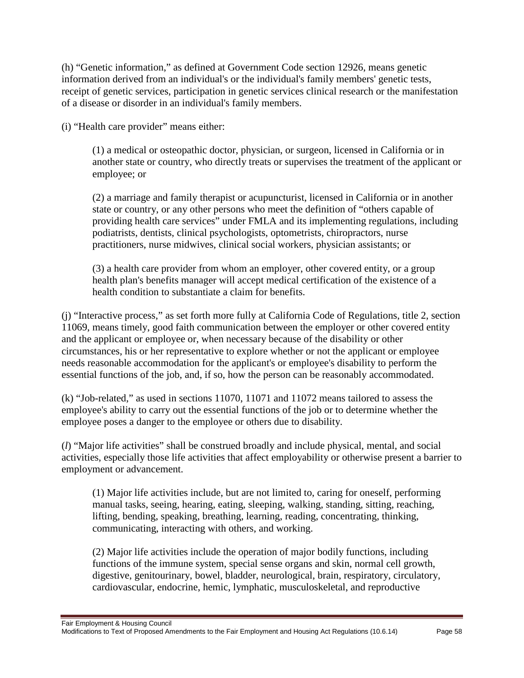(h) "Genetic information," as defined at Government Code section 12926, means genetic information derived from an individual's or the individual's family members' genetic tests, receipt of genetic services, participation in genetic services clinical research or the manifestation of a disease or disorder in an individual's family members.

(i) "Health care provider" means either:

(1) a medical or osteopathic doctor, physician, or surgeon, licensed in California or in another state or country, who directly treats or supervises the treatment of the applicant or employee; or

(2) a marriage and family therapist or acupuncturist, licensed in California or in another state or country, or any other persons who meet the definition of "others capable of providing health care services" under FMLA and its implementing regulations, including podiatrists, dentists, clinical psychologists, optometrists, chiropractors, nurse practitioners, nurse midwives, clinical social workers, physician assistants; or

(3) a health care provider from whom an employer, other covered entity, or a group health plan's benefits manager will accept medical certification of the existence of a health condition to substantiate a claim for benefits.

(j) "Interactive process," as set forth more fully at California Code of Regulations, title 2, section 11069, means timely, good faith communication between the employer or other covered entity and the applicant or employee or, when necessary because of the disability or other circumstances, his or her representative to explore whether or not the applicant or employee needs reasonable accommodation for the applicant's or employee's disability to perform the essential functions of the job, and, if so, how the person can be reasonably accommodated.

(k) "Job-related," as used in sections 11070, 11071 and 11072 means tailored to assess the employee's ability to carry out the essential functions of the job or to determine whether the employee poses a danger to the employee or others due to disability.

(*l*) "Major life activities" shall be construed broadly and include physical, mental, and social activities, especially those life activities that affect employability or otherwise present a barrier to employment or advancement.

(1) Major life activities include, but are not limited to, caring for oneself, performing manual tasks, seeing, hearing, eating, sleeping, walking, standing, sitting, reaching, lifting, bending, speaking, breathing, learning, reading, concentrating, thinking, communicating, interacting with others, and working.

(2) Major life activities include the operation of major bodily functions, including functions of the immune system, special sense organs and skin, normal cell growth, digestive, genitourinary, bowel, bladder, neurological, brain, respiratory, circulatory, cardiovascular, endocrine, hemic, lymphatic, musculoskeletal, and reproductive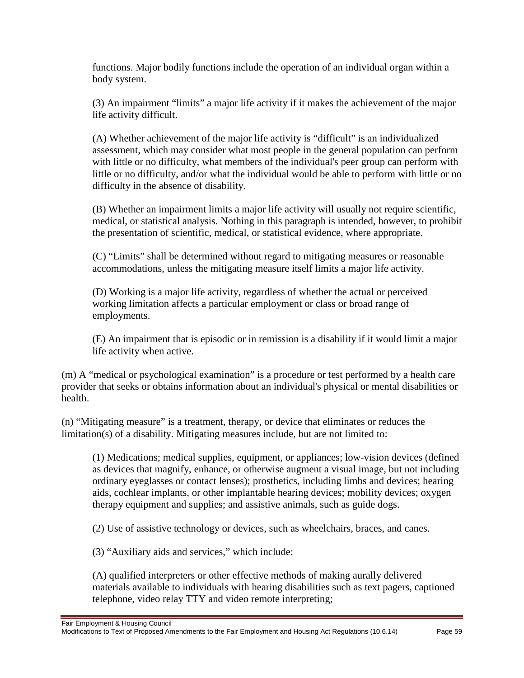functions. Major bodily functions include the operation of an individual organ within a body system.

(3) An impairment "limits" a major life activity if it makes the achievement of the major life activity difficult.

(A) Whether achievement of the major life activity is "difficult" is an individualized assessment, which may consider what most people in the general population can perform with little or no difficulty, what members of the individual's peer group can perform with little or no difficulty, and/or what the individual would be able to perform with little or no difficulty in the absence of disability.

(B) Whether an impairment limits a major life activity will usually not require scientific, medical, or statistical analysis. Nothing in this paragraph is intended, however, to prohibit the presentation of scientific, medical, or statistical evidence, where appropriate.

(C) "Limits" shall be determined without regard to mitigating measures or reasonable accommodations, unless the mitigating measure itself limits a major life activity.

(D) Working is a major life activity, regardless of whether the actual or perceived working limitation affects a particular employment or class or broad range of employments.

(E) An impairment that is episodic or in remission is a disability if it would limit a major life activity when active.

(m) A "medical or psychological examination" is a procedure or test performed by a health care provider that seeks or obtains information about an individual's physical or mental disabilities or health.

(n) "Mitigating measure" is a treatment, therapy, or device that eliminates or reduces the limitation(s) of a disability. Mitigating measures include, but are not limited to:

(1) Medications; medical supplies, equipment, or appliances; low-vision devices (defined as devices that magnify, enhance, or otherwise augment a visual image, but not including ordinary eyeglasses or contact lenses); prosthetics, including limbs and devices; hearing aids, cochlear implants, or other implantable hearing devices; mobility devices; oxygen therapy equipment and supplies; and assistive animals, such as guide dogs.

(2) Use of assistive technology or devices, such as wheelchairs, braces, and canes.

(3) "Auxiliary aids and services," which include:

(A) qualified interpreters or other effective methods of making aurally delivered materials available to individuals with hearing disabilities such as text pagers, captioned telephone, video relay TTY and video remote interpreting;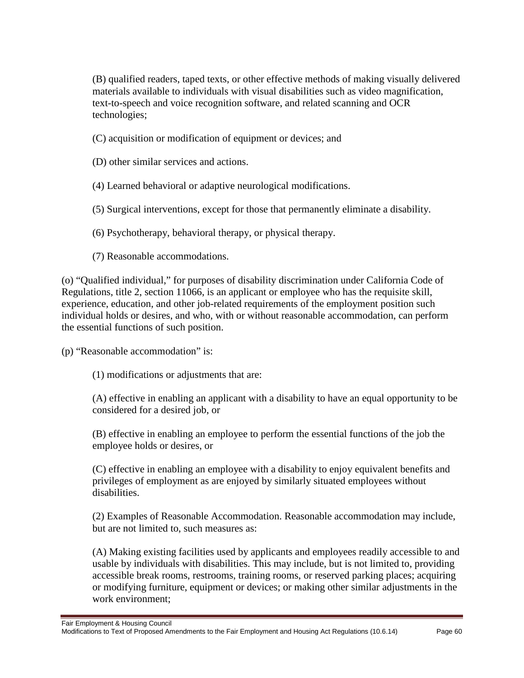(B) qualified readers, taped texts, or other effective methods of making visually delivered materials available to individuals with visual disabilities such as video magnification, text-to-speech and voice recognition software, and related scanning and OCR technologies;

- (C) acquisition or modification of equipment or devices; and
- (D) other similar services and actions.
- (4) Learned behavioral or adaptive neurological modifications.
- (5) Surgical interventions, except for those that permanently eliminate a disability.
- (6) Psychotherapy, behavioral therapy, or physical therapy.
- (7) Reasonable accommodations.

(o) "Qualified individual," for purposes of disability discrimination under California Code of Regulations, title 2, section 11066, is an applicant or employee who has the requisite skill, experience, education, and other job-related requirements of the employment position such individual holds or desires, and who, with or without reasonable accommodation, can perform the essential functions of such position.

(p) "Reasonable accommodation" is:

(1) modifications or adjustments that are:

(A) effective in enabling an applicant with a disability to have an equal opportunity to be considered for a desired job, or

(B) effective in enabling an employee to perform the essential functions of the job the employee holds or desires, or

(C) effective in enabling an employee with a disability to enjoy equivalent benefits and privileges of employment as are enjoyed by similarly situated employees without disabilities.

(2) Examples of Reasonable Accommodation. Reasonable accommodation may include, but are not limited to, such measures as:

(A) Making existing facilities used by applicants and employees readily accessible to and usable by individuals with disabilities. This may include, but is not limited to, providing accessible break rooms, restrooms, training rooms, or reserved parking places; acquiring or modifying furniture, equipment or devices; or making other similar adjustments in the work environment;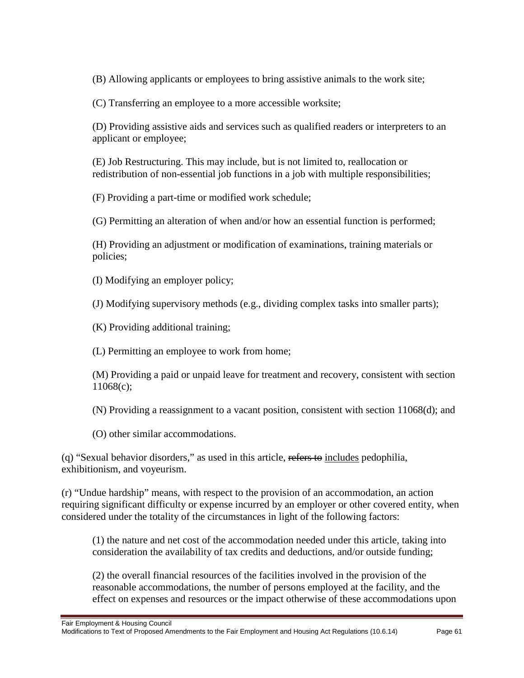(B) Allowing applicants or employees to bring assistive animals to the work site;

(C) Transferring an employee to a more accessible worksite;

(D) Providing assistive aids and services such as qualified readers or interpreters to an applicant or employee;

(E) Job Restructuring. This may include, but is not limited to, reallocation or redistribution of non-essential job functions in a job with multiple responsibilities;

(F) Providing a part-time or modified work schedule;

(G) Permitting an alteration of when and/or how an essential function is performed;

(H) Providing an adjustment or modification of examinations, training materials or policies;

(I) Modifying an employer policy;

(J) Modifying supervisory methods (e.g., dividing complex tasks into smaller parts);

(K) Providing additional training;

(L) Permitting an employee to work from home;

(M) Providing a paid or unpaid leave for treatment and recovery, consistent with section 11068(c);

(N) Providing a reassignment to a vacant position, consistent with section 11068(d); and

(O) other similar accommodations.

(q) "Sexual behavior disorders," as used in this article, refers to includes pedophilia, exhibitionism, and voyeurism.

(r) "Undue hardship" means, with respect to the provision of an accommodation, an action requiring significant difficulty or expense incurred by an employer or other covered entity, when considered under the totality of the circumstances in light of the following factors:

(1) the nature and net cost of the accommodation needed under this article, taking into consideration the availability of tax credits and deductions, and/or outside funding;

(2) the overall financial resources of the facilities involved in the provision of the reasonable accommodations, the number of persons employed at the facility, and the effect on expenses and resources or the impact otherwise of these accommodations upon

Fair Employment & Housing Council

Modifications to Text of Proposed Amendments to the Fair Employment and Housing Act Regulations (10.6.14) Page 61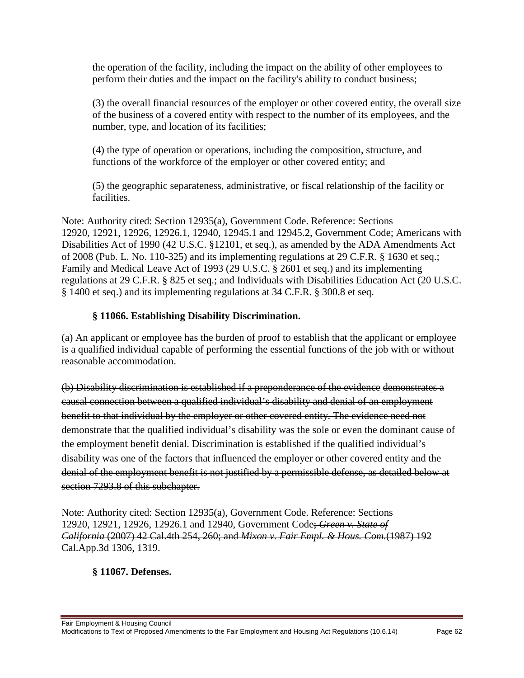the operation of the facility, including the impact on the ability of other employees to perform their duties and the impact on the facility's ability to conduct business;

(3) the overall financial resources of the employer or other covered entity, the overall size of the business of a covered entity with respect to the number of its employees, and the number, type, and location of its facilities;

(4) the type of operation or operations, including the composition, structure, and functions of the workforce of the employer or other covered entity; and

(5) the geographic separateness, administrative, or fiscal relationship of the facility or facilities.

Note: Authority cited: Section 12935(a), Government Code. Reference: Sections 12920, 12921, 12926, 12926.1, 12940, 12945.1 and 12945.2, Government Code; Americans with Disabilities Act of 1990 (42 U.S.C. §12101, et seq.), as amended by the ADA Amendments Act of 2008 (Pub. L. No. 110-325) and its implementing regulations at 29 C.F.R. § 1630 et seq.; Family and Medical Leave Act of 1993 (29 U.S.C. § 2601 et seq.) and its implementing regulations at 29 C.F.R. § 825 et seq.; and Individuals with Disabilities Education Act (20 U.S.C. § 1400 et seq.) and its implementing regulations at 34 C.F.R. § 300.8 et seq.

## **§ 11066. Establishing Disability Discrimination.**

(a) An applicant or employee has the burden of proof to establish that the applicant or employee is a qualified individual capable of performing the essential functions of the job with or without reasonable accommodation.

(b) Disability discrimination is established if a preponderance of the evidence demonstrates a causal connection between a qualified individual's disability and denial of an employment benefit to that individual by the employer or other covered entity. The evidence need not demonstrate that the qualified individual's disability was the sole or even the dominant cause of the employment benefit denial. Discrimination is established if the qualified individual's disability was one of the factors that influenced the employer or other covered entity and the denial of the employment benefit is not justified by a permissible defense, as detailed below at section 7293.8 of this subchapter.

Note: Authority cited: Section 12935(a), Government Code. Reference: Sections 12920, 12921, 12926, 12926.1 and 12940, Government Code; *Green v. State of California* (2007) 42 Cal.4th 254, 260; and *Mixon v. Fair Empl. & Hous. Com.*(1987) 192 Cal.App.3d 1306, 1319.

#### **§ 11067. Defenses.**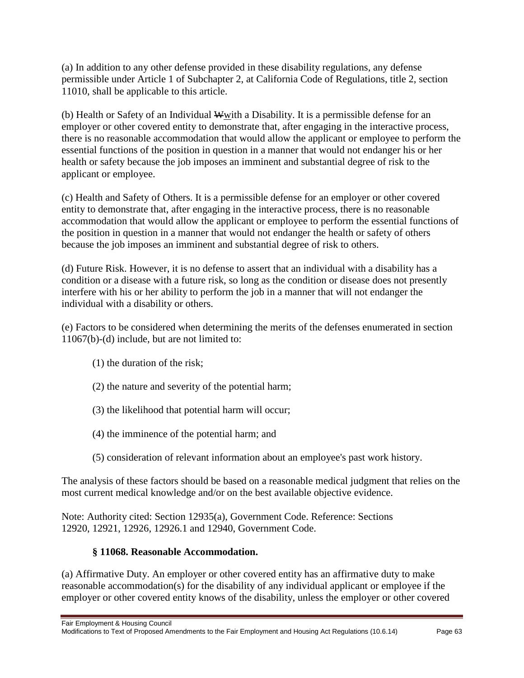(a) In addition to any other defense provided in these disability regulations, any defense permissible under Article 1 of Subchapter 2, at California Code of Regulations, title 2, section 11010, shall be applicable to this article.

(b) Health or Safety of an Individual Wwith a Disability. It is a permissible defense for an employer or other covered entity to demonstrate that, after engaging in the interactive process, there is no reasonable accommodation that would allow the applicant or employee to perform the essential functions of the position in question in a manner that would not endanger his or her health or safety because the job imposes an imminent and substantial degree of risk to the applicant or employee.

(c) Health and Safety of Others. It is a permissible defense for an employer or other covered entity to demonstrate that, after engaging in the interactive process, there is no reasonable accommodation that would allow the applicant or employee to perform the essential functions of the position in question in a manner that would not endanger the health or safety of others because the job imposes an imminent and substantial degree of risk to others.

(d) Future Risk. However, it is no defense to assert that an individual with a disability has a condition or a disease with a future risk, so long as the condition or disease does not presently interfere with his or her ability to perform the job in a manner that will not endanger the individual with a disability or others.

(e) Factors to be considered when determining the merits of the defenses enumerated in section 11067(b)-(d) include, but are not limited to:

- (1) the duration of the risk;
- (2) the nature and severity of the potential harm;
- (3) the likelihood that potential harm will occur;
- (4) the imminence of the potential harm; and
- (5) consideration of relevant information about an employee's past work history.

The analysis of these factors should be based on a reasonable medical judgment that relies on the most current medical knowledge and/or on the best available objective evidence.

Note: Authority cited: Section 12935(a), Government Code. Reference: Sections 12920, 12921, 12926, 12926.1 and 12940, Government Code.

#### **§ 11068. Reasonable Accommodation.**

(a) Affirmative Duty. An employer or other covered entity has an affirmative duty to make reasonable accommodation(s) for the disability of any individual applicant or employee if the employer or other covered entity knows of the disability, unless the employer or other covered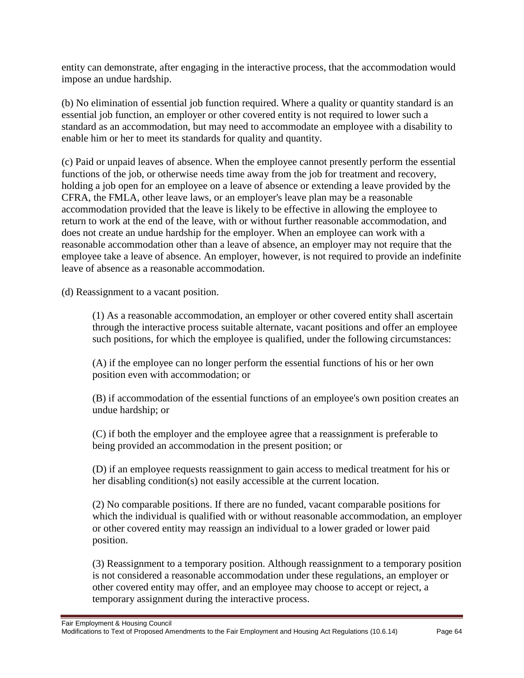entity can demonstrate, after engaging in the interactive process, that the accommodation would impose an undue hardship.

(b) No elimination of essential job function required. Where a quality or quantity standard is an essential job function, an employer or other covered entity is not required to lower such a standard as an accommodation, but may need to accommodate an employee with a disability to enable him or her to meet its standards for quality and quantity.

(c) Paid or unpaid leaves of absence. When the employee cannot presently perform the essential functions of the job, or otherwise needs time away from the job for treatment and recovery, holding a job open for an employee on a leave of absence or extending a leave provided by the CFRA, the FMLA, other leave laws, or an employer's leave plan may be a reasonable accommodation provided that the leave is likely to be effective in allowing the employee to return to work at the end of the leave, with or without further reasonable accommodation, and does not create an undue hardship for the employer. When an employee can work with a reasonable accommodation other than a leave of absence, an employer may not require that the employee take a leave of absence. An employer, however, is not required to provide an indefinite leave of absence as a reasonable accommodation.

(d) Reassignment to a vacant position.

(1) As a reasonable accommodation, an employer or other covered entity shall ascertain through the interactive process suitable alternate, vacant positions and offer an employee such positions, for which the employee is qualified, under the following circumstances:

(A) if the employee can no longer perform the essential functions of his or her own position even with accommodation; or

(B) if accommodation of the essential functions of an employee's own position creates an undue hardship; or

(C) if both the employer and the employee agree that a reassignment is preferable to being provided an accommodation in the present position; or

(D) if an employee requests reassignment to gain access to medical treatment for his or her disabling condition(s) not easily accessible at the current location.

(2) No comparable positions. If there are no funded, vacant comparable positions for which the individual is qualified with or without reasonable accommodation, an employer or other covered entity may reassign an individual to a lower graded or lower paid position.

(3) Reassignment to a temporary position. Although reassignment to a temporary position is not considered a reasonable accommodation under these regulations, an employer or other covered entity may offer, and an employee may choose to accept or reject, a temporary assignment during the interactive process.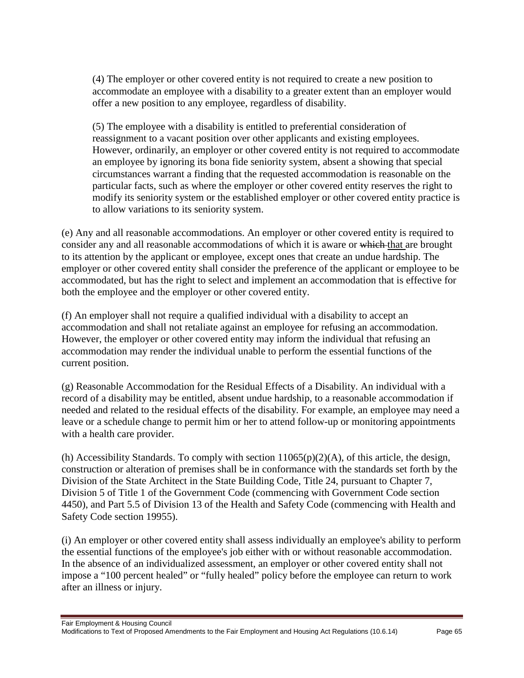(4) The employer or other covered entity is not required to create a new position to accommodate an employee with a disability to a greater extent than an employer would offer a new position to any employee, regardless of disability.

(5) The employee with a disability is entitled to preferential consideration of reassignment to a vacant position over other applicants and existing employees. However, ordinarily, an employer or other covered entity is not required to accommodate an employee by ignoring its bona fide seniority system, absent a showing that special circumstances warrant a finding that the requested accommodation is reasonable on the particular facts, such as where the employer or other covered entity reserves the right to modify its seniority system or the established employer or other covered entity practice is to allow variations to its seniority system.

(e) Any and all reasonable accommodations. An employer or other covered entity is required to consider any and all reasonable accommodations of which it is aware or which that are brought to its attention by the applicant or employee, except ones that create an undue hardship. The employer or other covered entity shall consider the preference of the applicant or employee to be accommodated, but has the right to select and implement an accommodation that is effective for both the employee and the employer or other covered entity.

(f) An employer shall not require a qualified individual with a disability to accept an accommodation and shall not retaliate against an employee for refusing an accommodation. However, the employer or other covered entity may inform the individual that refusing an accommodation may render the individual unable to perform the essential functions of the current position.

(g) Reasonable Accommodation for the Residual Effects of a Disability. An individual with a record of a disability may be entitled, absent undue hardship, to a reasonable accommodation if needed and related to the residual effects of the disability. For example, an employee may need a leave or a schedule change to permit him or her to attend follow-up or monitoring appointments with a health care provider.

(h) Accessibility Standards. To comply with section 11065(p)(2)(A), of this article, the design, construction or alteration of premises shall be in conformance with the standards set forth by the Division of the State Architect in the State Building Code, Title 24, pursuant to Chapter 7, Division 5 of Title 1 of the Government Code (commencing with Government Code section 4450), and Part 5.5 of Division 13 of the Health and Safety Code (commencing with Health and Safety Code section 19955).

(i) An employer or other covered entity shall assess individually an employee's ability to perform the essential functions of the employee's job either with or without reasonable accommodation. In the absence of an individualized assessment, an employer or other covered entity shall not impose a "100 percent healed" or "fully healed" policy before the employee can return to work after an illness or injury.

Fair Employment & Housing Council Modifications to Text of Proposed Amendments to the Fair Employment and Housing Act Regulations (10.6.14) Page 65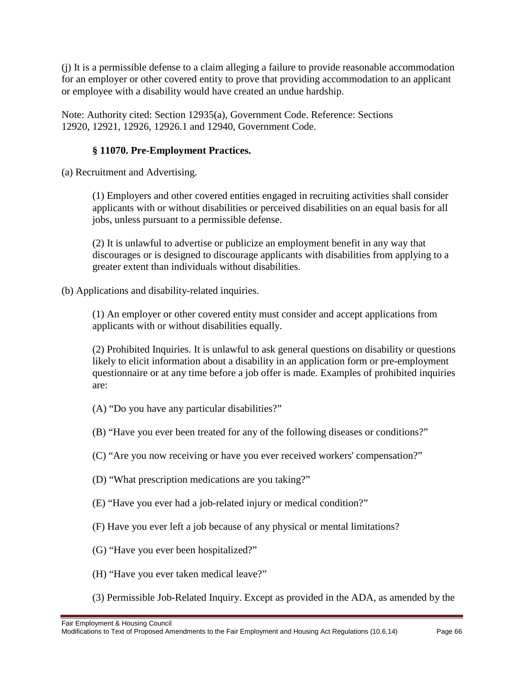(j) It is a permissible defense to a claim alleging a failure to provide reasonable accommodation for an employer or other covered entity to prove that providing accommodation to an applicant or employee with a disability would have created an undue hardship.

Note: Authority cited: Section 12935(a), Government Code. Reference: Sections 12920, 12921, 12926, 12926.1 and 12940, Government Code.

# **§ 11070. Pre-Employment Practices.**

(a) Recruitment and Advertising.

(1) Employers and other covered entities engaged in recruiting activities shall consider applicants with or without disabilities or perceived disabilities on an equal basis for all jobs, unless pursuant to a permissible defense.

(2) It is unlawful to advertise or publicize an employment benefit in any way that discourages or is designed to discourage applicants with disabilities from applying to a greater extent than individuals without disabilities.

(b) Applications and disability-related inquiries.

(1) An employer or other covered entity must consider and accept applications from applicants with or without disabilities equally.

(2) Prohibited Inquiries. It is unlawful to ask general questions on disability or questions likely to elicit information about a disability in an application form or pre-employment questionnaire or at any time before a job offer is made. Examples of prohibited inquiries are:

- (A) "Do you have any particular disabilities?"
- (B) "Have you ever been treated for any of the following diseases or conditions?"
- (C) "Are you now receiving or have you ever received workers' compensation?"
- (D) "What prescription medications are you taking?"
- (E) "Have you ever had a job-related injury or medical condition?"
- (F) Have you ever left a job because of any physical or mental limitations?
- (G) "Have you ever been hospitalized?"
- (H) "Have you ever taken medical leave?"
- (3) Permissible Job-Related Inquiry. Except as provided in the ADA, as amended by the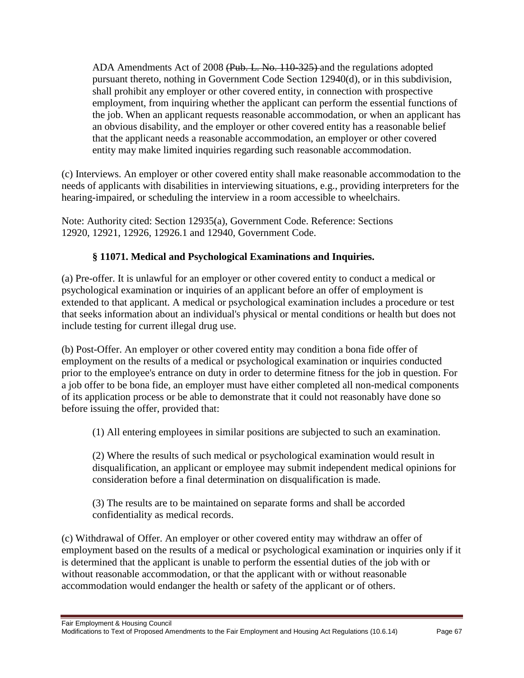ADA Amendments Act of 2008 (Pub. L. No. 110-325) and the regulations adopted pursuant thereto, nothing in Government Code Section 12940(d), or in this subdivision, shall prohibit any employer or other covered entity, in connection with prospective employment, from inquiring whether the applicant can perform the essential functions of the job. When an applicant requests reasonable accommodation, or when an applicant has an obvious disability, and the employer or other covered entity has a reasonable belief that the applicant needs a reasonable accommodation, an employer or other covered entity may make limited inquiries regarding such reasonable accommodation.

(c) Interviews. An employer or other covered entity shall make reasonable accommodation to the needs of applicants with disabilities in interviewing situations, e.g., providing interpreters for the hearing-impaired, or scheduling the interview in a room accessible to wheelchairs.

Note: Authority cited: Section 12935(a), Government Code. Reference: Sections 12920, 12921, 12926, 12926.1 and 12940, Government Code.

## **§ 11071. Medical and Psychological Examinations and Inquiries.**

(a) Pre-offer. It is unlawful for an employer or other covered entity to conduct a medical or psychological examination or inquiries of an applicant before an offer of employment is extended to that applicant. A medical or psychological examination includes a procedure or test that seeks information about an individual's physical or mental conditions or health but does not include testing for current illegal drug use.

(b) Post-Offer. An employer or other covered entity may condition a bona fide offer of employment on the results of a medical or psychological examination or inquiries conducted prior to the employee's entrance on duty in order to determine fitness for the job in question. For a job offer to be bona fide, an employer must have either completed all non-medical components of its application process or be able to demonstrate that it could not reasonably have done so before issuing the offer, provided that:

(1) All entering employees in similar positions are subjected to such an examination.

(2) Where the results of such medical or psychological examination would result in disqualification, an applicant or employee may submit independent medical opinions for consideration before a final determination on disqualification is made.

(3) The results are to be maintained on separate forms and shall be accorded confidentiality as medical records.

(c) Withdrawal of Offer. An employer or other covered entity may withdraw an offer of employment based on the results of a medical or psychological examination or inquiries only if it is determined that the applicant is unable to perform the essential duties of the job with or without reasonable accommodation, or that the applicant with or without reasonable accommodation would endanger the health or safety of the applicant or of others.

Fair Employment & Housing Council Modifications to Text of Proposed Amendments to the Fair Employment and Housing Act Regulations (10.6.14) Page 67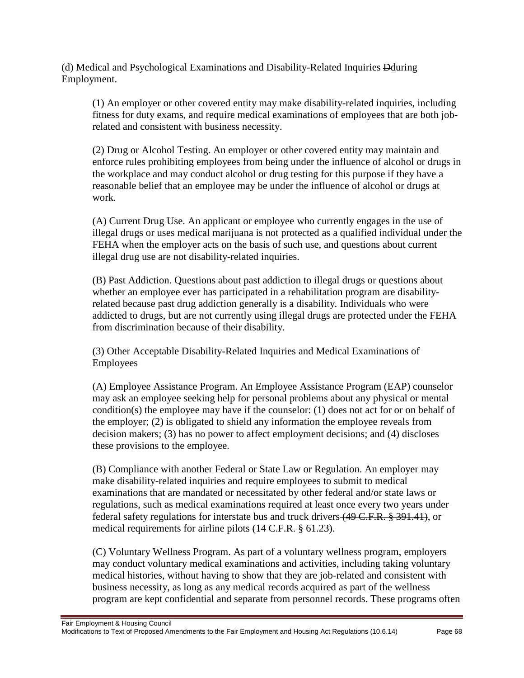(d) Medical and Psychological Examinations and Disability-Related Inquiries Dduring Employment.

(1) An employer or other covered entity may make disability-related inquiries, including fitness for duty exams, and require medical examinations of employees that are both jobrelated and consistent with business necessity.

(2) Drug or Alcohol Testing. An employer or other covered entity may maintain and enforce rules prohibiting employees from being under the influence of alcohol or drugs in the workplace and may conduct alcohol or drug testing for this purpose if they have a reasonable belief that an employee may be under the influence of alcohol or drugs at work.

(A) Current Drug Use. An applicant or employee who currently engages in the use of illegal drugs or uses medical marijuana is not protected as a qualified individual under the FEHA when the employer acts on the basis of such use, and questions about current illegal drug use are not disability-related inquiries.

(B) Past Addiction. Questions about past addiction to illegal drugs or questions about whether an employee ever has participated in a rehabilitation program are disabilityrelated because past drug addiction generally is a disability. Individuals who were addicted to drugs, but are not currently using illegal drugs are protected under the FEHA from discrimination because of their disability.

(3) Other Acceptable Disability-Related Inquiries and Medical Examinations of Employees

(A) Employee Assistance Program. An Employee Assistance Program (EAP) counselor may ask an employee seeking help for personal problems about any physical or mental condition(s) the employee may have if the counselor: (1) does not act for or on behalf of the employer; (2) is obligated to shield any information the employee reveals from decision makers; (3) has no power to affect employment decisions; and (4) discloses these provisions to the employee.

(B) Compliance with another Federal or State Law or Regulation. An employer may make disability-related inquiries and require employees to submit to medical examinations that are mandated or necessitated by other federal and/or state laws or regulations, such as medical examinations required at least once every two years under federal safety regulations for interstate bus and truck drivers (49 C.F.R. § 391.41), or medical requirements for airline pilots (14 C.F.R. § 61.23).

(C) Voluntary Wellness Program. As part of a voluntary wellness program, employers may conduct voluntary medical examinations and activities, including taking voluntary medical histories, without having to show that they are job-related and consistent with business necessity, as long as any medical records acquired as part of the wellness program are kept confidential and separate from personnel records. These programs often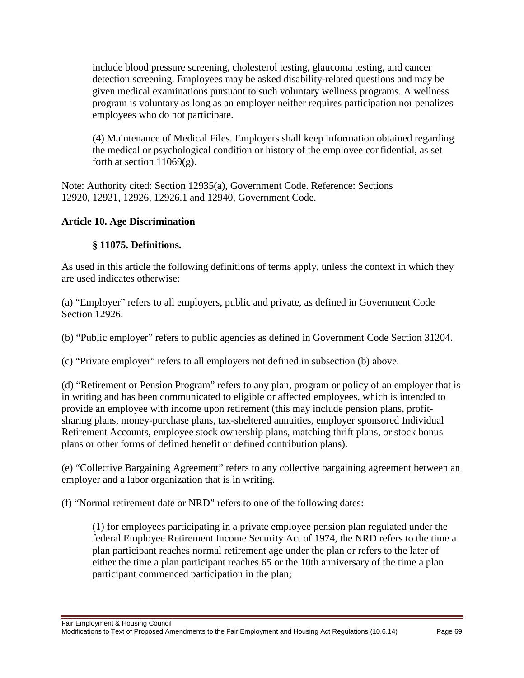include blood pressure screening, cholesterol testing, glaucoma testing, and cancer detection screening. Employees may be asked disability-related questions and may be given medical examinations pursuant to such voluntary wellness programs. A wellness program is voluntary as long as an employer neither requires participation nor penalizes employees who do not participate.

(4) Maintenance of Medical Files. Employers shall keep information obtained regarding the medical or psychological condition or history of the employee confidential, as set forth at section  $11069(g)$ .

Note: Authority cited: Section 12935(a), Government Code. Reference: Sections 12920, 12921, 12926, 12926.1 and 12940, Government Code.

## **Article 10. Age Discrimination**

## **§ 11075. Definitions.**

As used in this article the following definitions of terms apply, unless the context in which they are used indicates otherwise:

(a) "Employer" refers to all employers, public and private, as defined in Government Code Section 12926.

(b) "Public employer" refers to public agencies as defined in Government Code Section 31204.

(c) "Private employer" refers to all employers not defined in subsection (b) above.

(d) "Retirement or Pension Program" refers to any plan, program or policy of an employer that is in writing and has been communicated to eligible or affected employees, which is intended to provide an employee with income upon retirement (this may include pension plans, profitsharing plans, money-purchase plans, tax-sheltered annuities, employer sponsored Individual Retirement Accounts, employee stock ownership plans, matching thrift plans, or stock bonus plans or other forms of defined benefit or defined contribution plans).

(e) "Collective Bargaining Agreement" refers to any collective bargaining agreement between an employer and a labor organization that is in writing.

(f) "Normal retirement date or NRD" refers to one of the following dates:

(1) for employees participating in a private employee pension plan regulated under the federal Employee Retirement Income Security Act of 1974, the NRD refers to the time a plan participant reaches normal retirement age under the plan or refers to the later of either the time a plan participant reaches 65 or the 10th anniversary of the time a plan participant commenced participation in the plan;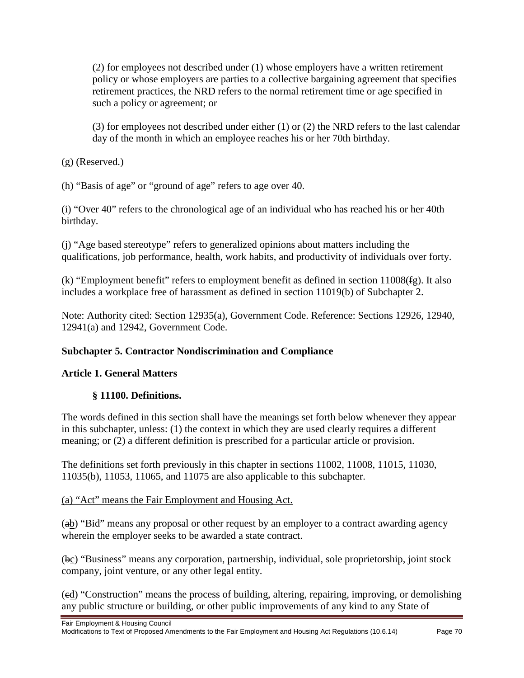(2) for employees not described under (1) whose employers have a written retirement policy or whose employers are parties to a collective bargaining agreement that specifies retirement practices, the NRD refers to the normal retirement time or age specified in such a policy or agreement; or

(3) for employees not described under either (1) or (2) the NRD refers to the last calendar day of the month in which an employee reaches his or her 70th birthday.

(g) (Reserved.)

(h) "Basis of age" or "ground of age" refers to age over 40.

(i) "Over 40" refers to the chronological age of an individual who has reached his or her 40th birthday.

(j) "Age based stereotype" refers to generalized opinions about matters including the qualifications, job performance, health, work habits, and productivity of individuals over forty.

(k) "Employment benefit" refers to employment benefit as defined in section  $11008(fg)$ . It also includes a workplace free of harassment as defined in section 11019(b) of Subchapter 2.

Note: Authority cited: Section 12935(a), Government Code. Reference: Sections 12926, 12940, 12941(a) and 12942, Government Code.

# **Subchapter 5. Contractor Nondiscrimination and Compliance**

## **Article 1. General Matters**

# **§ 11100. Definitions.**

The words defined in this section shall have the meanings set forth below whenever they appear in this subchapter, unless: (1) the context in which they are used clearly requires a different meaning; or (2) a different definition is prescribed for a particular article or provision.

The definitions set forth previously in this chapter in sections 11002, 11008, 11015, 11030, 11035(b), 11053, 11065, and 11075 are also applicable to this subchapter.

## (a) "Act" means the Fair Employment and Housing Act.

(ab) "Bid" means any proposal or other request by an employer to a contract awarding agency wherein the employer seeks to be awarded a state contract.

(bc) "Business" means any corporation, partnership, individual, sole proprietorship, joint stock company, joint venture, or any other legal entity.

(cd) "Construction" means the process of building, altering, repairing, improving, or demolishing any public structure or building, or other public improvements of any kind to any State of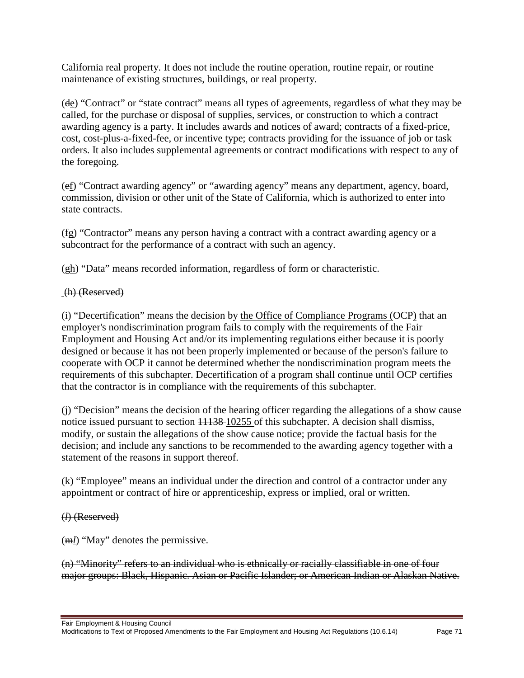California real property. It does not include the routine operation, routine repair, or routine maintenance of existing structures, buildings, or real property.

(de) "Contract" or "state contract" means all types of agreements, regardless of what they may be called, for the purchase or disposal of supplies, services, or construction to which a contract awarding agency is a party. It includes awards and notices of award; contracts of a fixed-price, cost, cost-plus-a-fixed-fee, or incentive type; contracts providing for the issuance of job or task orders. It also includes supplemental agreements or contract modifications with respect to any of the foregoing.

(ef) "Contract awarding agency" or "awarding agency" means any department, agency, board, commission, division or other unit of the State of California, which is authorized to enter into state contracts.

(fg) "Contractor" means any person having a contract with a contract awarding agency or a subcontract for the performance of a contract with such an agency.

(gh) "Data" means recorded information, regardless of form or characteristic.

# (h) (Reserved)

(i) "Decertification" means the decision by the Office of Compliance Programs (OCP) that an employer's nondiscrimination program fails to comply with the requirements of the Fair Employment and Housing Act and/or its implementing regulations either because it is poorly designed or because it has not been properly implemented or because of the person's failure to cooperate with OCP it cannot be determined whether the nondiscrimination program meets the requirements of this subchapter. Decertification of a program shall continue until OCP certifies that the contractor is in compliance with the requirements of this subchapter.

(j) "Decision" means the decision of the hearing officer regarding the allegations of a show cause notice issued pursuant to section  $\frac{11138}{10255}$  of this subchapter. A decision shall dismiss, modify, or sustain the allegations of the show cause notice; provide the factual basis for the decision; and include any sanctions to be recommended to the awarding agency together with a statement of the reasons in support thereof.

(k) "Employee" means an individual under the direction and control of a contractor under any appointment or contract of hire or apprenticeship, express or implied, oral or written.

# (*l*) (Reserved)

(m*l*) "May" denotes the permissive.

(n) "Minority" refers to an individual who is ethnically or racially classifiable in one of four major groups: Black, Hispanic. Asian or Pacific Islander; or American Indian or Alaskan Native.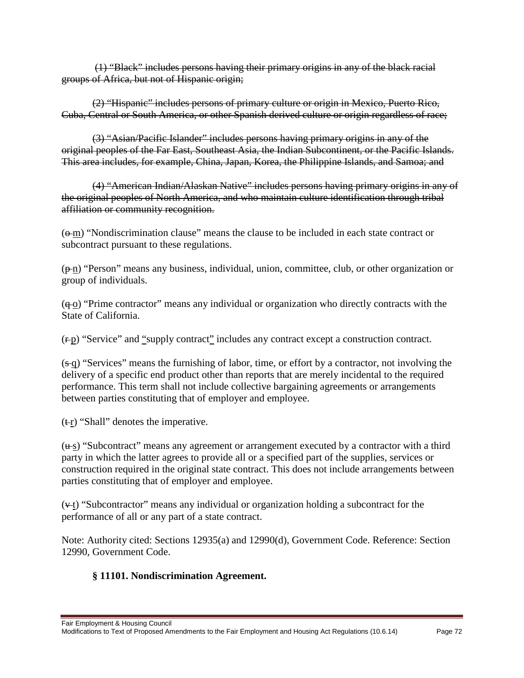(1) "Black" includes persons having their primary origins in any of the black racial groups of Africa, but not of Hispanic origin;

(2) "Hispanic" includes persons of primary culture or origin in Mexico, Puerto Rico, Cuba, Central or South America, or other Spanish derived culture or origin regardless of race;

(3) "Asian/Pacific Islander" includes persons having primary origins in any of the original peoples of the Far East, Southeast Asia, the Indian Subcontinent, or the Pacific Islands. This area includes, for example, China, Japan, Korea, the Philippine Islands, and Samoa; and

(4) "American Indian/Alaskan Native" includes persons having primary origins in any of the original peoples of North America, and who maintain culture identification through tribal affiliation or community recognition.

 $(\Theta_m)$  "Nondiscrimination clause" means the clause to be included in each state contract or subcontract pursuant to these regulations.

 $(p-n)$  "Person" means any business, individual, union, committee, club, or other organization or group of individuals.

 $(q<sub>-</sub>o)$  "Prime contractor" means any individual or organization who directly contracts with the State of California.

 $(F<sub>p</sub>)$  "Service" and "supply contract" includes any contract except a construction contract.

 $(s-q)$  "Services" means the furnishing of labor, time, or effort by a contractor, not involving the delivery of a specific end product other than reports that are merely incidental to the required performance. This term shall not include collective bargaining agreements or arrangements between parties constituting that of employer and employee.

 $(+r)$  "Shall" denotes the imperative.

 $(u-s)$  "Subcontract" means any agreement or arrangement executed by a contractor with a third party in which the latter agrees to provide all or a specified part of the supplies, services or construction required in the original state contract. This does not include arrangements between parties constituting that of employer and employee.

 $(v-t)$  "Subcontractor" means any individual or organization holding a subcontract for the performance of all or any part of a state contract.

Note: Authority cited: Sections 12935(a) and 12990(d), Government Code. Reference: Section 12990, Government Code.

## **§ 11101. Nondiscrimination Agreement.**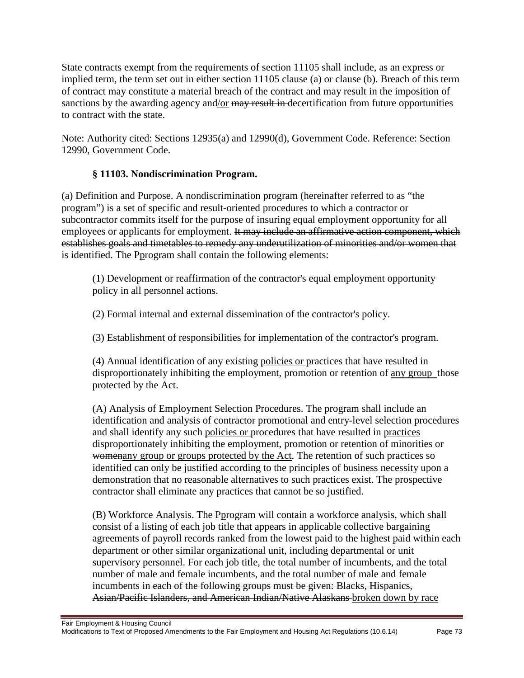State contracts exempt from the requirements of section 11105 shall include, as an express or implied term, the term set out in either section 11105 clause (a) or clause (b). Breach of this term of contract may constitute a material breach of the contract and may result in the imposition of sanctions by the awarding agency and/or may result in decertification from future opportunities to contract with the state.

Note: Authority cited: Sections 12935(a) and 12990(d), Government Code. Reference: Section 12990, Government Code.

## **§ 11103. Nondiscrimination Program.**

(a) Definition and Purpose. A nondiscrimination program (hereinafter referred to as "the program") is a set of specific and result-oriented procedures to which a contractor or subcontractor commits itself for the purpose of insuring equal employment opportunity for all employees or applicants for employment. It may include an affirmative action component, which establishes goals and timetables to remedy any underutilization of minorities and/or women that is identified. The Pprogram shall contain the following elements:

(1) Development or reaffirmation of the contractor's equal employment opportunity policy in all personnel actions.

(2) Formal internal and external dissemination of the contractor's policy.

(3) Establishment of responsibilities for implementation of the contractor's program.

(4) Annual identification of any existing policies or practices that have resulted in disproportionately inhibiting the employment, promotion or retention of any group those protected by the Act.

(A) Analysis of Employment Selection Procedures. The program shall include an identification and analysis of contractor promotional and entry-level selection procedures and shall identify any such policies or procedures that have resulted in practices disproportionately inhibiting the employment, promotion or retention of minorities or womenany group or groups protected by the Act. The retention of such practices so identified can only be justified according to the principles of business necessity upon a demonstration that no reasonable alternatives to such practices exist. The prospective contractor shall eliminate any practices that cannot be so justified.

(B) Workforce Analysis. The Pprogram will contain a workforce analysis, which shall consist of a listing of each job title that appears in applicable collective bargaining agreements of payroll records ranked from the lowest paid to the highest paid within each department or other similar organizational unit, including departmental or unit supervisory personnel. For each job title, the total number of incumbents, and the total number of male and female incumbents, and the total number of male and female incumbents in each of the following groups must be given: Blacks, Hispanics, Asian/Pacific Islanders, and American Indian/Native Alaskans broken down by race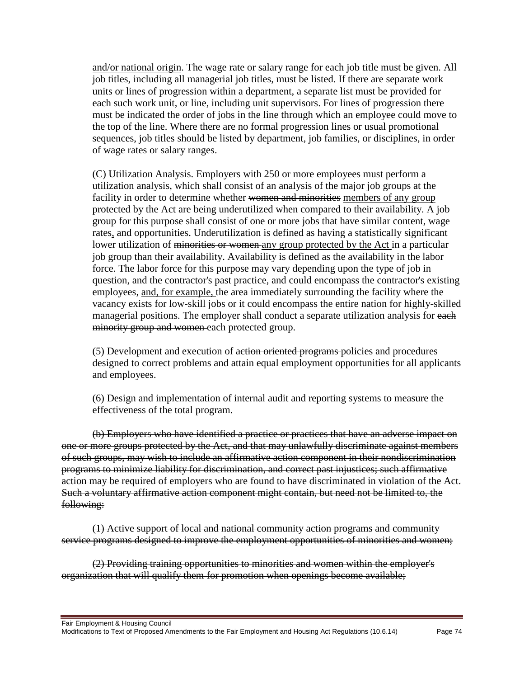and/or national origin. The wage rate or salary range for each job title must be given. All job titles, including all managerial job titles, must be listed. If there are separate work units or lines of progression within a department, a separate list must be provided for each such work unit, or line, including unit supervisors. For lines of progression there must be indicated the order of jobs in the line through which an employee could move to the top of the line. Where there are no formal progression lines or usual promotional sequences, job titles should be listed by department, job families, or disciplines, in order of wage rates or salary ranges.

(C) Utilization Analysis. Employers with 250 or more employees must perform a utilization analysis, which shall consist of an analysis of the major job groups at the facility in order to determine whether women and minorities members of any group protected by the Act are being underutilized when compared to their availability. A job group for this purpose shall consist of one or more jobs that have similar content, wage rates, and opportunities. Underutilization is defined as having a statistically significant lower utilization of minorities or women any group protected by the Act in a particular job group than their availability. Availability is defined as the availability in the labor force. The labor force for this purpose may vary depending upon the type of job in question, and the contractor's past practice, and could encompass the contractor's existing employees, and, for example, the area immediately surrounding the facility where the vacancy exists for low-skill jobs or it could encompass the entire nation for highly-skilled managerial positions. The employer shall conduct a separate utilization analysis for each minority group and women each protected group.

(5) Development and execution of action oriented programs policies and procedures designed to correct problems and attain equal employment opportunities for all applicants and employees.

(6) Design and implementation of internal audit and reporting systems to measure the effectiveness of the total program.

(b) Employers who have identified a practice or practices that have an adverse impact on one or more groups protected by the Act, and that may unlawfully discriminate against members of such groups, may wish to include an affirmative action component in their nondiscrimination programs to minimize liability for discrimination, and correct past injustices; such affirmative action may be required of employers who are found to have discriminated in violation of the Act. Such a voluntary affirmative action component might contain, but need not be limited to, the following:

(1) Active support of local and national community action programs and community service programs designed to improve the employment opportunities of minorities and women;

(2) Providing training opportunities to minorities and women within the employer's organization that will qualify them for promotion when openings become available;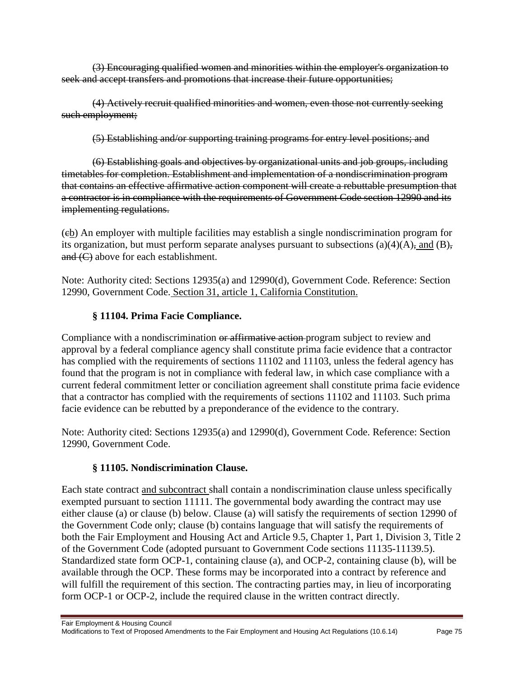(3) Encouraging qualified women and minorities within the employer's organization to seek and accept transfers and promotions that increase their future opportunities;

(4) Actively recruit qualified minorities and women, even those not currently seeking such employment;

(5) Establishing and/or supporting training programs for entry level positions; and

(6) Establishing goals and objectives by organizational units and job groups, including timetables for completion. Establishment and implementation of a nondiscrimination program that contains an effective affirmative action component will create a rebuttable presumption that a contractor is in compliance with the requirements of Government Code section 12990 and its implementing regulations.

(cb) An employer with multiple facilities may establish a single nondiscrimination program for its organization, but must perform separate analyses pursuant to subsections (a)(4)(A), and (B), and (C) above for each establishment.

Note: Authority cited: Sections 12935(a) and 12990(d), Government Code. Reference: Section 12990, Government Code. Section 31, article 1, California Constitution.

# **§ 11104. Prima Facie Compliance.**

Compliance with a nondiscrimination or affirmative action program subject to review and approval by a federal compliance agency shall constitute prima facie evidence that a contractor has complied with the requirements of sections 11102 and 11103, unless the federal agency has found that the program is not in compliance with federal law, in which case compliance with a current federal commitment letter or conciliation agreement shall constitute prima facie evidence that a contractor has complied with the requirements of sections 11102 and 11103. Such prima facie evidence can be rebutted by a preponderance of the evidence to the contrary.

Note: Authority cited: Sections 12935(a) and 12990(d), Government Code. Reference: Section 12990, Government Code.

# **§ 11105. Nondiscrimination Clause.**

Each state contract and subcontract shall contain a nondiscrimination clause unless specifically exempted pursuant to section 11111. The governmental body awarding the contract may use either clause (a) or clause (b) below. Clause (a) will satisfy the requirements of section 12990 of the Government Code only; clause (b) contains language that will satisfy the requirements of both the Fair Employment and Housing Act and Article 9.5, Chapter 1, Part 1, Division 3, Title 2 of the Government Code (adopted pursuant to Government Code sections 11135-11139.5). Standardized state form OCP-1, containing clause (a), and OCP-2, containing clause (b), will be available through the OCP. These forms may be incorporated into a contract by reference and will fulfill the requirement of this section. The contracting parties may, in lieu of incorporating form OCP-1 or OCP-2, include the required clause in the written contract directly.

Modifications to Text of Proposed Amendments to the Fair Employment and Housing Act Regulations (10.6.14) Page 75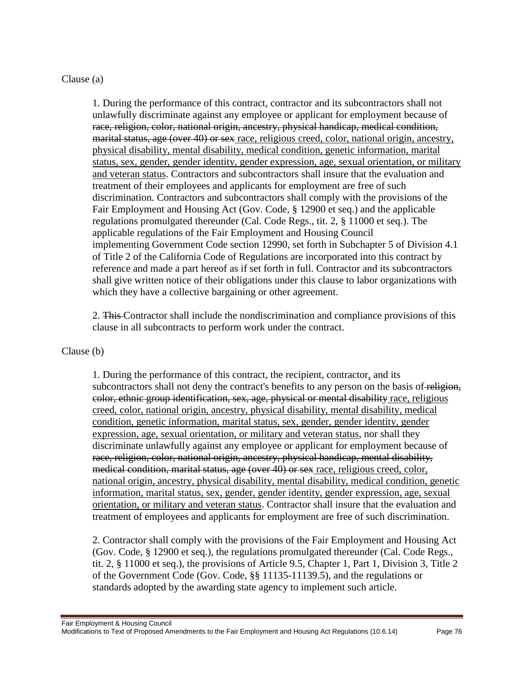#### Clause (a)

1. During the performance of this contract, contractor and its subcontractors shall not unlawfully discriminate against any employee or applicant for employment because of race, religion, color, national origin, ancestry, physical handicap, medical condition, marital status, age (over 40) or sex race, religious creed, color, national origin, ancestry, physical disability, mental disability, medical condition, genetic information, marital status, sex, gender, gender identity, gender expression, age, sexual orientation, or military and veteran status. Contractors and subcontractors shall insure that the evaluation and treatment of their employees and applicants for employment are free of such discrimination. Contractors and subcontractors shall comply with the provisions of the Fair Employment and Housing Act (Gov. Code, § 12900 et seq.) and the applicable regulations promulgated thereunder (Cal. Code Regs., tit. 2, § 11000 et seq.). The applicable regulations of the Fair Employment and Housing Council implementing Government Code section 12990, set forth in Subchapter 5 of Division 4.1 of Title 2 of the California Code of Regulations are incorporated into this contract by reference and made a part hereof as if set forth in full. Contractor and its subcontractors shall give written notice of their obligations under this clause to labor organizations with which they have a collective bargaining or other agreement.

2. This Contractor shall include the nondiscrimination and compliance provisions of this clause in all subcontracts to perform work under the contract.

#### Clause (b)

1. During the performance of this contract, the recipient, contractor, and its subcontractors shall not deny the contract's benefits to any person on the basis of religion, color, ethnic group identification, sex, age, physical or mental disability race, religious creed, color, national origin, ancestry, physical disability, mental disability, medical condition, genetic information, marital status, sex, gender, gender identity, gender expression, age, sexual orientation, or military and veteran status, nor shall they discriminate unlawfully against any employee or applicant for employment because of race, religion, color, national origin, ancestry, physical handicap, mental disability, medical condition, marital status, age (over 40) or sex race, religious creed, color, national origin, ancestry, physical disability, mental disability, medical condition, genetic information, marital status, sex, gender, gender identity, gender expression, age, sexual orientation, or military and veteran status. Contractor shall insure that the evaluation and treatment of employees and applicants for employment are free of such discrimination.

2. Contractor shall comply with the provisions of the Fair Employment and Housing Act (Gov. Code, § 12900 et seq.), the regulations promulgated thereunder (Cal. Code Regs., tit. 2, § 11000 et seq.), the provisions of Article 9.5, Chapter 1, Part 1, Division 3, Title 2 of the Government Code (Gov. Code, §§ 11135-11139.5), and the regulations or standards adopted by the awarding state agency to implement such article.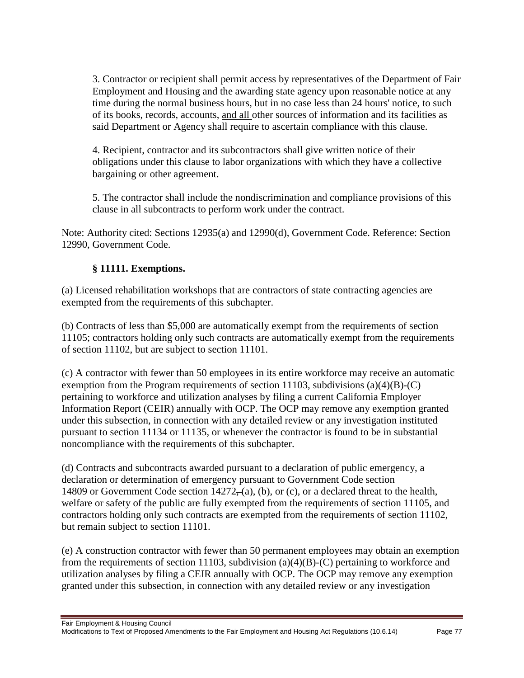3. Contractor or recipient shall permit access by representatives of the Department of Fair Employment and Housing and the awarding state agency upon reasonable notice at any time during the normal business hours, but in no case less than 24 hours' notice, to such of its books, records, accounts, and all other sources of information and its facilities as said Department or Agency shall require to ascertain compliance with this clause.

4. Recipient, contractor and its subcontractors shall give written notice of their obligations under this clause to labor organizations with which they have a collective bargaining or other agreement.

5. The contractor shall include the nondiscrimination and compliance provisions of this clause in all subcontracts to perform work under the contract.

Note: Authority cited: Sections 12935(a) and 12990(d), Government Code. Reference: Section 12990, Government Code.

#### **§ 11111. Exemptions.**

(a) Licensed rehabilitation workshops that are contractors of state contracting agencies are exempted from the requirements of this subchapter.

(b) Contracts of less than \$5,000 are automatically exempt from the requirements of section 11105; contractors holding only such contracts are automatically exempt from the requirements of section 11102, but are subject to section 11101.

(c) A contractor with fewer than 50 employees in its entire workforce may receive an automatic exemption from the Program requirements of section 11103, subdivisions  $(a)(4)(B)-(C)$ pertaining to workforce and utilization analyses by filing a current California Employer Information Report (CEIR) annually with OCP. The OCP may remove any exemption granted under this subsection, in connection with any detailed review or any investigation instituted pursuant to section 11134 or 11135, or whenever the contractor is found to be in substantial noncompliance with the requirements of this subchapter.

(d) Contracts and subcontracts awarded pursuant to a declaration of public emergency, a declaration or determination of emergency pursuant to Government Code section 14809 or Government Code section  $14272$ , (a), (b), or (c), or a declared threat to the health, welfare or safety of the public are fully exempted from the requirements of section 11105, and contractors holding only such contracts are exempted from the requirements of section 11102, but remain subject to section 11101.

(e) A construction contractor with fewer than 50 permanent employees may obtain an exemption from the requirements of section 11103, subdivision (a)(4)(B)-(C) pertaining to workforce and utilization analyses by filing a CEIR annually with OCP. The OCP may remove any exemption granted under this subsection, in connection with any detailed review or any investigation

Fair Employment & Housing Council Modifications to Text of Proposed Amendments to the Fair Employment and Housing Act Regulations (10.6.14) Page 77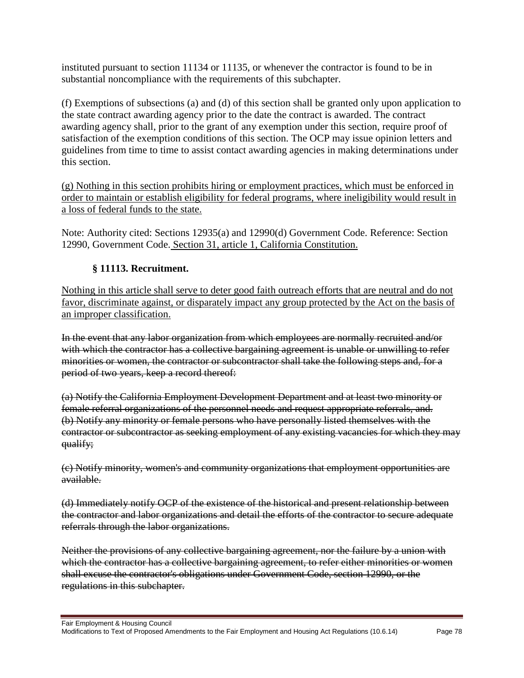instituted pursuant to section 11134 or 11135, or whenever the contractor is found to be in substantial noncompliance with the requirements of this subchapter.

(f) Exemptions of subsections (a) and (d) of this section shall be granted only upon application to the state contract awarding agency prior to the date the contract is awarded. The contract awarding agency shall, prior to the grant of any exemption under this section, require proof of satisfaction of the exemption conditions of this section. The OCP may issue opinion letters and guidelines from time to time to assist contact awarding agencies in making determinations under this section.

(g) Nothing in this section prohibits hiring or employment practices, which must be enforced in order to maintain or establish eligibility for federal programs, where ineligibility would result in a loss of federal funds to the state.

Note: Authority cited: Sections 12935(a) and 12990(d) Government Code. Reference: Section 12990, Government Code. Section 31, article 1, California Constitution.

## **§ 11113. Recruitment.**

Nothing in this article shall serve to deter good faith outreach efforts that are neutral and do not favor, discriminate against, or disparately impact any group protected by the Act on the basis of an improper classification.

In the event that any labor organization from which employees are normally recruited and/or with which the contractor has a collective bargaining agreement is unable or unwilling to refer minorities or women, the contractor or subcontractor shall take the following steps and, for a period of two years, keep a record thereof:

(a) Notify the California Employment Development Department and at least two minority or female referral organizations of the personnel needs and request appropriate referrals, and. (b) Notify any minority or female persons who have personally listed themselves with the contractor or subcontractor as seeking employment of any existing vacancies for which they may qualify;

(c) Notify minority, women's and community organizations that employment opportunities are available.

(d) Immediately notify OCP of the existence of the historical and present relationship between the contractor and labor organizations and detail the efforts of the contractor to secure adequate referrals through the labor organizations.

Neither the provisions of any collective bargaining agreement, nor the failure by a union with which the contractor has a collective bargaining agreement, to refer either minorities or women shall excuse the contractor's obligations under Government Code, section 12990, or the regulations in this subchapter.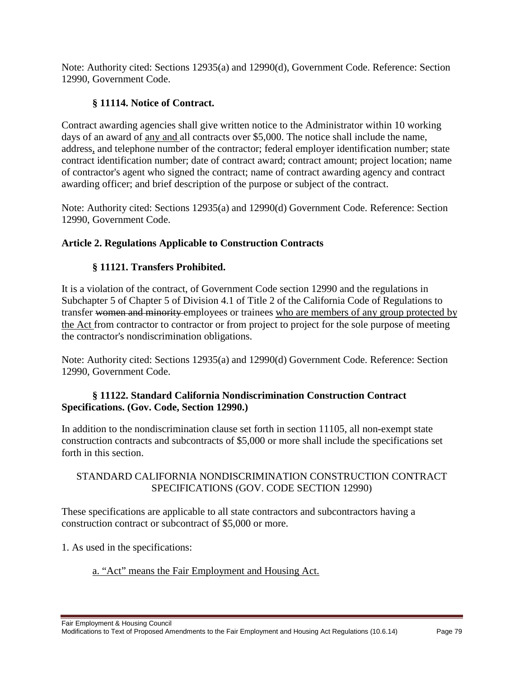Note: Authority cited: Sections 12935(a) and 12990(d), Government Code. Reference: Section 12990, Government Code.

#### **§ 11114. Notice of Contract.**

Contract awarding agencies shall give written notice to the Administrator within 10 working days of an award of any and all contracts over \$5,000. The notice shall include the name, address, and telephone number of the contractor; federal employer identification number; state contract identification number; date of contract award; contract amount; project location; name of contractor's agent who signed the contract; name of contract awarding agency and contract awarding officer; and brief description of the purpose or subject of the contract.

Note: Authority cited: Sections 12935(a) and 12990(d) Government Code. Reference: Section 12990, Government Code.

#### **Article 2. Regulations Applicable to Construction Contracts**

#### **§ 11121. Transfers Prohibited.**

It is a violation of the contract, of Government Code section 12990 and the regulations in Subchapter 5 of Chapter 5 of Division 4.1 of Title 2 of the California Code of Regulations to transfer women and minority employees or trainees who are members of any group protected by the Act from contractor to contractor or from project to project for the sole purpose of meeting the contractor's nondiscrimination obligations.

Note: Authority cited: Sections 12935(a) and 12990(d) Government Code. Reference: Section 12990, Government Code.

#### **§ 11122. Standard California Nondiscrimination Construction Contract Specifications. (Gov. Code, Section 12990.)**

In addition to the nondiscrimination clause set forth in section 11105, all non-exempt state construction contracts and subcontracts of \$5,000 or more shall include the specifications set forth in this section.

#### STANDARD CALIFORNIA NONDISCRIMINATION CONSTRUCTION CONTRACT SPECIFICATIONS (GOV. CODE SECTION 12990)

These specifications are applicable to all state contractors and subcontractors having a construction contract or subcontract of \$5,000 or more.

1. As used in the specifications:

## a. "Act" means the Fair Employment and Housing Act.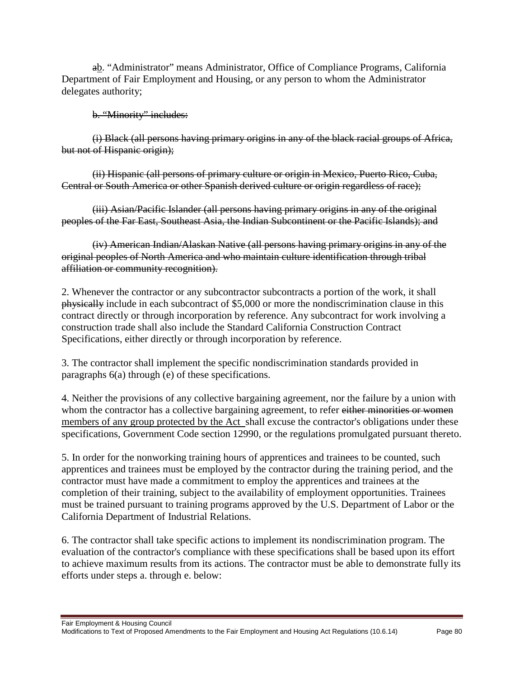ab. "Administrator" means Administrator, Office of Compliance Programs, California Department of Fair Employment and Housing, or any person to whom the Administrator delegates authority;

b. "Minority" includes:

(i) Black (all persons having primary origins in any of the black racial groups of Africa, but not of Hispanic origin);

(ii) Hispanic (all persons of primary culture or origin in Mexico, Puerto Rico, Cuba, Central or South America or other Spanish derived culture or origin regardless of race);

(iii) Asian/Pacific Islander (all persons having primary origins in any of the original peoples of the Far East, Southeast Asia, the Indian Subcontinent or the Pacific Islands); and

(iv) American Indian/Alaskan Native (all persons having primary origins in any of the original peoples of North America and who maintain culture identification through tribal affiliation or community recognition).

2. Whenever the contractor or any subcontractor subcontracts a portion of the work, it shall physically include in each subcontract of \$5,000 or more the nondiscrimination clause in this contract directly or through incorporation by reference. Any subcontract for work involving a construction trade shall also include the Standard California Construction Contract Specifications, either directly or through incorporation by reference.

3. The contractor shall implement the specific nondiscrimination standards provided in paragraphs 6(a) through (e) of these specifications.

4. Neither the provisions of any collective bargaining agreement, nor the failure by a union with whom the contractor has a collective bargaining agreement, to refer either minorities or women members of any group protected by the Act shall excuse the contractor's obligations under these specifications, Government Code section 12990, or the regulations promulgated pursuant thereto.

5. In order for the nonworking training hours of apprentices and trainees to be counted, such apprentices and trainees must be employed by the contractor during the training period, and the contractor must have made a commitment to employ the apprentices and trainees at the completion of their training, subject to the availability of employment opportunities. Trainees must be trained pursuant to training programs approved by the U.S. Department of Labor or the California Department of Industrial Relations.

6. The contractor shall take specific actions to implement its nondiscrimination program. The evaluation of the contractor's compliance with these specifications shall be based upon its effort to achieve maximum results from its actions. The contractor must be able to demonstrate fully its efforts under steps a. through e. below:

Fair Employment & Housing Council Modifications to Text of Proposed Amendments to the Fair Employment and Housing Act Regulations (10.6.14) Page 80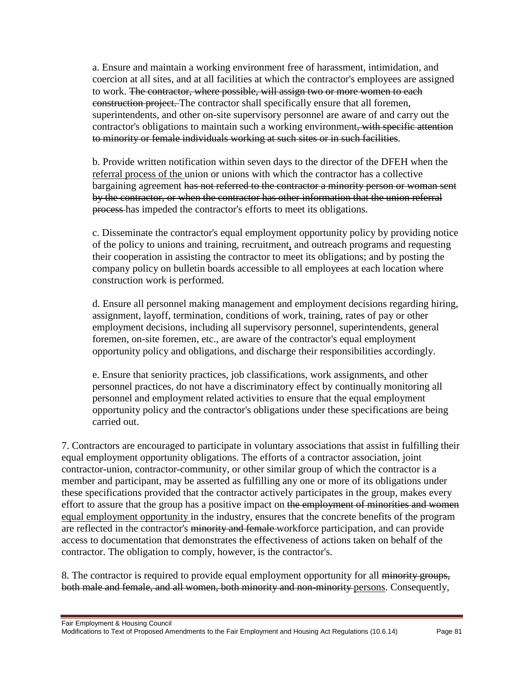a. Ensure and maintain a working environment free of harassment, intimidation, and coercion at all sites, and at all facilities at which the contractor's employees are assigned to work. The contractor, where possible, will assign two or more women to each construction project. The contractor shall specifically ensure that all foremen, superintendents, and other on-site supervisory personnel are aware of and carry out the contractor's obligations to maintain such a working environment, with specific attention to minority or female individuals working at such sites or in such facilities.

b. Provide written notification within seven days to the director of the DFEH when the referral process of the union or unions with which the contractor has a collective bargaining agreement has not referred to the contractor a minority person or woman sent by the contractor, or when the contractor has other information that the union referral process has impeded the contractor's efforts to meet its obligations.

c. Disseminate the contractor's equal employment opportunity policy by providing notice of the policy to unions and training, recruitment, and outreach programs and requesting their cooperation in assisting the contractor to meet its obligations; and by posting the company policy on bulletin boards accessible to all employees at each location where construction work is performed.

d. Ensure all personnel making management and employment decisions regarding hiring, assignment, layoff, termination, conditions of work, training, rates of pay or other employment decisions, including all supervisory personnel, superintendents, general foremen, on-site foremen, etc., are aware of the contractor's equal employment opportunity policy and obligations, and discharge their responsibilities accordingly.

e. Ensure that seniority practices, job classifications, work assignments, and other personnel practices, do not have a discriminatory effect by continually monitoring all personnel and employment related activities to ensure that the equal employment opportunity policy and the contractor's obligations under these specifications are being carried out.

7. Contractors are encouraged to participate in voluntary associations that assist in fulfilling their equal employment opportunity obligations. The efforts of a contractor association, joint contractor-union, contractor-community, or other similar group of which the contractor is a member and participant, may be asserted as fulfilling any one or more of its obligations under these specifications provided that the contractor actively participates in the group, makes every effort to assure that the group has a positive impact on the employment of minorities and women equal employment opportunity in the industry, ensures that the concrete benefits of the program are reflected in the contractor's minority and female workforce participation, and can provide access to documentation that demonstrates the effectiveness of actions taken on behalf of the contractor. The obligation to comply, however, is the contractor's.

8. The contractor is required to provide equal employment opportunity for all minority groups, both male and female, and all women, both minority and non-minority persons. Consequently,

Fair Employment & Housing Council Modifications to Text of Proposed Amendments to the Fair Employment and Housing Act Regulations (10.6.14) Page 81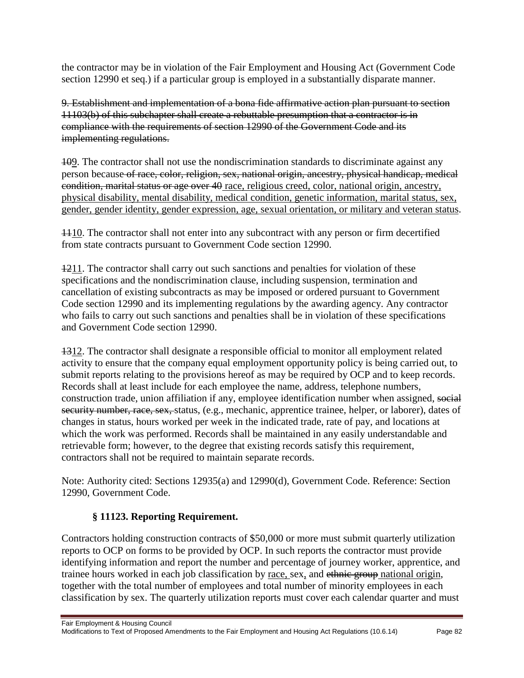the contractor may be in violation of the Fair Employment and Housing Act (Government Code section 12990 et seq.) if a particular group is employed in a substantially disparate manner.

9. Establishment and implementation of a bona fide affirmative action plan pursuant to section 11103(b) of this subchapter shall create a rebuttable presumption that a contractor is in compliance with the requirements of section 12990 of the Government Code and its implementing regulations.

109. The contractor shall not use the nondiscrimination standards to discriminate against any person because of race, color, religion, sex, national origin, ancestry, physical handicap, medical condition, marital status or age over 40 race, religious creed, color, national origin, ancestry, physical disability, mental disability, medical condition, genetic information, marital status, sex, gender, gender identity, gender expression, age, sexual orientation, or military and veteran status.

1110. The contractor shall not enter into any subcontract with any person or firm decertified from state contracts pursuant to Government Code section 12990.

1211. The contractor shall carry out such sanctions and penalties for violation of these specifications and the nondiscrimination clause, including suspension, termination and cancellation of existing subcontracts as may be imposed or ordered pursuant to Government Code section 12990 and its implementing regulations by the awarding agency. Any contractor who fails to carry out such sanctions and penalties shall be in violation of these specifications and Government Code section 12990.

1312. The contractor shall designate a responsible official to monitor all employment related activity to ensure that the company equal employment opportunity policy is being carried out, to submit reports relating to the provisions hereof as may be required by OCP and to keep records. Records shall at least include for each employee the name, address, telephone numbers, construction trade, union affiliation if any, employee identification number when assigned, social security number, race, sex, status, (e.g., mechanic, apprentice trainee, helper, or laborer), dates of changes in status, hours worked per week in the indicated trade, rate of pay, and locations at which the work was performed. Records shall be maintained in any easily understandable and retrievable form; however, to the degree that existing records satisfy this requirement, contractors shall not be required to maintain separate records.

Note: Authority cited: Sections 12935(a) and 12990(d), Government Code. Reference: Section 12990, Government Code.

# **§ 11123. Reporting Requirement.**

Contractors holding construction contracts of \$50,000 or more must submit quarterly utilization reports to OCP on forms to be provided by OCP. In such reports the contractor must provide identifying information and report the number and percentage of journey worker, apprentice, and trainee hours worked in each job classification by race, sex, and ethnic group national origin, together with the total number of employees and total number of minority employees in each classification by sex. The quarterly utilization reports must cover each calendar quarter and must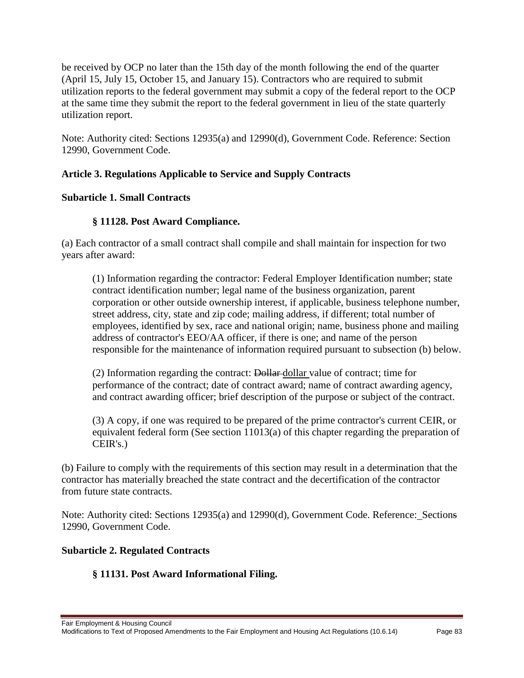be received by OCP no later than the 15th day of the month following the end of the quarter (April 15, July 15, October 15, and January 15). Contractors who are required to submit utilization reports to the federal government may submit a copy of the federal report to the OCP at the same time they submit the report to the federal government in lieu of the state quarterly utilization report.

Note: Authority cited: Sections 12935(a) and 12990(d), Government Code. Reference: Section 12990, Government Code.

## **Article 3. Regulations Applicable to Service and Supply Contracts**

## **Subarticle 1. Small Contracts**

## **§ 11128. Post Award Compliance.**

(a) Each contractor of a small contract shall compile and shall maintain for inspection for two years after award:

(1) Information regarding the contractor: Federal Employer Identification number; state contract identification number; legal name of the business organization, parent corporation or other outside ownership interest, if applicable, business telephone number, street address, city, state and zip code; mailing address, if different; total number of employees, identified by sex, race and national origin; name, business phone and mailing address of contractor's EEO/AA officer, if there is one; and name of the person responsible for the maintenance of information required pursuant to subsection (b) below.

(2) Information regarding the contract: Dollar dollar value of contract; time for performance of the contract; date of contract award; name of contract awarding agency, and contract awarding officer; brief description of the purpose or subject of the contract.

(3) A copy, if one was required to be prepared of the prime contractor's current CEIR, or equivalent federal form (See section 11013(a) of this chapter regarding the preparation of CEIR's.)

(b) Failure to comply with the requirements of this section may result in a determination that the contractor has materially breached the state contract and the decertification of the contractor from future state contracts.

Note: Authority cited: Sections 12935(a) and 12990(d), Government Code. Reference: Sections 12990, Government Code.

## **Subarticle 2. Regulated Contracts**

# **§ 11131. Post Award Informational Filing.**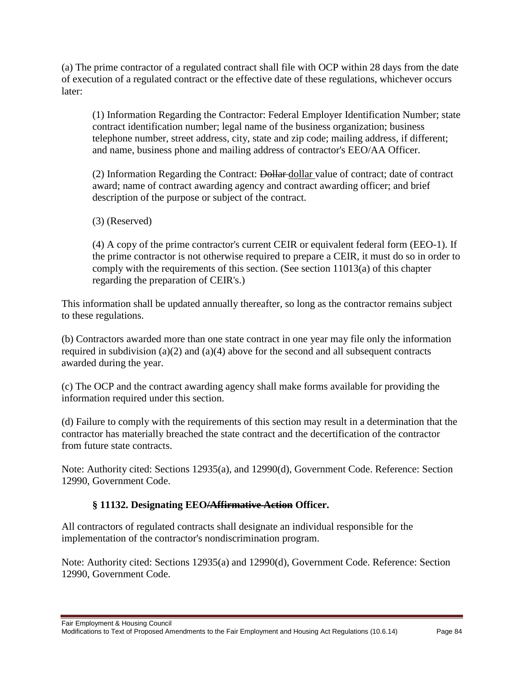(a) The prime contractor of a regulated contract shall file with OCP within 28 days from the date of execution of a regulated contract or the effective date of these regulations, whichever occurs later:

(1) Information Regarding the Contractor: Federal Employer Identification Number; state contract identification number; legal name of the business organization; business telephone number, street address, city, state and zip code; mailing address, if different; and name, business phone and mailing address of contractor's EEO/AA Officer.

(2) Information Regarding the Contract: **Dollar** dollar value of contract; date of contract award; name of contract awarding agency and contract awarding officer; and brief description of the purpose or subject of the contract.

(3) (Reserved)

(4) A copy of the prime contractor's current CEIR or equivalent federal form (EEO-1). If the prime contractor is not otherwise required to prepare a CEIR, it must do so in order to comply with the requirements of this section. (See section 11013(a) of this chapter regarding the preparation of CEIR's.)

This information shall be updated annually thereafter, so long as the contractor remains subject to these regulations.

(b) Contractors awarded more than one state contract in one year may file only the information required in subdivision (a)(2) and (a)(4) above for the second and all subsequent contracts awarded during the year.

(c) The OCP and the contract awarding agency shall make forms available for providing the information required under this section.

(d) Failure to comply with the requirements of this section may result in a determination that the contractor has materially breached the state contract and the decertification of the contractor from future state contracts.

Note: Authority cited: Sections 12935(a), and 12990(d), Government Code. Reference: Section 12990, Government Code.

# **§ 11132. Designating EEO/Affirmative Action Officer.**

All contractors of regulated contracts shall designate an individual responsible for the implementation of the contractor's nondiscrimination program.

Note: Authority cited: Sections 12935(a) and 12990(d), Government Code. Reference: Section 12990, Government Code.

Fair Employment & Housing Council

Modifications to Text of Proposed Amendments to the Fair Employment and Housing Act Regulations (10.6.14) Page 84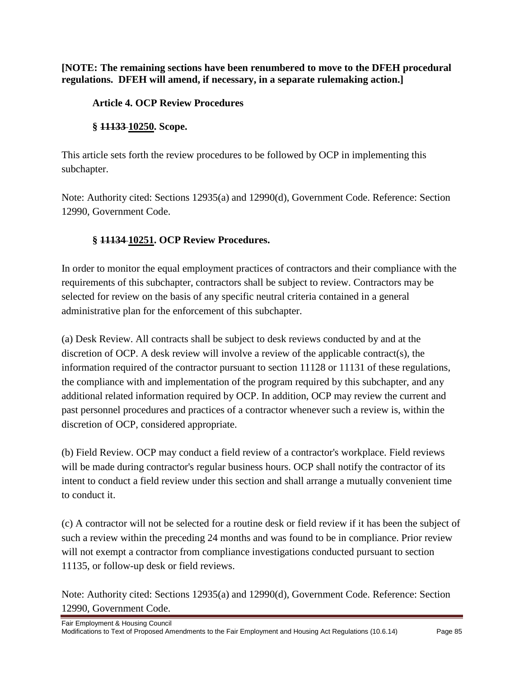**[NOTE: The remaining sections have been renumbered to move to the DFEH procedural regulations. DFEH will amend, if necessary, in a separate rulemaking action.]**

#### **Article 4. OCP Review Procedures**

#### **§ 11133 10250. Scope.**

This article sets forth the review procedures to be followed by OCP in implementing this subchapter.

Note: Authority cited: Sections 12935(a) and 12990(d), Government Code. Reference: Section 12990, Government Code.

## **§ 11134 10251. OCP Review Procedures.**

In order to monitor the equal employment practices of contractors and their compliance with the requirements of this subchapter, contractors shall be subject to review. Contractors may be selected for review on the basis of any specific neutral criteria contained in a general administrative plan for the enforcement of this subchapter.

(a) Desk Review. All contracts shall be subject to desk reviews conducted by and at the discretion of OCP. A desk review will involve a review of the applicable contract(s), the information required of the contractor pursuant to section 11128 or 11131 of these regulations, the compliance with and implementation of the program required by this subchapter, and any additional related information required by OCP. In addition, OCP may review the current and past personnel procedures and practices of a contractor whenever such a review is, within the discretion of OCP, considered appropriate.

(b) Field Review. OCP may conduct a field review of a contractor's workplace. Field reviews will be made during contractor's regular business hours. OCP shall notify the contractor of its intent to conduct a field review under this section and shall arrange a mutually convenient time to conduct it.

(c) A contractor will not be selected for a routine desk or field review if it has been the subject of such a review within the preceding 24 months and was found to be in compliance. Prior review will not exempt a contractor from compliance investigations conducted pursuant to section 11135, or follow-up desk or field reviews.

Note: Authority cited: Sections 12935(a) and 12990(d), Government Code. Reference: Section 12990, Government Code.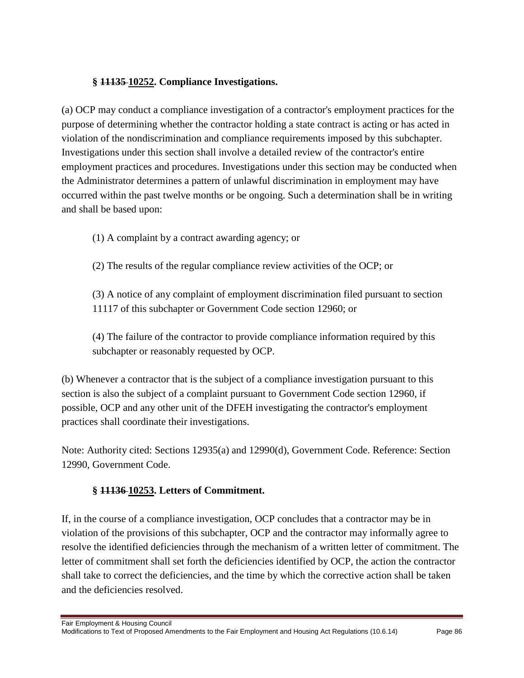## **§ 11135 10252. Compliance Investigations.**

(a) OCP may conduct a compliance investigation of a contractor's employment practices for the purpose of determining whether the contractor holding a state contract is acting or has acted in violation of the nondiscrimination and compliance requirements imposed by this subchapter. Investigations under this section shall involve a detailed review of the contractor's entire employment practices and procedures. Investigations under this section may be conducted when the Administrator determines a pattern of unlawful discrimination in employment may have occurred within the past twelve months or be ongoing. Such a determination shall be in writing and shall be based upon:

(1) A complaint by a contract awarding agency; or

(2) The results of the regular compliance review activities of the OCP; or

(3) A notice of any complaint of employment discrimination filed pursuant to section 11117 of this subchapter or Government Code section 12960; or

(4) The failure of the contractor to provide compliance information required by this subchapter or reasonably requested by OCP.

(b) Whenever a contractor that is the subject of a compliance investigation pursuant to this section is also the subject of a complaint pursuant to Government Code section 12960, if possible, OCP and any other unit of the DFEH investigating the contractor's employment practices shall coordinate their investigations.

Note: Authority cited: Sections 12935(a) and 12990(d), Government Code. Reference: Section 12990, Government Code.

# **§ 11136 10253. Letters of Commitment.**

If, in the course of a compliance investigation, OCP concludes that a contractor may be in violation of the provisions of this subchapter, OCP and the contractor may informally agree to resolve the identified deficiencies through the mechanism of a written letter of commitment. The letter of commitment shall set forth the deficiencies identified by OCP, the action the contractor shall take to correct the deficiencies, and the time by which the corrective action shall be taken and the deficiencies resolved.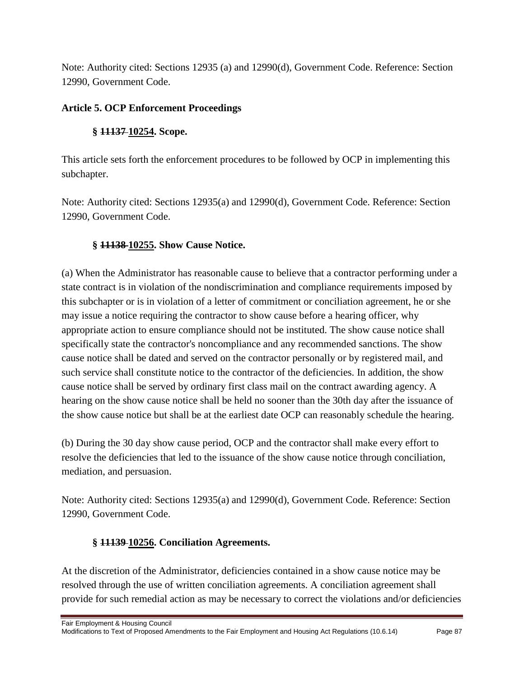Note: Authority cited: Sections 12935 (a) and 12990(d), Government Code. Reference: Section 12990, Government Code.

## **Article 5. OCP Enforcement Proceedings**

# **§ 11137 10254. Scope.**

This article sets forth the enforcement procedures to be followed by OCP in implementing this subchapter.

Note: Authority cited: Sections 12935(a) and 12990(d), Government Code. Reference: Section 12990, Government Code.

# **§ 11138 10255. Show Cause Notice.**

(a) When the Administrator has reasonable cause to believe that a contractor performing under a state contract is in violation of the nondiscrimination and compliance requirements imposed by this subchapter or is in violation of a letter of commitment or conciliation agreement, he or she may issue a notice requiring the contractor to show cause before a hearing officer, why appropriate action to ensure compliance should not be instituted. The show cause notice shall specifically state the contractor's noncompliance and any recommended sanctions. The show cause notice shall be dated and served on the contractor personally or by registered mail, and such service shall constitute notice to the contractor of the deficiencies. In addition, the show cause notice shall be served by ordinary first class mail on the contract awarding agency. A hearing on the show cause notice shall be held no sooner than the 30th day after the issuance of the show cause notice but shall be at the earliest date OCP can reasonably schedule the hearing.

(b) During the 30 day show cause period, OCP and the contractor shall make every effort to resolve the deficiencies that led to the issuance of the show cause notice through conciliation, mediation, and persuasion.

Note: Authority cited: Sections 12935(a) and 12990(d), Government Code. Reference: Section 12990, Government Code.

# **§ 11139 10256. Conciliation Agreements.**

At the discretion of the Administrator, deficiencies contained in a show cause notice may be resolved through the use of written conciliation agreements. A conciliation agreement shall provide for such remedial action as may be necessary to correct the violations and/or deficiencies

Modifications to Text of Proposed Amendments to the Fair Employment and Housing Act Regulations (10.6.14) Page 87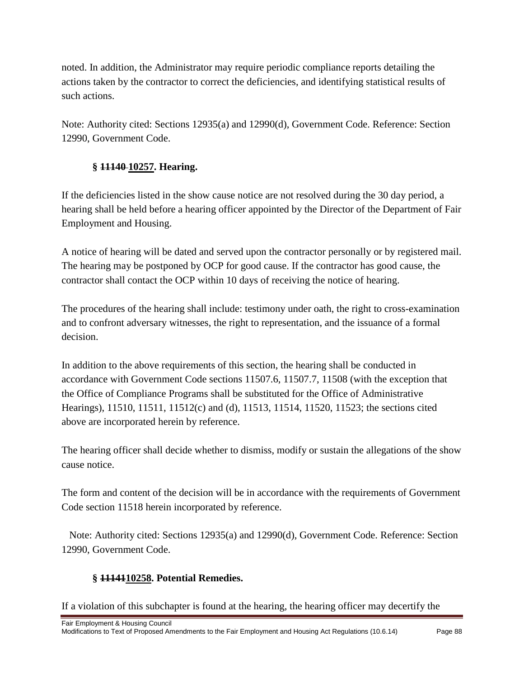noted. In addition, the Administrator may require periodic compliance reports detailing the actions taken by the contractor to correct the deficiencies, and identifying statistical results of such actions.

Note: Authority cited: Sections 12935(a) and 12990(d), Government Code. Reference: Section 12990, Government Code.

## **§ 11140 10257. Hearing.**

If the deficiencies listed in the show cause notice are not resolved during the 30 day period, a hearing shall be held before a hearing officer appointed by the Director of the Department of Fair Employment and Housing.

A notice of hearing will be dated and served upon the contractor personally or by registered mail. The hearing may be postponed by OCP for good cause. If the contractor has good cause, the contractor shall contact the OCP within 10 days of receiving the notice of hearing.

The procedures of the hearing shall include: testimony under oath, the right to cross-examination and to confront adversary witnesses, the right to representation, and the issuance of a formal decision.

In addition to the above requirements of this section, the hearing shall be conducted in accordance with Government Code sections 11507.6, 11507.7, 11508 (with the exception that the Office of Compliance Programs shall be substituted for the Office of Administrative Hearings), 11510, 11511, 11512(c) and (d), 11513, 11514, 11520, 11523; the sections cited above are incorporated herein by reference.

The hearing officer shall decide whether to dismiss, modify or sustain the allegations of the show cause notice.

The form and content of the decision will be in accordance with the requirements of Government Code section 11518 herein incorporated by reference.

Note: Authority cited: Sections 12935(a) and 12990(d), Government Code. Reference: Section 12990, Government Code.

## **§ 1114110258. Potential Remedies.**

If a violation of this subchapter is found at the hearing, the hearing officer may decertify the